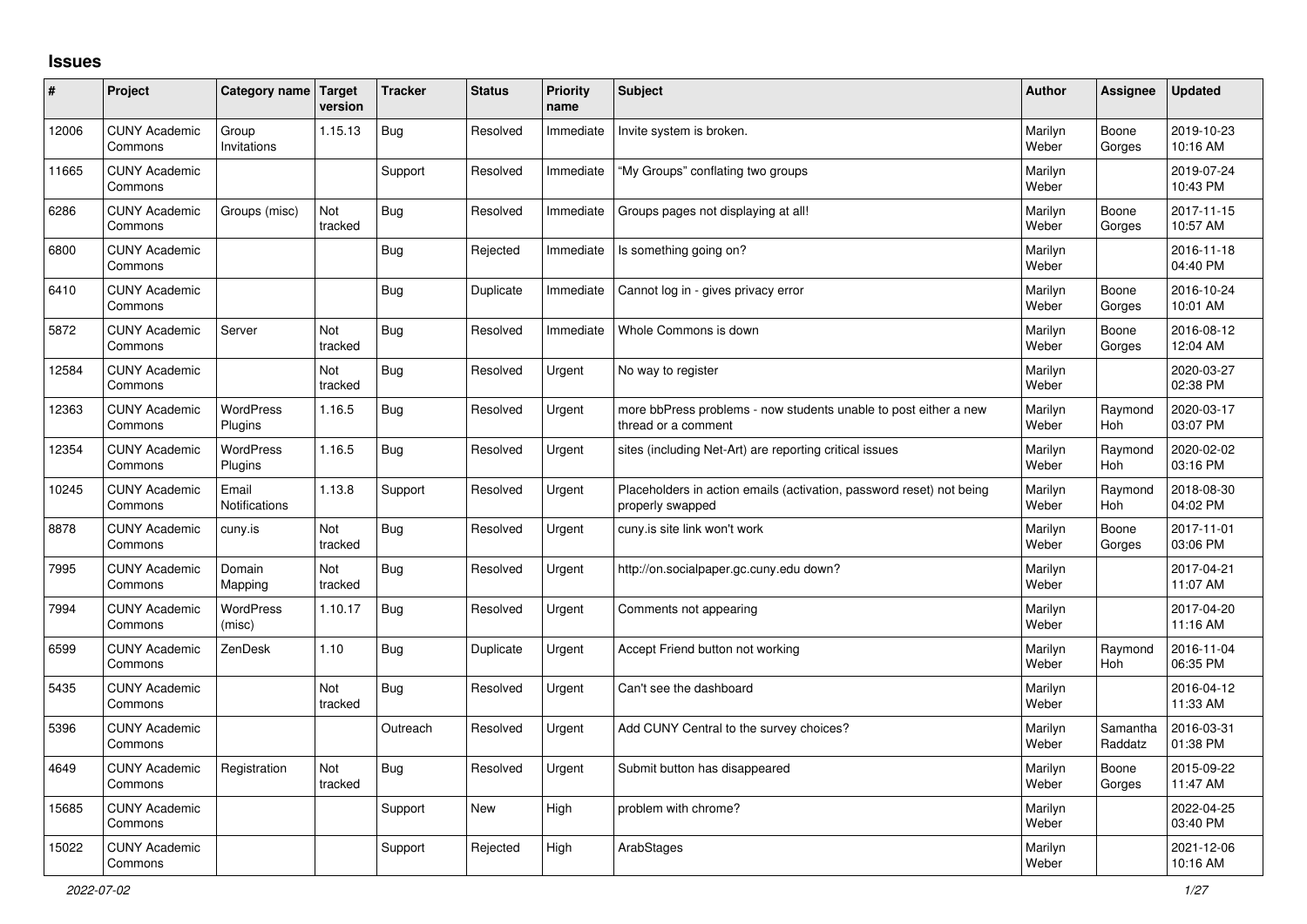## **Issues**

| ∦     | Project                         | Category name Target          | version        | <b>Tracker</b> | <b>Status</b> | <b>Priority</b><br>name | <b>Subject</b>                                                                           | <b>Author</b>    | Assignee              | <b>Updated</b>         |
|-------|---------------------------------|-------------------------------|----------------|----------------|---------------|-------------------------|------------------------------------------------------------------------------------------|------------------|-----------------------|------------------------|
| 12006 | <b>CUNY Academic</b><br>Commons | Group<br>Invitations          | 1.15.13        | <b>Bug</b>     | Resolved      | Immediate               | Invite system is broken.                                                                 | Marilyn<br>Weber | Boone<br>Gorges       | 2019-10-23<br>10:16 AM |
| 11665 | <b>CUNY Academic</b><br>Commons |                               |                | Support        | Resolved      | Immediate               | "My Groups" conflating two groups                                                        | Marilyn<br>Weber |                       | 2019-07-24<br>10:43 PM |
| 6286  | <b>CUNY Academic</b><br>Commons | Groups (misc)                 | Not<br>tracked | <b>Bug</b>     | Resolved      | Immediate               | Groups pages not displaying at all!                                                      | Marilyn<br>Weber | Boone<br>Gorges       | 2017-11-15<br>10:57 AM |
| 6800  | <b>CUNY Academic</b><br>Commons |                               |                | <b>Bug</b>     | Rejected      | Immediate               | Is something going on?                                                                   | Marilyn<br>Weber |                       | 2016-11-18<br>04:40 PM |
| 6410  | <b>CUNY Academic</b><br>Commons |                               |                | Bug            | Duplicate     | Immediate               | Cannot log in - gives privacy error                                                      | Marilyn<br>Weber | Boone<br>Gorges       | 2016-10-24<br>10:01 AM |
| 5872  | <b>CUNY Academic</b><br>Commons | Server                        | Not<br>tracked | Bug            | Resolved      | Immediate               | Whole Commons is down                                                                    | Marilyn<br>Weber | Boone<br>Gorges       | 2016-08-12<br>12:04 AM |
| 12584 | <b>CUNY Academic</b><br>Commons |                               | Not<br>tracked | <b>Bug</b>     | Resolved      | Urgent                  | No way to register                                                                       | Marilyn<br>Weber |                       | 2020-03-27<br>02:38 PM |
| 12363 | <b>CUNY Academic</b><br>Commons | <b>WordPress</b><br>Plugins   | 1.16.5         | <b>Bug</b>     | Resolved      | Urgent                  | more bbPress problems - now students unable to post either a new<br>thread or a comment  | Marilyn<br>Weber | Raymond<br><b>Hoh</b> | 2020-03-17<br>03:07 PM |
| 12354 | <b>CUNY Academic</b><br>Commons | <b>WordPress</b><br>Plugins   | 1.16.5         | Bug            | Resolved      | Urgent                  | sites (including Net-Art) are reporting critical issues                                  | Marilyn<br>Weber | Raymond<br>Hoh        | 2020-02-02<br>03:16 PM |
| 10245 | <b>CUNY Academic</b><br>Commons | Email<br><b>Notifications</b> | 1.13.8         | Support        | Resolved      | Urgent                  | Placeholders in action emails (activation, password reset) not being<br>properly swapped | Marilyn<br>Weber | Raymond<br><b>Hoh</b> | 2018-08-30<br>04:02 PM |
| 8878  | <b>CUNY Academic</b><br>Commons | cuny.is                       | Not<br>tracked | Bug            | Resolved      | Urgent                  | cuny.is site link won't work                                                             | Marilyn<br>Weber | Boone<br>Gorges       | 2017-11-01<br>03:06 PM |
| 7995  | <b>CUNY Academic</b><br>Commons | Domain<br>Mapping             | Not<br>tracked | <b>Bug</b>     | Resolved      | Urgent                  | http://on.socialpaper.gc.cuny.edu down?                                                  | Marilyn<br>Weber |                       | 2017-04-21<br>11:07 AM |
| 7994  | <b>CUNY Academic</b><br>Commons | <b>WordPress</b><br>(misc)    | 1.10.17        | <b>Bug</b>     | Resolved      | Urgent                  | Comments not appearing                                                                   | Marilyn<br>Weber |                       | 2017-04-20<br>11:16 AM |
| 6599  | <b>CUNY Academic</b><br>Commons | ZenDesk                       | 1.10           | Bug            | Duplicate     | Urgent                  | Accept Friend button not working                                                         | Marilyn<br>Weber | Raymond<br>Hoh        | 2016-11-04<br>06:35 PM |
| 5435  | <b>CUNY Academic</b><br>Commons |                               | Not<br>tracked | <b>Bug</b>     | Resolved      | Urgent                  | Can't see the dashboard                                                                  | Marilyn<br>Weber |                       | 2016-04-12<br>11:33 AM |
| 5396  | <b>CUNY Academic</b><br>Commons |                               |                | Outreach       | Resolved      | Urgent                  | Add CUNY Central to the survey choices?                                                  | Marilyn<br>Weber | Samantha<br>Raddatz   | 2016-03-31<br>01:38 PM |
| 4649  | <b>CUNY Academic</b><br>Commons | Registration                  | Not<br>tracked | <b>Bug</b>     | Resolved      | Urgent                  | Submit button has disappeared                                                            | Marilyn<br>Weber | Boone<br>Gorges       | 2015-09-22<br>11:47 AM |
| 15685 | <b>CUNY Academic</b><br>Commons |                               |                | Support        | <b>New</b>    | High                    | problem with chrome?                                                                     | Marilyn<br>Weber |                       | 2022-04-25<br>03:40 PM |
| 15022 | <b>CUNY Academic</b><br>Commons |                               |                | Support        | Rejected      | High                    | ArabStages                                                                               | Marilyn<br>Weber |                       | 2021-12-06<br>10:16 AM |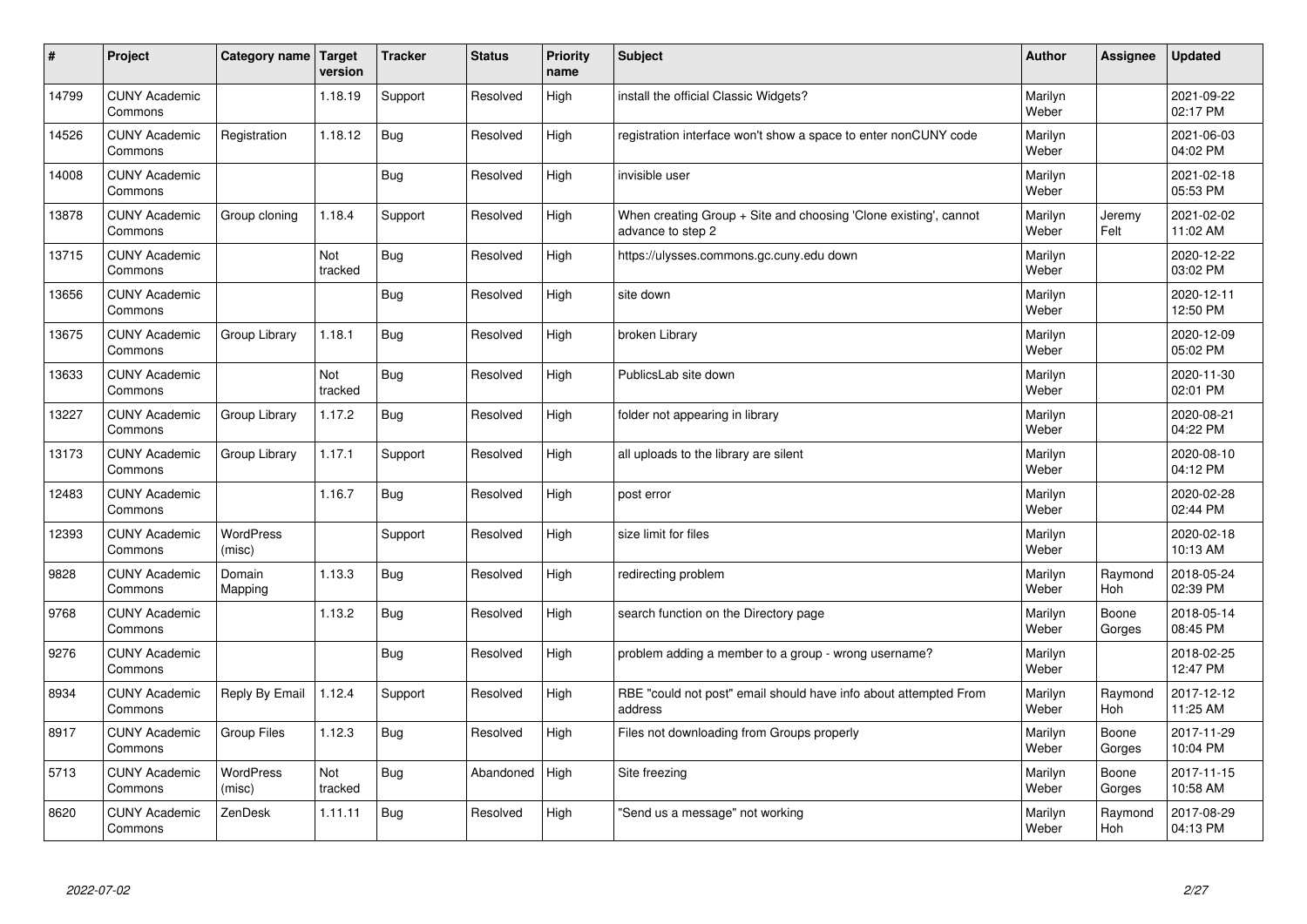| $\sharp$ | Project                         | Category name   Target     | version        | <b>Tracker</b> | <b>Status</b> | <b>Priority</b><br>name | <b>Subject</b>                                                                        | <b>Author</b>    | Assignee        | <b>Updated</b>         |
|----------|---------------------------------|----------------------------|----------------|----------------|---------------|-------------------------|---------------------------------------------------------------------------------------|------------------|-----------------|------------------------|
| 14799    | <b>CUNY Academic</b><br>Commons |                            | 1.18.19        | Support        | Resolved      | High                    | install the official Classic Widgets?                                                 | Marilyn<br>Weber |                 | 2021-09-22<br>02:17 PM |
| 14526    | <b>CUNY Academic</b><br>Commons | Registration               | 1.18.12        | Bug            | Resolved      | High                    | registration interface won't show a space to enter nonCUNY code                       | Marilyn<br>Weber |                 | 2021-06-03<br>04:02 PM |
| 14008    | <b>CUNY Academic</b><br>Commons |                            |                | Bug            | Resolved      | High                    | invisible user                                                                        | Marilyn<br>Weber |                 | 2021-02-18<br>05:53 PM |
| 13878    | <b>CUNY Academic</b><br>Commons | Group cloning              | 1.18.4         | Support        | Resolved      | High                    | When creating Group + Site and choosing 'Clone existing', cannot<br>advance to step 2 | Marilyn<br>Weber | Jeremy<br>Felt  | 2021-02-02<br>11:02 AM |
| 13715    | <b>CUNY Academic</b><br>Commons |                            | Not<br>tracked | Bug            | Resolved      | High                    | https://ulysses.commons.gc.cuny.edu down                                              | Marilyn<br>Weber |                 | 2020-12-22<br>03:02 PM |
| 13656    | <b>CUNY Academic</b><br>Commons |                            |                | Bug            | Resolved      | High                    | site down                                                                             | Marilyn<br>Weber |                 | 2020-12-11<br>12:50 PM |
| 13675    | <b>CUNY Academic</b><br>Commons | Group Library              | 1.18.1         | Bug            | Resolved      | High                    | broken Library                                                                        | Marilyn<br>Weber |                 | 2020-12-09<br>05:02 PM |
| 13633    | <b>CUNY Academic</b><br>Commons |                            | Not<br>tracked | Bug            | Resolved      | High                    | PublicsLab site down                                                                  | Marilyn<br>Weber |                 | 2020-11-30<br>02:01 PM |
| 13227    | <b>CUNY Academic</b><br>Commons | Group Library              | 1.17.2         | Bug            | Resolved      | High                    | folder not appearing in library                                                       | Marilyn<br>Weber |                 | 2020-08-21<br>04:22 PM |
| 13173    | <b>CUNY Academic</b><br>Commons | Group Library              | 1.17.1         | Support        | Resolved      | High                    | all uploads to the library are silent                                                 | Marilyn<br>Weber |                 | 2020-08-10<br>04:12 PM |
| 12483    | <b>CUNY Academic</b><br>Commons |                            | 1.16.7         | Bug            | Resolved      | High                    | post error                                                                            | Marilyn<br>Weber |                 | 2020-02-28<br>02:44 PM |
| 12393    | <b>CUNY Academic</b><br>Commons | <b>WordPress</b><br>(misc) |                | Support        | Resolved      | High                    | size limit for files                                                                  | Marilyn<br>Weber |                 | 2020-02-18<br>10:13 AM |
| 9828     | <b>CUNY Academic</b><br>Commons | Domain<br>Mapping          | 1.13.3         | Bug            | Resolved      | High                    | redirecting problem                                                                   | Marilyn<br>Weber | Raymond<br>Hoh  | 2018-05-24<br>02:39 PM |
| 9768     | <b>CUNY Academic</b><br>Commons |                            | 1.13.2         | Bug            | Resolved      | High                    | search function on the Directory page                                                 | Marilyn<br>Weber | Boone<br>Gorges | 2018-05-14<br>08:45 PM |
| 9276     | <b>CUNY Academic</b><br>Commons |                            |                | Bug            | Resolved      | High                    | problem adding a member to a group - wrong username?                                  | Marilyn<br>Weber |                 | 2018-02-25<br>12:47 PM |
| 8934     | <b>CUNY Academic</b><br>Commons | Reply By Email             | 1.12.4         | Support        | Resolved      | High                    | RBE "could not post" email should have info about attempted From<br>address           | Marilyn<br>Weber | Raymond<br>Hoh  | 2017-12-12<br>11:25 AM |
| 8917     | <b>CUNY Academic</b><br>Commons | <b>Group Files</b>         | 1.12.3         | Bug            | Resolved      | High                    | Files not downloading from Groups properly                                            | Marilyn<br>Weber | Boone<br>Gorges | 2017-11-29<br>10:04 PM |
| 5713     | <b>CUNY Academic</b><br>Commons | <b>WordPress</b><br>(misc) | Not<br>tracked | Bug            | Abandoned     | High                    | Site freezing                                                                         | Marilyn<br>Weber | Boone<br>Gorges | 2017-11-15<br>10:58 AM |
| 8620     | <b>CUNY Academic</b><br>Commons | ZenDesk                    | 1.11.11        | Bug            | Resolved      | High                    | 'Send us a message" not working                                                       | Marilyn<br>Weber | Raymond<br>Hoh  | 2017-08-29<br>04:13 PM |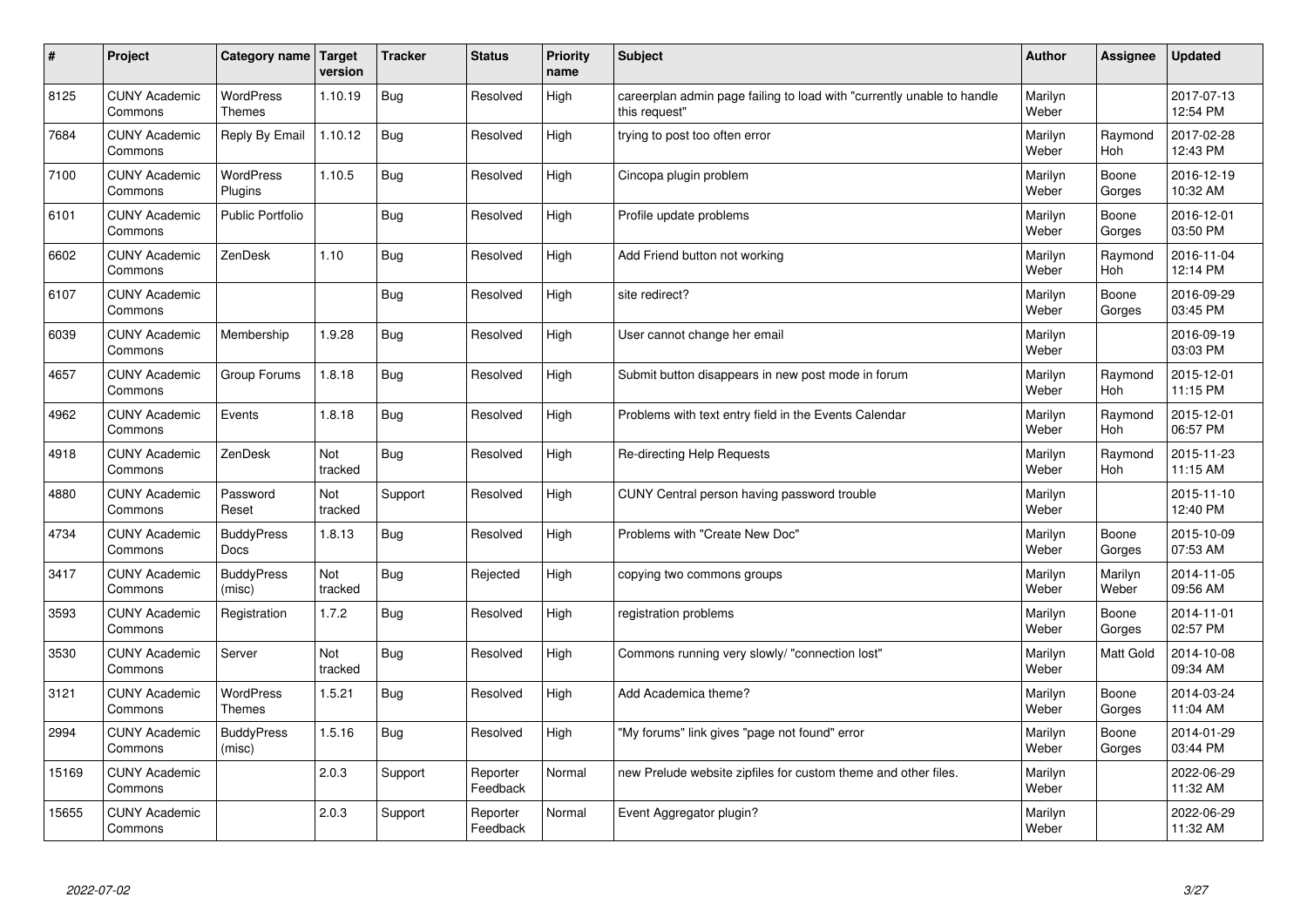| $\sharp$ | Project                         | Category name   Target            | version        | <b>Tracker</b> | <b>Status</b>        | <b>Priority</b><br>name | <b>Subject</b>                                                                          | <b>Author</b>    | Assignee         | <b>Updated</b>         |
|----------|---------------------------------|-----------------------------------|----------------|----------------|----------------------|-------------------------|-----------------------------------------------------------------------------------------|------------------|------------------|------------------------|
| 8125     | <b>CUNY Academic</b><br>Commons | <b>WordPress</b><br><b>Themes</b> | 1.10.19        | Bug            | Resolved             | High                    | careerplan admin page failing to load with "currently unable to handle<br>this request" | Marilyn<br>Weber |                  | 2017-07-13<br>12:54 PM |
| 7684     | <b>CUNY Academic</b><br>Commons | Reply By Email                    | 1.10.12        | Bug            | Resolved             | High                    | trying to post too often error                                                          | Marilyn<br>Weber | Raymond<br>Hoh   | 2017-02-28<br>12:43 PM |
| 7100     | <b>CUNY Academic</b><br>Commons | <b>WordPress</b><br>Plugins       | 1.10.5         | Bug            | Resolved             | High                    | Cincopa plugin problem                                                                  | Marilyn<br>Weber | Boone<br>Gorges  | 2016-12-19<br>10:32 AM |
| 6101     | <b>CUNY Academic</b><br>Commons | <b>Public Portfolio</b>           |                | Bug            | Resolved             | High                    | Profile update problems                                                                 | Marilyn<br>Weber | Boone<br>Gorges  | 2016-12-01<br>03:50 PM |
| 6602     | <b>CUNY Academic</b><br>Commons | ZenDesk                           | 1.10           | Bug            | Resolved             | High                    | Add Friend button not working                                                           | Marilyn<br>Weber | Raymond<br>Hoh   | 2016-11-04<br>12:14 PM |
| 6107     | <b>CUNY Academic</b><br>Commons |                                   |                | Bug            | Resolved             | High                    | site redirect?                                                                          | Marilyn<br>Weber | Boone<br>Gorges  | 2016-09-29<br>03:45 PM |
| 6039     | <b>CUNY Academic</b><br>Commons | Membership                        | 1.9.28         | Bug            | Resolved             | High                    | User cannot change her email                                                            | Marilyn<br>Weber |                  | 2016-09-19<br>03:03 PM |
| 4657     | <b>CUNY Academic</b><br>Commons | Group Forums                      | 1.8.18         | Bug            | Resolved             | High                    | Submit button disappears in new post mode in forum                                      | Marilyn<br>Weber | Raymond<br>Hoh   | 2015-12-01<br>11:15 PM |
| 4962     | <b>CUNY Academic</b><br>Commons | Events                            | 1.8.18         | Bug            | Resolved             | High                    | Problems with text entry field in the Events Calendar                                   | Marilyn<br>Weber | Raymond<br>Hoh   | 2015-12-01<br>06:57 PM |
| 4918     | <b>CUNY Academic</b><br>Commons | ZenDesk                           | Not<br>tracked | Bug            | Resolved             | High                    | Re-directing Help Requests                                                              | Marilyn<br>Weber | Raymond<br>Hoh   | 2015-11-23<br>11:15 AM |
| 4880     | <b>CUNY Academic</b><br>Commons | Password<br>Reset                 | Not<br>tracked | Support        | Resolved             | High                    | CUNY Central person having password trouble                                             | Marilyn<br>Weber |                  | 2015-11-10<br>12:40 PM |
| 4734     | <b>CUNY Academic</b><br>Commons | <b>BuddyPress</b><br>Docs         | 1.8.13         | Bug            | Resolved             | High                    | Problems with "Create New Doc"                                                          | Marilyn<br>Weber | Boone<br>Gorges  | 2015-10-09<br>07:53 AM |
| 3417     | <b>CUNY Academic</b><br>Commons | <b>BuddyPress</b><br>(misc)       | Not<br>tracked | Bug            | Rejected             | High                    | copying two commons groups                                                              | Marilyn<br>Weber | Marilyn<br>Weber | 2014-11-05<br>09:56 AM |
| 3593     | <b>CUNY Academic</b><br>Commons | Registration                      | 1.7.2          | Bug            | Resolved             | High                    | registration problems                                                                   | Marilyn<br>Weber | Boone<br>Gorges  | 2014-11-01<br>02:57 PM |
| 3530     | <b>CUNY Academic</b><br>Commons | Server                            | Not<br>tracked | Bug            | Resolved             | High                    | Commons running very slowly/ "connection lost"                                          | Marilyn<br>Weber | <b>Matt Gold</b> | 2014-10-08<br>09:34 AM |
| 3121     | <b>CUNY Academic</b><br>Commons | <b>WordPress</b><br><b>Themes</b> | 1.5.21         | Bug            | Resolved             | High                    | Add Academica theme?                                                                    | Marilyn<br>Weber | Boone<br>Gorges  | 2014-03-24<br>11:04 AM |
| 2994     | <b>CUNY Academic</b><br>Commons | <b>BuddyPress</b><br>(misc)       | 1.5.16         | Bug            | Resolved             | High                    | "My forums" link gives "page not found" error                                           | Marilyn<br>Weber | Boone<br>Gorges  | 2014-01-29<br>03:44 PM |
| 15169    | <b>CUNY Academic</b><br>Commons |                                   | 2.0.3          | Support        | Reporter<br>Feedback | Normal                  | new Prelude website zipfiles for custom theme and other files.                          | Marilyn<br>Weber |                  | 2022-06-29<br>11:32 AM |
| 15655    | <b>CUNY Academic</b><br>Commons |                                   | 2.0.3          | Support        | Reporter<br>Feedback | Normal                  | Event Aggregator plugin?                                                                | Marilyn<br>Weber |                  | 2022-06-29<br>11:32 AM |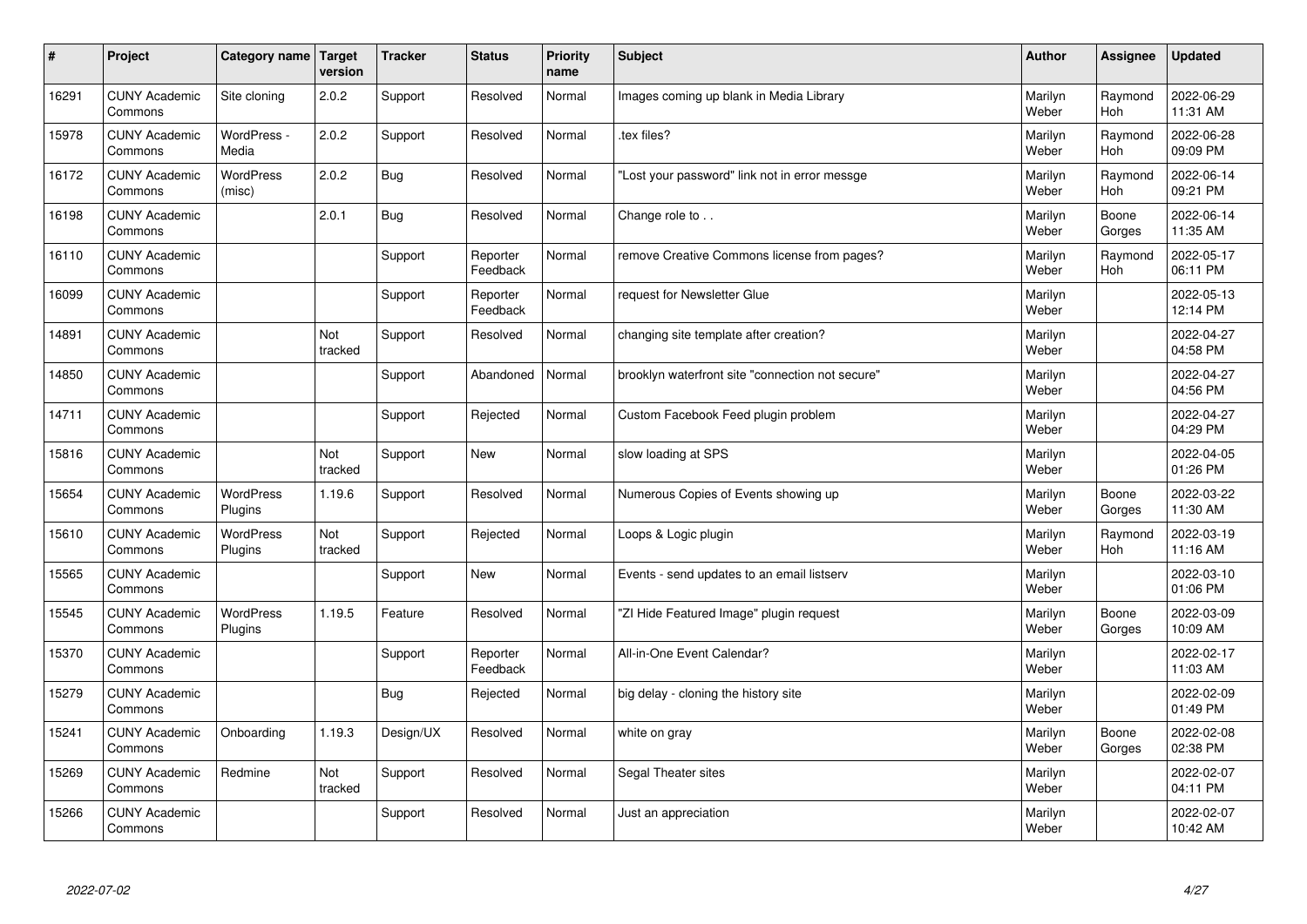| #     | Project                         | <b>Category name</b>        | Target<br>version | <b>Tracker</b> | <b>Status</b>        | <b>Priority</b><br>name | <b>Subject</b>                                   | <b>Author</b>    | Assignee        | <b>Updated</b>         |
|-------|---------------------------------|-----------------------------|-------------------|----------------|----------------------|-------------------------|--------------------------------------------------|------------------|-----------------|------------------------|
| 16291 | <b>CUNY Academic</b><br>Commons | Site cloning                | 2.0.2             | Support        | Resolved             | Normal                  | Images coming up blank in Media Library          | Marilyn<br>Weber | Raymond<br>Hoh  | 2022-06-29<br>11:31 AM |
| 15978 | <b>CUNY Academic</b><br>Commons | WordPress -<br>Media        | 2.0.2             | Support        | Resolved             | Normal                  | tex files?                                       | Marilyn<br>Weber | Raymond<br>Hoh  | 2022-06-28<br>09:09 PM |
| 16172 | <b>CUNY Academic</b><br>Commons | <b>WordPress</b><br>(misc)  | 2.0.2             | Bug            | Resolved             | Normal                  | 'Lost your password" link not in error messge    | Marilyn<br>Weber | Raymond<br>Hoh  | 2022-06-14<br>09:21 PM |
| 16198 | <b>CUNY Academic</b><br>Commons |                             | 2.0.1             | <b>Bug</b>     | Resolved             | Normal                  | Change role to                                   | Marilyn<br>Weber | Boone<br>Gorges | 2022-06-14<br>11:35 AM |
| 16110 | <b>CUNY Academic</b><br>Commons |                             |                   | Support        | Reporter<br>Feedback | Normal                  | remove Creative Commons license from pages?      | Marilyn<br>Weber | Raymond<br>Hoh  | 2022-05-17<br>06:11 PM |
| 16099 | <b>CUNY Academic</b><br>Commons |                             |                   | Support        | Reporter<br>Feedback | Normal                  | request for Newsletter Glue                      | Marilyn<br>Weber |                 | 2022-05-13<br>12:14 PM |
| 14891 | <b>CUNY Academic</b><br>Commons |                             | Not<br>tracked    | Support        | Resolved             | Normal                  | changing site template after creation?           | Marilyn<br>Weber |                 | 2022-04-27<br>04:58 PM |
| 14850 | <b>CUNY Academic</b><br>Commons |                             |                   | Support        | Abandoned            | Normal                  | brooklyn waterfront site "connection not secure" | Marilyn<br>Weber |                 | 2022-04-27<br>04:56 PM |
| 14711 | <b>CUNY Academic</b><br>Commons |                             |                   | Support        | Rejected             | Normal                  | Custom Facebook Feed plugin problem              | Marilyn<br>Weber |                 | 2022-04-27<br>04:29 PM |
| 15816 | <b>CUNY Academic</b><br>Commons |                             | Not<br>tracked    | Support        | <b>New</b>           | Normal                  | slow loading at SPS                              | Marilyn<br>Weber |                 | 2022-04-05<br>01:26 PM |
| 15654 | <b>CUNY Academic</b><br>Commons | WordPress<br>Plugins        | 1.19.6            | Support        | Resolved             | Normal                  | Numerous Copies of Events showing up             | Marilyn<br>Weber | Boone<br>Gorges | 2022-03-22<br>11:30 AM |
| 15610 | <b>CUNY Academic</b><br>Commons | <b>WordPress</b><br>Plugins | Not<br>tracked    | Support        | Rejected             | Normal                  | Loops & Logic plugin                             | Marilyn<br>Weber | Raymond<br>Hoh  | 2022-03-19<br>11:16 AM |
| 15565 | <b>CUNY Academic</b><br>Commons |                             |                   | Support        | <b>New</b>           | Normal                  | Events - send updates to an email listserv       | Marilyn<br>Weber |                 | 2022-03-10<br>01:06 PM |
| 15545 | <b>CUNY Academic</b><br>Commons | <b>WordPress</b><br>Plugins | 1.19.5            | Feature        | Resolved             | Normal                  | "ZI Hide Featured Image" plugin request          | Marilyn<br>Weber | Boone<br>Gorges | 2022-03-09<br>10:09 AM |
| 15370 | <b>CUNY Academic</b><br>Commons |                             |                   | Support        | Reporter<br>Feedback | Normal                  | All-in-One Event Calendar?                       | Marilyn<br>Weber |                 | 2022-02-17<br>11:03 AM |
| 15279 | <b>CUNY Academic</b><br>Commons |                             |                   | <b>Bug</b>     | Rejected             | Normal                  | big delay - cloning the history site             | Marilyn<br>Weber |                 | 2022-02-09<br>01:49 PM |
| 15241 | <b>CUNY Academic</b><br>Commons | Onboarding                  | 1.19.3            | Design/UX      | Resolved             | Normal                  | white on gray                                    | Marilyn<br>Weber | Boone<br>Gorges | 2022-02-08<br>02:38 PM |
| 15269 | <b>CUNY Academic</b><br>Commons | Redmine                     | Not<br>tracked    | Support        | Resolved             | Normal                  | Segal Theater sites                              | Marilyn<br>Weber |                 | 2022-02-07<br>04:11 PM |
| 15266 | <b>CUNY Academic</b><br>Commons |                             |                   | Support        | Resolved             | Normal                  | Just an appreciation                             | Marilyn<br>Weber |                 | 2022-02-07<br>10:42 AM |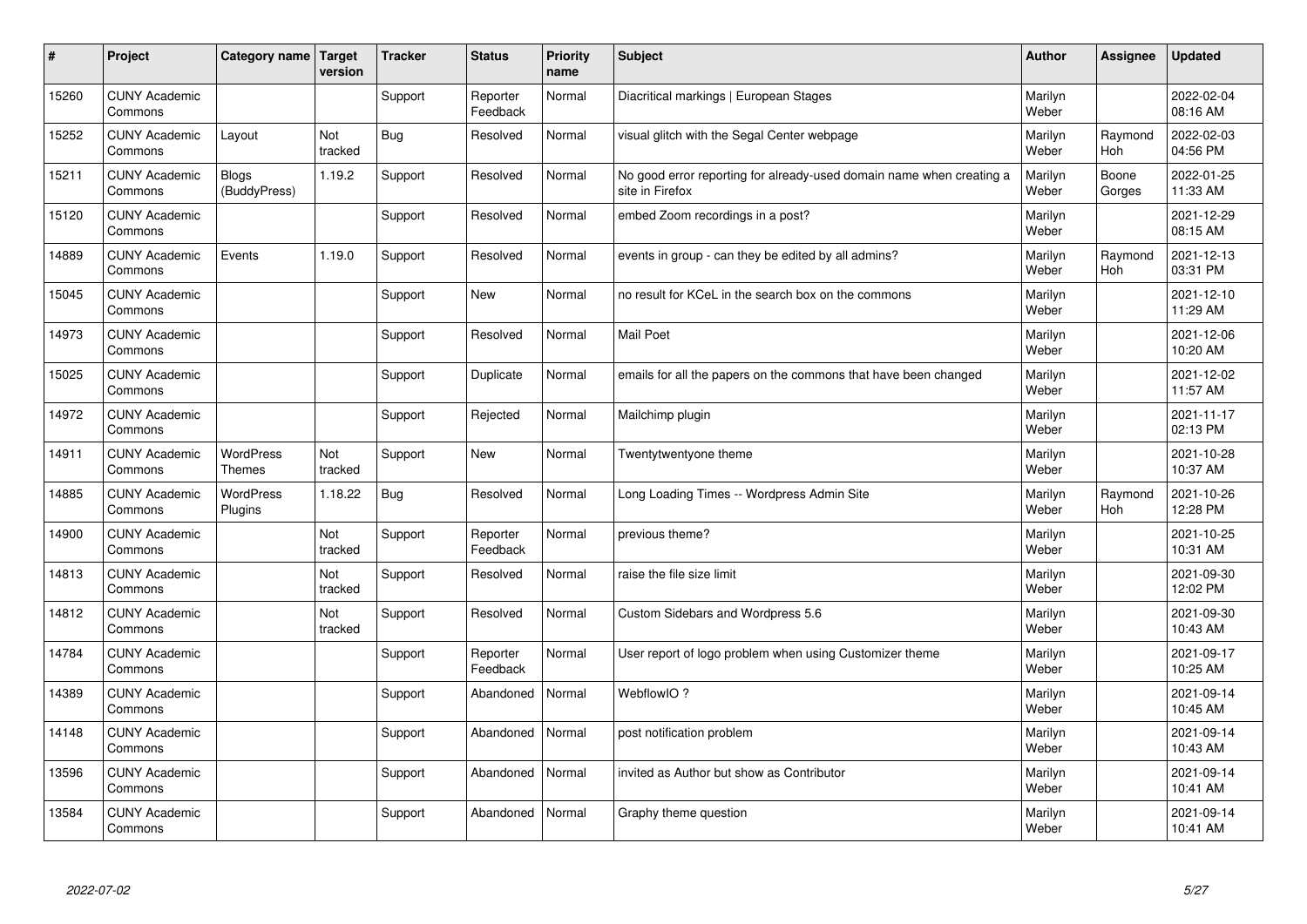| #     | Project                         | Category name   Target            | version        | <b>Tracker</b> | <b>Status</b>        | <b>Priority</b><br>name | <b>Subject</b>                                                                          | <b>Author</b>    | Assignee              | <b>Updated</b>         |
|-------|---------------------------------|-----------------------------------|----------------|----------------|----------------------|-------------------------|-----------------------------------------------------------------------------------------|------------------|-----------------------|------------------------|
| 15260 | <b>CUNY Academic</b><br>Commons |                                   |                | Support        | Reporter<br>Feedback | Normal                  | Diacritical markings   European Stages                                                  | Marilyn<br>Weber |                       | 2022-02-04<br>08:16 AM |
| 15252 | <b>CUNY Academic</b><br>Commons | Layout                            | Not<br>tracked | Bug            | Resolved             | Normal                  | visual glitch with the Segal Center webpage                                             | Marilyn<br>Weber | Raymond<br>Hoh        | 2022-02-03<br>04:56 PM |
| 15211 | <b>CUNY Academic</b><br>Commons | <b>Blogs</b><br>(BuddyPress)      | 1.19.2         | Support        | Resolved             | Normal                  | No good error reporting for already-used domain name when creating a<br>site in Firefox | Marilyn<br>Weber | Boone<br>Gorges       | 2022-01-25<br>11:33 AM |
| 15120 | <b>CUNY Academic</b><br>Commons |                                   |                | Support        | Resolved             | Normal                  | embed Zoom recordings in a post?                                                        | Marilyn<br>Weber |                       | 2021-12-29<br>08:15 AM |
| 14889 | <b>CUNY Academic</b><br>Commons | Events                            | 1.19.0         | Support        | Resolved             | Normal                  | events in group - can they be edited by all admins?                                     | Marilyn<br>Weber | Raymond<br>Hoh        | 2021-12-13<br>03:31 PM |
| 15045 | <b>CUNY Academic</b><br>Commons |                                   |                | Support        | <b>New</b>           | Normal                  | no result for KCeL in the search box on the commons                                     | Marilyn<br>Weber |                       | 2021-12-10<br>11:29 AM |
| 14973 | <b>CUNY Academic</b><br>Commons |                                   |                | Support        | Resolved             | Normal                  | <b>Mail Poet</b>                                                                        | Marilyn<br>Weber |                       | 2021-12-06<br>10:20 AM |
| 15025 | <b>CUNY Academic</b><br>Commons |                                   |                | Support        | Duplicate            | Normal                  | emails for all the papers on the commons that have been changed                         | Marilyn<br>Weber |                       | 2021-12-02<br>11:57 AM |
| 14972 | <b>CUNY Academic</b><br>Commons |                                   |                | Support        | Rejected             | Normal                  | Mailchimp plugin                                                                        | Marilyn<br>Weber |                       | 2021-11-17<br>02:13 PM |
| 14911 | <b>CUNY Academic</b><br>Commons | <b>WordPress</b><br><b>Themes</b> | Not<br>tracked | Support        | <b>New</b>           | Normal                  | Twentytwentyone theme                                                                   | Marilyn<br>Weber |                       | 2021-10-28<br>10:37 AM |
| 14885 | <b>CUNY Academic</b><br>Commons | <b>WordPress</b><br>Plugins       | 1.18.22        | <b>Bug</b>     | Resolved             | Normal                  | Long Loading Times -- Wordpress Admin Site                                              | Marilyn<br>Weber | Raymond<br><b>Hoh</b> | 2021-10-26<br>12:28 PM |
| 14900 | <b>CUNY Academic</b><br>Commons |                                   | Not<br>tracked | Support        | Reporter<br>Feedback | Normal                  | previous theme?                                                                         | Marilyn<br>Weber |                       | 2021-10-25<br>10:31 AM |
| 14813 | <b>CUNY Academic</b><br>Commons |                                   | Not<br>tracked | Support        | Resolved             | Normal                  | raise the file size limit                                                               | Marilyn<br>Weber |                       | 2021-09-30<br>12:02 PM |
| 14812 | <b>CUNY Academic</b><br>Commons |                                   | Not<br>tracked | Support        | Resolved             | Normal                  | Custom Sidebars and Wordpress 5.6                                                       | Marilyn<br>Weber |                       | 2021-09-30<br>10:43 AM |
| 14784 | <b>CUNY Academic</b><br>Commons |                                   |                | Support        | Reporter<br>Feedback | Normal                  | User report of logo problem when using Customizer theme                                 | Marilyn<br>Weber |                       | 2021-09-17<br>10:25 AM |
| 14389 | <b>CUNY Academic</b><br>Commons |                                   |                | Support        | Abandoned            | Normal                  | WebflowIO?                                                                              | Marilyn<br>Weber |                       | 2021-09-14<br>10:45 AM |
| 14148 | <b>CUNY Academic</b><br>Commons |                                   |                | Support        | Abandoned            | Normal                  | post notification problem                                                               | Marilyn<br>Weber |                       | 2021-09-14<br>10:43 AM |
| 13596 | <b>CUNY Academic</b><br>Commons |                                   |                | Support        | Abandoned            | Normal                  | invited as Author but show as Contributor                                               | Marilyn<br>Weber |                       | 2021-09-14<br>10:41 AM |
| 13584 | <b>CUNY Academic</b><br>Commons |                                   |                | Support        | Abandoned            | Normal                  | Graphy theme question                                                                   | Marilyn<br>Weber |                       | 2021-09-14<br>10:41 AM |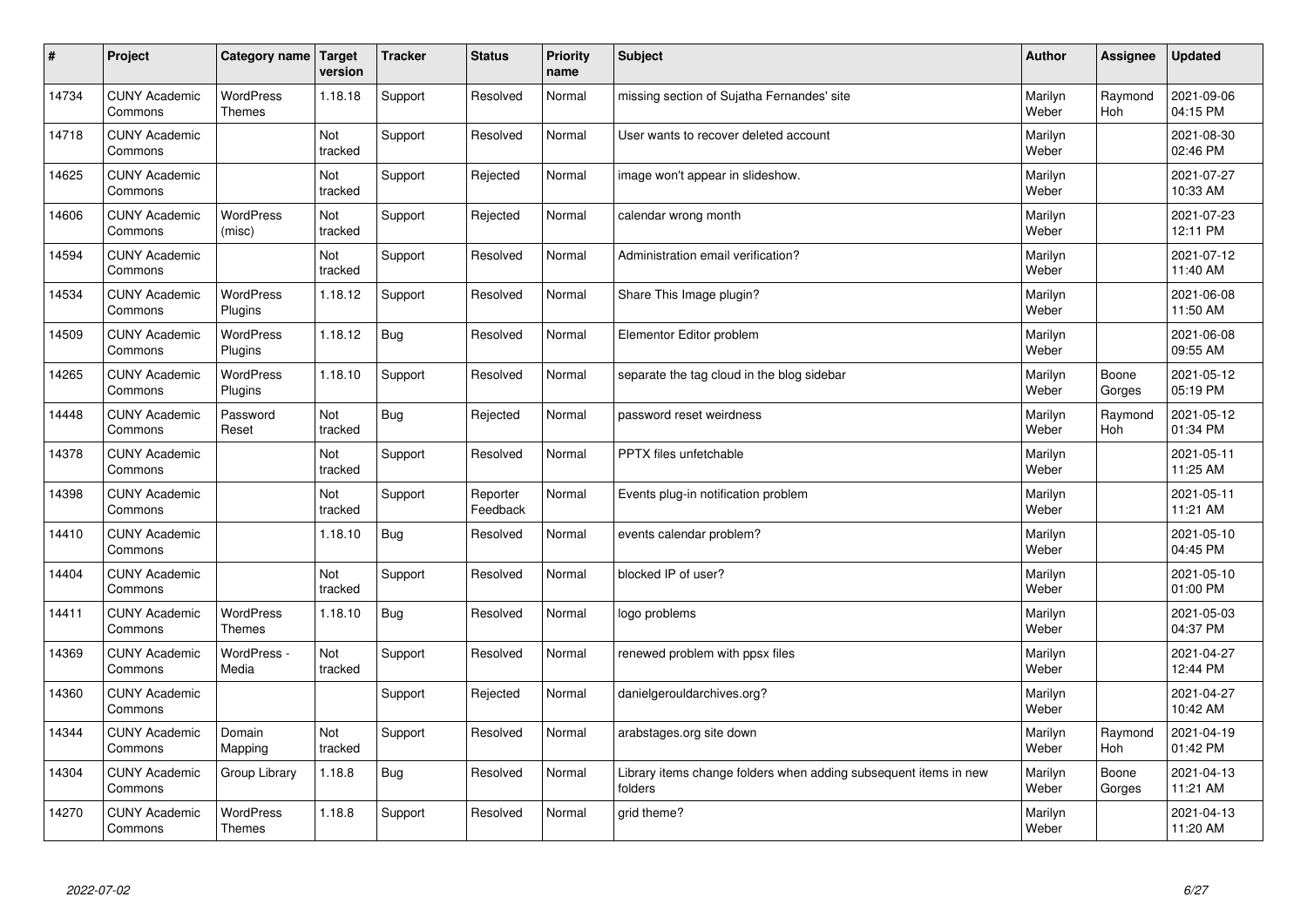| $\sharp$ | Project                         | <b>Category name</b>              | Target<br>version | <b>Tracker</b> | <b>Status</b>        | <b>Priority</b><br>name | <b>Subject</b>                                                              | <b>Author</b>    | Assignee              | <b>Updated</b>         |
|----------|---------------------------------|-----------------------------------|-------------------|----------------|----------------------|-------------------------|-----------------------------------------------------------------------------|------------------|-----------------------|------------------------|
| 14734    | <b>CUNY Academic</b><br>Commons | <b>WordPress</b><br><b>Themes</b> | 1.18.18           | Support        | Resolved             | Normal                  | missing section of Sujatha Fernandes' site                                  | Marilyn<br>Weber | Raymond<br><b>Hoh</b> | 2021-09-06<br>04:15 PM |
| 14718    | <b>CUNY Academic</b><br>Commons |                                   | Not<br>tracked    | Support        | Resolved             | Normal                  | User wants to recover deleted account                                       | Marilyn<br>Weber |                       | 2021-08-30<br>02:46 PM |
| 14625    | <b>CUNY Academic</b><br>Commons |                                   | Not<br>tracked    | Support        | Rejected             | Normal                  | image won't appear in slideshow.                                            | Marilyn<br>Weber |                       | 2021-07-27<br>10:33 AM |
| 14606    | <b>CUNY Academic</b><br>Commons | <b>WordPress</b><br>(misc)        | Not<br>tracked    | Support        | Rejected             | Normal                  | calendar wrong month                                                        | Marilyn<br>Weber |                       | 2021-07-23<br>12:11 PM |
| 14594    | <b>CUNY Academic</b><br>Commons |                                   | Not<br>tracked    | Support        | Resolved             | Normal                  | Administration email verification?                                          | Marilyn<br>Weber |                       | 2021-07-12<br>11:40 AM |
| 14534    | <b>CUNY Academic</b><br>Commons | WordPress<br>Plugins              | 1.18.12           | Support        | Resolved             | Normal                  | Share This Image plugin?                                                    | Marilyn<br>Weber |                       | 2021-06-08<br>11:50 AM |
| 14509    | <b>CUNY Academic</b><br>Commons | WordPress<br>Plugins              | 1.18.12           | <b>Bug</b>     | Resolved             | Normal                  | Elementor Editor problem                                                    | Marilyn<br>Weber |                       | 2021-06-08<br>09:55 AM |
| 14265    | <b>CUNY Academic</b><br>Commons | <b>WordPress</b><br>Plugins       | 1.18.10           | Support        | Resolved             | Normal                  | separate the tag cloud in the blog sidebar                                  | Marilyn<br>Weber | Boone<br>Gorges       | 2021-05-12<br>05:19 PM |
| 14448    | <b>CUNY Academic</b><br>Commons | Password<br>Reset                 | Not<br>tracked    | Bug            | Rejected             | Normal                  | password reset weirdness                                                    | Marilyn<br>Weber | Raymond<br><b>Hoh</b> | 2021-05-12<br>01:34 PM |
| 14378    | <b>CUNY Academic</b><br>Commons |                                   | Not<br>tracked    | Support        | Resolved             | Normal                  | PPTX files unfetchable                                                      | Marilyn<br>Weber |                       | 2021-05-11<br>11:25 AM |
| 14398    | <b>CUNY Academic</b><br>Commons |                                   | Not<br>tracked    | Support        | Reporter<br>Feedback | Normal                  | Events plug-in notification problem                                         | Marilyn<br>Weber |                       | 2021-05-11<br>11:21 AM |
| 14410    | <b>CUNY Academic</b><br>Commons |                                   | 1.18.10           | <b>Bug</b>     | Resolved             | Normal                  | events calendar problem?                                                    | Marilyn<br>Weber |                       | 2021-05-10<br>04:45 PM |
| 14404    | <b>CUNY Academic</b><br>Commons |                                   | Not<br>tracked    | Support        | Resolved             | Normal                  | blocked IP of user?                                                         | Marilyn<br>Weber |                       | 2021-05-10<br>01:00 PM |
| 14411    | <b>CUNY Academic</b><br>Commons | <b>WordPress</b><br><b>Themes</b> | 1.18.10           | <b>Bug</b>     | Resolved             | Normal                  | logo problems                                                               | Marilyn<br>Weber |                       | 2021-05-03<br>04:37 PM |
| 14369    | <b>CUNY Academic</b><br>Commons | WordPress -<br>Media              | Not<br>tracked    | Support        | Resolved             | Normal                  | renewed problem with ppsx files                                             | Marilyn<br>Weber |                       | 2021-04-27<br>12:44 PM |
| 14360    | <b>CUNY Academic</b><br>Commons |                                   |                   | Support        | Rejected             | Normal                  | danielgerouldarchives.org?                                                  | Marilyn<br>Weber |                       | 2021-04-27<br>10:42 AM |
| 14344    | <b>CUNY Academic</b><br>Commons | Domain<br>Mapping                 | Not<br>tracked    | Support        | Resolved             | Normal                  | arabstages.org site down                                                    | Marilyn<br>Weber | Raymond<br>Hoh        | 2021-04-19<br>01:42 PM |
| 14304    | <b>CUNY Academic</b><br>Commons | Group Library                     | 1.18.8            | <b>Bug</b>     | Resolved             | Normal                  | Library items change folders when adding subsequent items in new<br>folders | Marilyn<br>Weber | Boone<br>Gorges       | 2021-04-13<br>11:21 AM |
| 14270    | <b>CUNY Academic</b><br>Commons | <b>WordPress</b><br><b>Themes</b> | 1.18.8            | Support        | Resolved             | Normal                  | grid theme?                                                                 | Marilyn<br>Weber |                       | 2021-04-13<br>11:20 AM |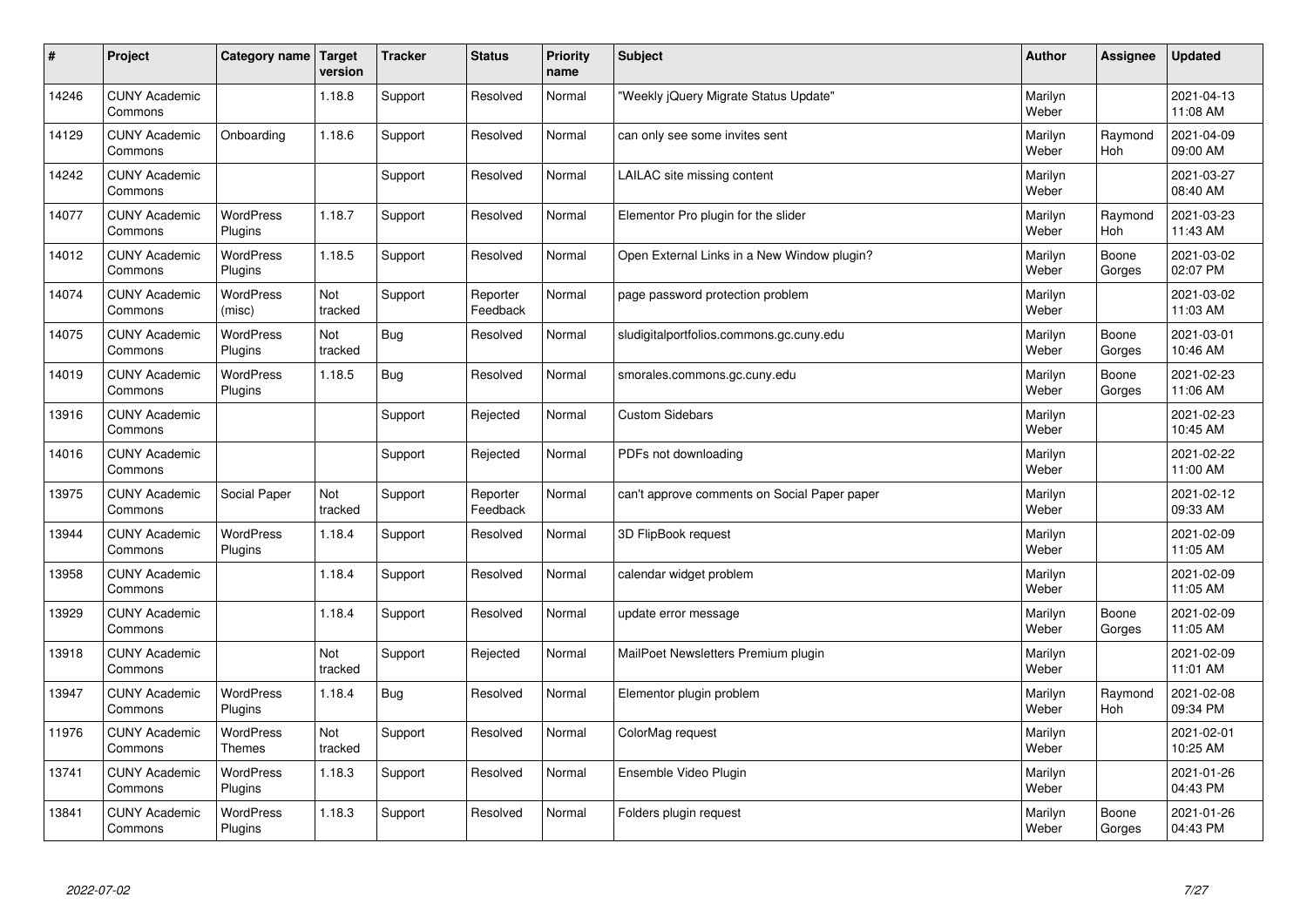| #     | Project                         | Category name   Target      | version        | <b>Tracker</b> | <b>Status</b>        | <b>Priority</b><br>name | <b>Subject</b>                               | <b>Author</b>    | Assignee        | <b>Updated</b>         |
|-------|---------------------------------|-----------------------------|----------------|----------------|----------------------|-------------------------|----------------------------------------------|------------------|-----------------|------------------------|
| 14246 | <b>CUNY Academic</b><br>Commons |                             | 1.18.8         | Support        | Resolved             | Normal                  | 'Weekly jQuery Migrate Status Update"        | Marilyn<br>Weber |                 | 2021-04-13<br>11:08 AM |
| 14129 | <b>CUNY Academic</b><br>Commons | Onboarding                  | 1.18.6         | Support        | Resolved             | Normal                  | can only see some invites sent               | Marilyn<br>Weber | Raymond<br>Hoh  | 2021-04-09<br>09:00 AM |
| 14242 | <b>CUNY Academic</b><br>Commons |                             |                | Support        | Resolved             | Normal                  | LAILAC site missing content                  | Marilyn<br>Weber |                 | 2021-03-27<br>08:40 AM |
| 14077 | <b>CUNY Academic</b><br>Commons | <b>WordPress</b><br>Plugins | 1.18.7         | Support        | Resolved             | Normal                  | Elementor Pro plugin for the slider          | Marilyn<br>Weber | Raymond<br>Hoh  | 2021-03-23<br>11:43 AM |
| 14012 | <b>CUNY Academic</b><br>Commons | <b>WordPress</b><br>Plugins | 1.18.5         | Support        | Resolved             | Normal                  | Open External Links in a New Window plugin?  | Marilyn<br>Weber | Boone<br>Gorges | 2021-03-02<br>02:07 PM |
| 14074 | <b>CUNY Academic</b><br>Commons | <b>WordPress</b><br>(misc)  | Not<br>tracked | Support        | Reporter<br>Feedback | Normal                  | page password protection problem             | Marilyn<br>Weber |                 | 2021-03-02<br>11:03 AM |
| 14075 | <b>CUNY Academic</b><br>Commons | <b>WordPress</b><br>Plugins | Not<br>tracked | <b>Bug</b>     | Resolved             | Normal                  | sludigitalportfolios.commons.gc.cuny.edu     | Marilyn<br>Weber | Boone<br>Gorges | 2021-03-01<br>10:46 AM |
| 14019 | <b>CUNY Academic</b><br>Commons | WordPress<br>Plugins        | 1.18.5         | <b>Bug</b>     | Resolved             | Normal                  | smorales.commons.gc.cuny.edu                 | Marilyn<br>Weber | Boone<br>Gorges | 2021-02-23<br>11:06 AM |
| 13916 | <b>CUNY Academic</b><br>Commons |                             |                | Support        | Rejected             | Normal                  | <b>Custom Sidebars</b>                       | Marilyn<br>Weber |                 | 2021-02-23<br>10:45 AM |
| 14016 | <b>CUNY Academic</b><br>Commons |                             |                | Support        | Rejected             | Normal                  | PDFs not downloading                         | Marilyn<br>Weber |                 | 2021-02-22<br>11:00 AM |
| 13975 | <b>CUNY Academic</b><br>Commons | Social Paper                | Not<br>tracked | Support        | Reporter<br>Feedback | Normal                  | can't approve comments on Social Paper paper | Marilyn<br>Weber |                 | 2021-02-12<br>09:33 AM |
| 13944 | <b>CUNY Academic</b><br>Commons | WordPress<br>Plugins        | 1.18.4         | Support        | Resolved             | Normal                  | 3D FlipBook request                          | Marilyn<br>Weber |                 | 2021-02-09<br>11:05 AM |
| 13958 | <b>CUNY Academic</b><br>Commons |                             | 1.18.4         | Support        | Resolved             | Normal                  | calendar widget problem                      | Marilyn<br>Weber |                 | 2021-02-09<br>11:05 AM |
| 13929 | <b>CUNY Academic</b><br>Commons |                             | 1.18.4         | Support        | Resolved             | Normal                  | update error message                         | Marilyn<br>Weber | Boone<br>Gorges | 2021-02-09<br>11:05 AM |
| 13918 | <b>CUNY Academic</b><br>Commons |                             | Not<br>tracked | Support        | Rejected             | Normal                  | MailPoet Newsletters Premium plugin          | Marilyn<br>Weber |                 | 2021-02-09<br>11:01 AM |
| 13947 | <b>CUNY Academic</b><br>Commons | <b>WordPress</b><br>Plugins | 1.18.4         | Bug            | Resolved             | Normal                  | Elementor plugin problem                     | Marilyn<br>Weber | Raymond<br>Hoh  | 2021-02-08<br>09:34 PM |
| 11976 | <b>CUNY Academic</b><br>Commons | WordPress<br><b>Themes</b>  | Not<br>tracked | Support        | Resolved             | Normal                  | ColorMag request                             | Marilyn<br>Weber |                 | 2021-02-01<br>10:25 AM |
| 13741 | <b>CUNY Academic</b><br>Commons | <b>WordPress</b><br>Plugins | 1.18.3         | Support        | Resolved             | Normal                  | Ensemble Video Plugin                        | Marilyn<br>Weber |                 | 2021-01-26<br>04:43 PM |
| 13841 | <b>CUNY Academic</b><br>Commons | WordPress<br>Plugins        | 1.18.3         | Support        | Resolved             | Normal                  | Folders plugin request                       | Marilyn<br>Weber | Boone<br>Gorges | 2021-01-26<br>04:43 PM |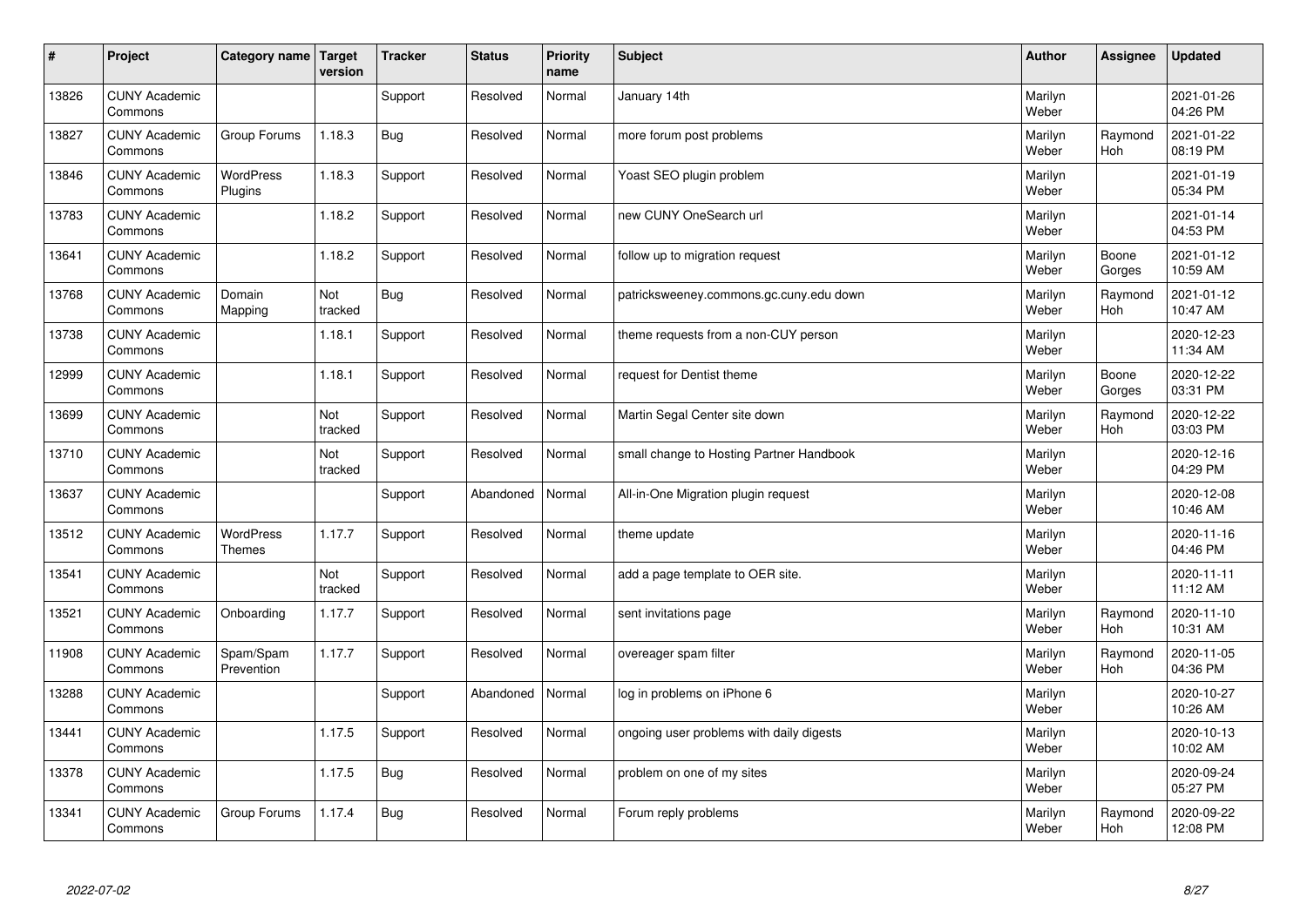| $\sharp$ | Project                         | Category name   Target      | version        | <b>Tracker</b> | <b>Status</b> | <b>Priority</b><br>name | <b>Subject</b>                           | <b>Author</b>    | Assignee              | <b>Updated</b>         |
|----------|---------------------------------|-----------------------------|----------------|----------------|---------------|-------------------------|------------------------------------------|------------------|-----------------------|------------------------|
| 13826    | <b>CUNY Academic</b><br>Commons |                             |                | Support        | Resolved      | Normal                  | January 14th                             | Marilyn<br>Weber |                       | 2021-01-26<br>04:26 PM |
| 13827    | <b>CUNY Academic</b><br>Commons | Group Forums                | 1.18.3         | Bug            | Resolved      | Normal                  | more forum post problems                 | Marilyn<br>Weber | Raymond<br><b>Hoh</b> | 2021-01-22<br>08:19 PM |
| 13846    | <b>CUNY Academic</b><br>Commons | <b>WordPress</b><br>Plugins | 1.18.3         | Support        | Resolved      | Normal                  | Yoast SEO plugin problem                 | Marilyn<br>Weber |                       | 2021-01-19<br>05:34 PM |
| 13783    | <b>CUNY Academic</b><br>Commons |                             | 1.18.2         | Support        | Resolved      | Normal                  | new CUNY OneSearch url                   | Marilyn<br>Weber |                       | 2021-01-14<br>04:53 PM |
| 13641    | <b>CUNY Academic</b><br>Commons |                             | 1.18.2         | Support        | Resolved      | Normal                  | follow up to migration request           | Marilyn<br>Weber | Boone<br>Gorges       | 2021-01-12<br>10:59 AM |
| 13768    | <b>CUNY Academic</b><br>Commons | Domain<br>Mapping           | Not<br>tracked | <b>Bug</b>     | Resolved      | Normal                  | patricksweeney.commons.gc.cuny.edu down  | Marilyn<br>Weber | Raymond<br>Hoh        | 2021-01-12<br>10:47 AM |
| 13738    | <b>CUNY Academic</b><br>Commons |                             | 1.18.1         | Support        | Resolved      | Normal                  | theme requests from a non-CUY person     | Marilyn<br>Weber |                       | 2020-12-23<br>11:34 AM |
| 12999    | <b>CUNY Academic</b><br>Commons |                             | 1.18.1         | Support        | Resolved      | Normal                  | request for Dentist theme                | Marilyn<br>Weber | Boone<br>Gorges       | 2020-12-22<br>03:31 PM |
| 13699    | <b>CUNY Academic</b><br>Commons |                             | Not<br>tracked | Support        | Resolved      | Normal                  | Martin Segal Center site down            | Marilyn<br>Weber | Raymond<br>Hoh        | 2020-12-22<br>03:03 PM |
| 13710    | <b>CUNY Academic</b><br>Commons |                             | Not<br>tracked | Support        | Resolved      | Normal                  | small change to Hosting Partner Handbook | Marilyn<br>Weber |                       | 2020-12-16<br>04:29 PM |
| 13637    | <b>CUNY Academic</b><br>Commons |                             |                | Support        | Abandoned     | Normal                  | All-in-One Migration plugin request      | Marilyn<br>Weber |                       | 2020-12-08<br>10:46 AM |
| 13512    | <b>CUNY Academic</b><br>Commons | WordPress<br><b>Themes</b>  | 1.17.7         | Support        | Resolved      | Normal                  | theme update                             | Marilyn<br>Weber |                       | 2020-11-16<br>04:46 PM |
| 13541    | <b>CUNY Academic</b><br>Commons |                             | Not<br>tracked | Support        | Resolved      | Normal                  | add a page template to OER site.         | Marilyn<br>Weber |                       | 2020-11-11<br>11:12 AM |
| 13521    | <b>CUNY Academic</b><br>Commons | Onboarding                  | 1.17.7         | Support        | Resolved      | Normal                  | sent invitations page                    | Marilyn<br>Weber | Raymond<br>Hoh        | 2020-11-10<br>10:31 AM |
| 11908    | <b>CUNY Academic</b><br>Commons | Spam/Spam<br>Prevention     | 1.17.7         | Support        | Resolved      | Normal                  | overeager spam filter                    | Marilyn<br>Weber | Raymond<br>Hoh        | 2020-11-05<br>04:36 PM |
| 13288    | <b>CUNY Academic</b><br>Commons |                             |                | Support        | Abandoned     | Normal                  | log in problems on iPhone 6              | Marilyn<br>Weber |                       | 2020-10-27<br>10:26 AM |
| 13441    | <b>CUNY Academic</b><br>Commons |                             | 1.17.5         | Support        | Resolved      | Normal                  | ongoing user problems with daily digests | Marilyn<br>Weber |                       | 2020-10-13<br>10:02 AM |
| 13378    | <b>CUNY Academic</b><br>Commons |                             | 1.17.5         | Bug            | Resolved      | Normal                  | problem on one of my sites               | Marilyn<br>Weber |                       | 2020-09-24<br>05:27 PM |
| 13341    | <b>CUNY Academic</b><br>Commons | Group Forums                | 1.17.4         | Bug            | Resolved      | Normal                  | Forum reply problems                     | Marilyn<br>Weber | Raymond<br>Hoh        | 2020-09-22<br>12:08 PM |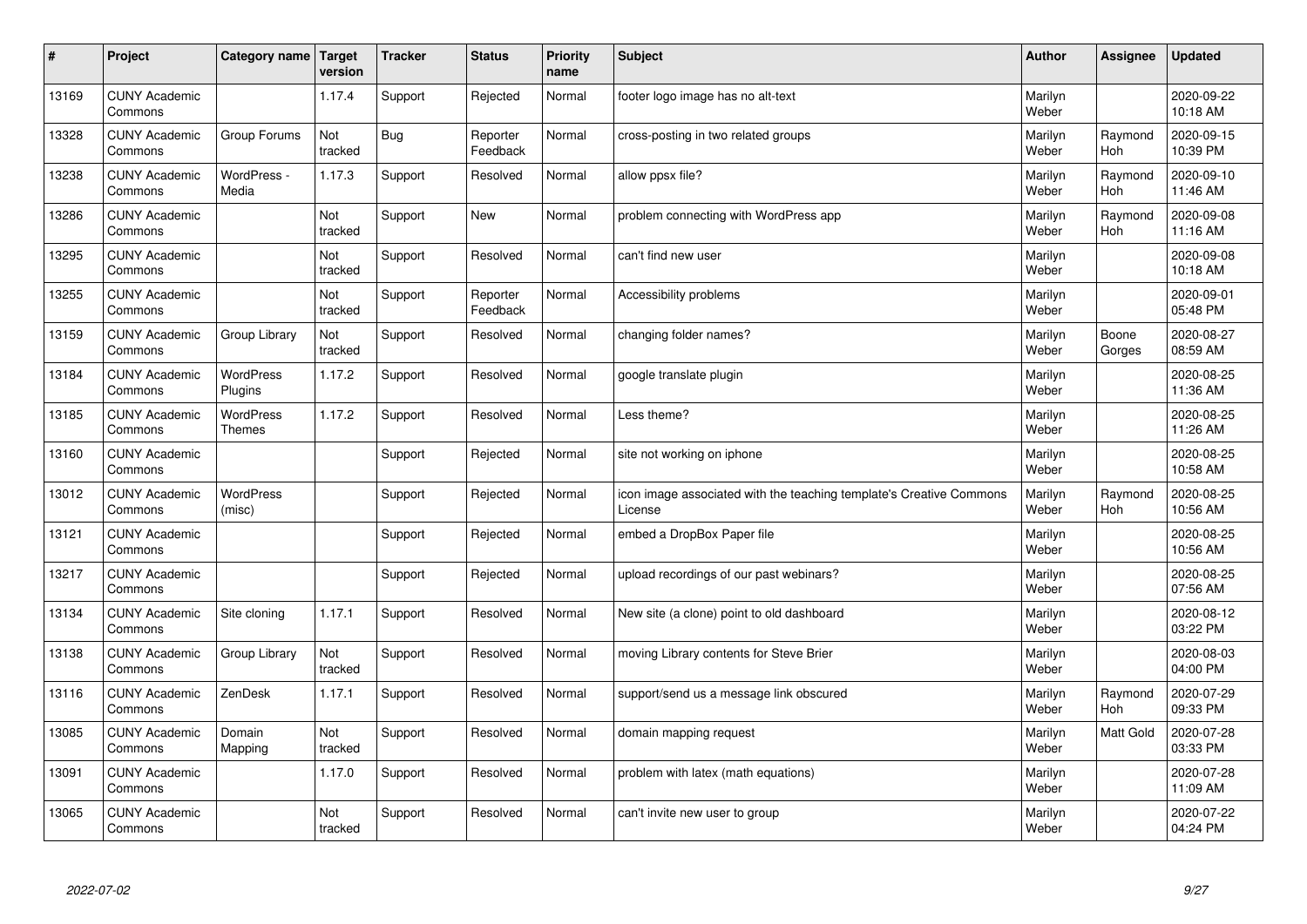| #     | Project                         | Category name   Target     | version        | <b>Tracker</b> | <b>Status</b>        | <b>Priority</b><br>name | <b>Subject</b>                                                                 | <b>Author</b>    | Assignee              | <b>Updated</b>         |
|-------|---------------------------------|----------------------------|----------------|----------------|----------------------|-------------------------|--------------------------------------------------------------------------------|------------------|-----------------------|------------------------|
| 13169 | <b>CUNY Academic</b><br>Commons |                            | 1.17.4         | Support        | Rejected             | Normal                  | footer logo image has no alt-text                                              | Marilyn<br>Weber |                       | 2020-09-22<br>10:18 AM |
| 13328 | <b>CUNY Academic</b><br>Commons | Group Forums               | Not<br>tracked | Bug            | Reporter<br>Feedback | Normal                  | cross-posting in two related groups                                            | Marilyn<br>Weber | Raymond<br>Hoh        | 2020-09-15<br>10:39 PM |
| 13238 | <b>CUNY Academic</b><br>Commons | WordPress -<br>Media       | 1.17.3         | Support        | Resolved             | Normal                  | allow ppsx file?                                                               | Marilyn<br>Weber | Raymond<br><b>Hoh</b> | 2020-09-10<br>11:46 AM |
| 13286 | <b>CUNY Academic</b><br>Commons |                            | Not<br>tracked | Support        | <b>New</b>           | Normal                  | problem connecting with WordPress app                                          | Marilyn<br>Weber | Raymond<br>Hoh        | 2020-09-08<br>11:16 AM |
| 13295 | <b>CUNY Academic</b><br>Commons |                            | Not<br>tracked | Support        | Resolved             | Normal                  | can't find new user                                                            | Marilyn<br>Weber |                       | 2020-09-08<br>10:18 AM |
| 13255 | <b>CUNY Academic</b><br>Commons |                            | Not<br>tracked | Support        | Reporter<br>Feedback | Normal                  | Accessibility problems                                                         | Marilyn<br>Weber |                       | 2020-09-01<br>05:48 PM |
| 13159 | <b>CUNY Academic</b><br>Commons | Group Library              | Not<br>tracked | Support        | Resolved             | Normal                  | changing folder names?                                                         | Marilyn<br>Weber | Boone<br>Gorges       | 2020-08-27<br>08:59 AM |
| 13184 | <b>CUNY Academic</b><br>Commons | WordPress<br>Plugins       | 1.17.2         | Support        | Resolved             | Normal                  | google translate plugin                                                        | Marilyn<br>Weber |                       | 2020-08-25<br>11:36 AM |
| 13185 | <b>CUNY Academic</b><br>Commons | <b>WordPress</b><br>Themes | 1.17.2         | Support        | Resolved             | Normal                  | Less theme?                                                                    | Marilyn<br>Weber |                       | 2020-08-25<br>11:26 AM |
| 13160 | <b>CUNY Academic</b><br>Commons |                            |                | Support        | Rejected             | Normal                  | site not working on iphone                                                     | Marilyn<br>Weber |                       | 2020-08-25<br>10:58 AM |
| 13012 | <b>CUNY Academic</b><br>Commons | <b>WordPress</b><br>(misc) |                | Support        | Rejected             | Normal                  | icon image associated with the teaching template's Creative Commons<br>License | Marilyn<br>Weber | Raymond<br>Hoh        | 2020-08-25<br>10:56 AM |
| 13121 | <b>CUNY Academic</b><br>Commons |                            |                | Support        | Rejected             | Normal                  | embed a DropBox Paper file                                                     | Marilyn<br>Weber |                       | 2020-08-25<br>10:56 AM |
| 13217 | <b>CUNY Academic</b><br>Commons |                            |                | Support        | Rejected             | Normal                  | upload recordings of our past webinars?                                        | Marilyn<br>Weber |                       | 2020-08-25<br>07:56 AM |
| 13134 | <b>CUNY Academic</b><br>Commons | Site cloning               | 1.17.1         | Support        | Resolved             | Normal                  | New site (a clone) point to old dashboard                                      | Marilyn<br>Weber |                       | 2020-08-12<br>03:22 PM |
| 13138 | <b>CUNY Academic</b><br>Commons | Group Library              | Not<br>tracked | Support        | Resolved             | Normal                  | moving Library contents for Steve Brier                                        | Marilyn<br>Weber |                       | 2020-08-03<br>04:00 PM |
| 13116 | <b>CUNY Academic</b><br>Commons | ZenDesk                    | 1.17.1         | Support        | Resolved             | Normal                  | support/send us a message link obscured                                        | Marilyn<br>Weber | Raymond<br>Hoh        | 2020-07-29<br>09:33 PM |
| 13085 | <b>CUNY Academic</b><br>Commons | Domain<br>Mapping          | Not<br>tracked | Support        | Resolved             | Normal                  | domain mapping request                                                         | Marilyn<br>Weber | <b>Matt Gold</b>      | 2020-07-28<br>03:33 PM |
| 13091 | <b>CUNY Academic</b><br>Commons |                            | 1.17.0         | Support        | Resolved             | Normal                  | problem with latex (math equations)                                            | Marilyn<br>Weber |                       | 2020-07-28<br>11:09 AM |
| 13065 | <b>CUNY Academic</b><br>Commons |                            | Not<br>tracked | Support        | Resolved             | Normal                  | can't invite new user to group                                                 | Marilyn<br>Weber |                       | 2020-07-22<br>04:24 PM |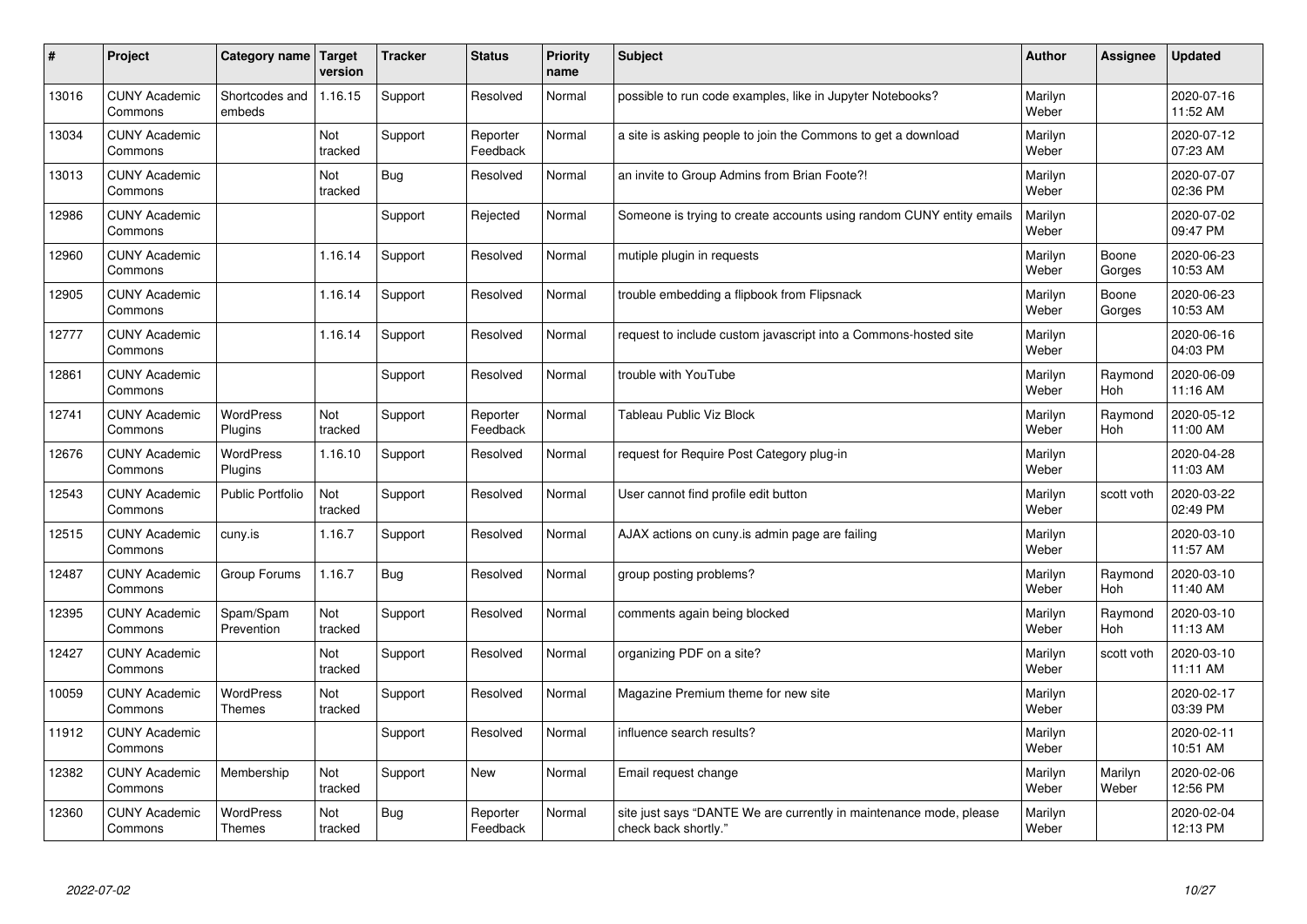| $\sharp$ | Project                         | Category name   Target            | version        | <b>Tracker</b> | <b>Status</b>        | <b>Priority</b><br>name | <b>Subject</b>                                                                             | <b>Author</b>    | Assignee         | <b>Updated</b>         |
|----------|---------------------------------|-----------------------------------|----------------|----------------|----------------------|-------------------------|--------------------------------------------------------------------------------------------|------------------|------------------|------------------------|
| 13016    | <b>CUNY Academic</b><br>Commons | Shortcodes and<br>embeds          | 1.16.15        | Support        | Resolved             | Normal                  | possible to run code examples, like in Jupyter Notebooks?                                  | Marilyn<br>Weber |                  | 2020-07-16<br>11:52 AM |
| 13034    | <b>CUNY Academic</b><br>Commons |                                   | Not<br>tracked | Support        | Reporter<br>Feedback | Normal                  | a site is asking people to join the Commons to get a download                              | Marilyn<br>Weber |                  | 2020-07-12<br>07:23 AM |
| 13013    | <b>CUNY Academic</b><br>Commons |                                   | Not<br>tracked | <b>Bug</b>     | Resolved             | Normal                  | an invite to Group Admins from Brian Foote?!                                               | Marilyn<br>Weber |                  | 2020-07-07<br>02:36 PM |
| 12986    | <b>CUNY Academic</b><br>Commons |                                   |                | Support        | Rejected             | Normal                  | Someone is trying to create accounts using random CUNY entity emails                       | Marilyn<br>Weber |                  | 2020-07-02<br>09:47 PM |
| 12960    | <b>CUNY Academic</b><br>Commons |                                   | 1.16.14        | Support        | Resolved             | Normal                  | mutiple plugin in requests                                                                 | Marilyn<br>Weber | Boone<br>Gorges  | 2020-06-23<br>10:53 AM |
| 12905    | <b>CUNY Academic</b><br>Commons |                                   | 1.16.14        | Support        | Resolved             | Normal                  | trouble embedding a flipbook from Flipsnack                                                | Marilyn<br>Weber | Boone<br>Gorges  | 2020-06-23<br>10:53 AM |
| 12777    | <b>CUNY Academic</b><br>Commons |                                   | 1.16.14        | Support        | Resolved             | Normal                  | request to include custom javascript into a Commons-hosted site                            | Marilyn<br>Weber |                  | 2020-06-16<br>04:03 PM |
| 12861    | <b>CUNY Academic</b><br>Commons |                                   |                | Support        | Resolved             | Normal                  | trouble with YouTube                                                                       | Marilyn<br>Weber | Raymond<br>Hoh   | 2020-06-09<br>11:16 AM |
| 12741    | <b>CUNY Academic</b><br>Commons | <b>WordPress</b><br>Plugins       | Not<br>tracked | Support        | Reporter<br>Feedback | Normal                  | <b>Tableau Public Viz Block</b>                                                            | Marilyn<br>Weber | Raymond<br>Hoh   | 2020-05-12<br>11:00 AM |
| 12676    | <b>CUNY Academic</b><br>Commons | <b>WordPress</b><br>Plugins       | 1.16.10        | Support        | Resolved             | Normal                  | request for Require Post Category plug-in                                                  | Marilyn<br>Weber |                  | 2020-04-28<br>11:03 AM |
| 12543    | <b>CUNY Academic</b><br>Commons | <b>Public Portfolio</b>           | Not<br>tracked | Support        | Resolved             | Normal                  | User cannot find profile edit button                                                       | Marilyn<br>Weber | scott voth       | 2020-03-22<br>02:49 PM |
| 12515    | <b>CUNY Academic</b><br>Commons | cuny.is                           | 1.16.7         | Support        | Resolved             | Normal                  | AJAX actions on cuny is admin page are failing                                             | Marilyn<br>Weber |                  | 2020-03-10<br>11:57 AM |
| 12487    | <b>CUNY Academic</b><br>Commons | Group Forums                      | 1.16.7         | Bug            | Resolved             | Normal                  | group posting problems?                                                                    | Marilyn<br>Weber | Raymond<br>Hoh   | 2020-03-10<br>11:40 AM |
| 12395    | <b>CUNY Academic</b><br>Commons | Spam/Spam<br>Prevention           | Not<br>tracked | Support        | Resolved             | Normal                  | comments again being blocked                                                               | Marilyn<br>Weber | Raymond<br>Hoh   | 2020-03-10<br>11:13 AM |
| 12427    | <b>CUNY Academic</b><br>Commons |                                   | Not<br>tracked | Support        | Resolved             | Normal                  | organizing PDF on a site?                                                                  | Marilyn<br>Weber | scott voth       | 2020-03-10<br>11:11 AM |
| 10059    | <b>CUNY Academic</b><br>Commons | <b>WordPress</b><br><b>Themes</b> | Not<br>tracked | Support        | Resolved             | Normal                  | Magazine Premium theme for new site                                                        | Marilyn<br>Weber |                  | 2020-02-17<br>03:39 PM |
| 11912    | <b>CUNY Academic</b><br>Commons |                                   |                | Support        | Resolved             | Normal                  | influence search results?                                                                  | Marilyn<br>Weber |                  | 2020-02-11<br>10:51 AM |
| 12382    | <b>CUNY Academic</b><br>Commons | Membership                        | Not<br>tracked | Support        | <b>New</b>           | Normal                  | Email request change                                                                       | Marilyn<br>Weber | Marilyn<br>Weber | 2020-02-06<br>12:56 PM |
| 12360    | <b>CUNY Academic</b><br>Commons | <b>WordPress</b><br><b>Themes</b> | Not<br>tracked | <b>Bug</b>     | Reporter<br>Feedback | Normal                  | site just says "DANTE We are currently in maintenance mode, please<br>check back shortly." | Marilyn<br>Weber |                  | 2020-02-04<br>12:13 PM |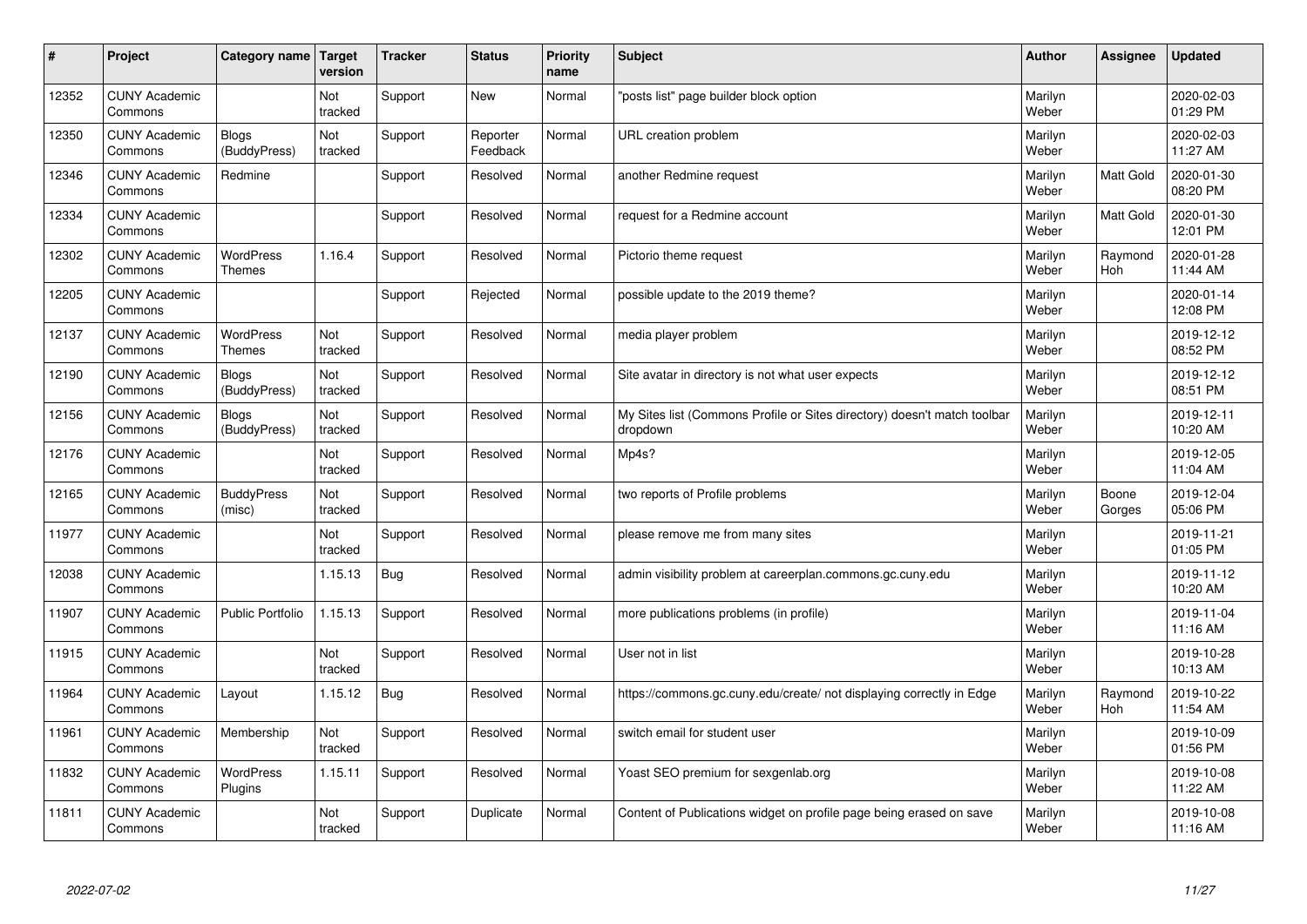| $\sharp$ | Project                         | <b>Category name</b>              | Target<br>version | <b>Tracker</b> | <b>Status</b>        | <b>Priority</b><br>name | <b>Subject</b>                                                                       | <b>Author</b>    | Assignee        | <b>Updated</b>         |
|----------|---------------------------------|-----------------------------------|-------------------|----------------|----------------------|-------------------------|--------------------------------------------------------------------------------------|------------------|-----------------|------------------------|
| 12352    | <b>CUNY Academic</b><br>Commons |                                   | Not<br>tracked    | Support        | <b>New</b>           | Normal                  | 'posts list" page builder block option                                               | Marilyn<br>Weber |                 | 2020-02-03<br>01:29 PM |
| 12350    | <b>CUNY Academic</b><br>Commons | Blogs<br>(BuddyPress)             | Not<br>tracked    | Support        | Reporter<br>Feedback | Normal                  | URL creation problem                                                                 | Marilyn<br>Weber |                 | 2020-02-03<br>11:27 AM |
| 12346    | <b>CUNY Academic</b><br>Commons | Redmine                           |                   | Support        | Resolved             | Normal                  | another Redmine request                                                              | Marilyn<br>Weber | Matt Gold       | 2020-01-30<br>08:20 PM |
| 12334    | <b>CUNY Academic</b><br>Commons |                                   |                   | Support        | Resolved             | Normal                  | request for a Redmine account                                                        | Marilyn<br>Weber | Matt Gold       | 2020-01-30<br>12:01 PM |
| 12302    | <b>CUNY Academic</b><br>Commons | <b>WordPress</b><br><b>Themes</b> | 1.16.4            | Support        | Resolved             | Normal                  | Pictorio theme request                                                               | Marilyn<br>Weber | Raymond<br>Hoh  | 2020-01-28<br>11:44 AM |
| 12205    | <b>CUNY Academic</b><br>Commons |                                   |                   | Support        | Rejected             | Normal                  | possible update to the 2019 theme?                                                   | Marilyn<br>Weber |                 | 2020-01-14<br>12:08 PM |
| 12137    | <b>CUNY Academic</b><br>Commons | <b>WordPress</b><br><b>Themes</b> | Not<br>tracked    | Support        | Resolved             | Normal                  | media player problem                                                                 | Marilyn<br>Weber |                 | 2019-12-12<br>08:52 PM |
| 12190    | <b>CUNY Academic</b><br>Commons | Blogs<br>(BuddyPress)             | Not<br>tracked    | Support        | Resolved             | Normal                  | Site avatar in directory is not what user expects                                    | Marilyn<br>Weber |                 | 2019-12-12<br>08:51 PM |
| 12156    | <b>CUNY Academic</b><br>Commons | <b>Blogs</b><br>(BuddyPress)      | Not<br>tracked    | Support        | Resolved             | Normal                  | My Sites list (Commons Profile or Sites directory) doesn't match toolbar<br>dropdown | Marilyn<br>Weber |                 | 2019-12-11<br>10:20 AM |
| 12176    | <b>CUNY Academic</b><br>Commons |                                   | Not<br>tracked    | Support        | Resolved             | Normal                  | Mp4s?                                                                                | Marilyn<br>Weber |                 | 2019-12-05<br>11:04 AM |
| 12165    | <b>CUNY Academic</b><br>Commons | <b>BuddyPress</b><br>(misc)       | Not<br>tracked    | Support        | Resolved             | Normal                  | two reports of Profile problems                                                      | Marilyn<br>Weber | Boone<br>Gorges | 2019-12-04<br>05:06 PM |
| 11977    | <b>CUNY Academic</b><br>Commons |                                   | Not<br>tracked    | Support        | Resolved             | Normal                  | please remove me from many sites                                                     | Marilyn<br>Weber |                 | 2019-11-21<br>01:05 PM |
| 12038    | <b>CUNY Academic</b><br>Commons |                                   | 1.15.13           | Bug            | Resolved             | Normal                  | admin visibility problem at careerplan.commons.gc.cuny.edu                           | Marilyn<br>Weber |                 | 2019-11-12<br>10:20 AM |
| 11907    | <b>CUNY Academic</b><br>Commons | <b>Public Portfolio</b>           | 1.15.13           | Support        | Resolved             | Normal                  | more publications problems (in profile)                                              | Marilyn<br>Weber |                 | 2019-11-04<br>11:16 AM |
| 11915    | <b>CUNY Academic</b><br>Commons |                                   | Not<br>tracked    | Support        | Resolved             | Normal                  | User not in list                                                                     | Marilyn<br>Weber |                 | 2019-10-28<br>10:13 AM |
| 11964    | <b>CUNY Academic</b><br>Commons | Layout                            | 1.15.12           | Bug            | Resolved             | Normal                  | https://commons.gc.cuny.edu/create/ not displaying correctly in Edge                 | Marilyn<br>Weber | Raymond<br>Hoh  | 2019-10-22<br>11:54 AM |
| 11961    | <b>CUNY Academic</b><br>Commons | Membership                        | Not<br>tracked    | Support        | Resolved             | Normal                  | switch email for student user                                                        | Marilyn<br>Weber |                 | 2019-10-09<br>01:56 PM |
| 11832    | <b>CUNY Academic</b><br>Commons | WordPress<br>Plugins              | 1.15.11           | Support        | Resolved             | Normal                  | Yoast SEO premium for sexgenlab.org                                                  | Marilyn<br>Weber |                 | 2019-10-08<br>11:22 AM |
| 11811    | <b>CUNY Academic</b><br>Commons |                                   | Not<br>tracked    | Support        | Duplicate            | Normal                  | Content of Publications widget on profile page being erased on save                  | Marilyn<br>Weber |                 | 2019-10-08<br>11:16 AM |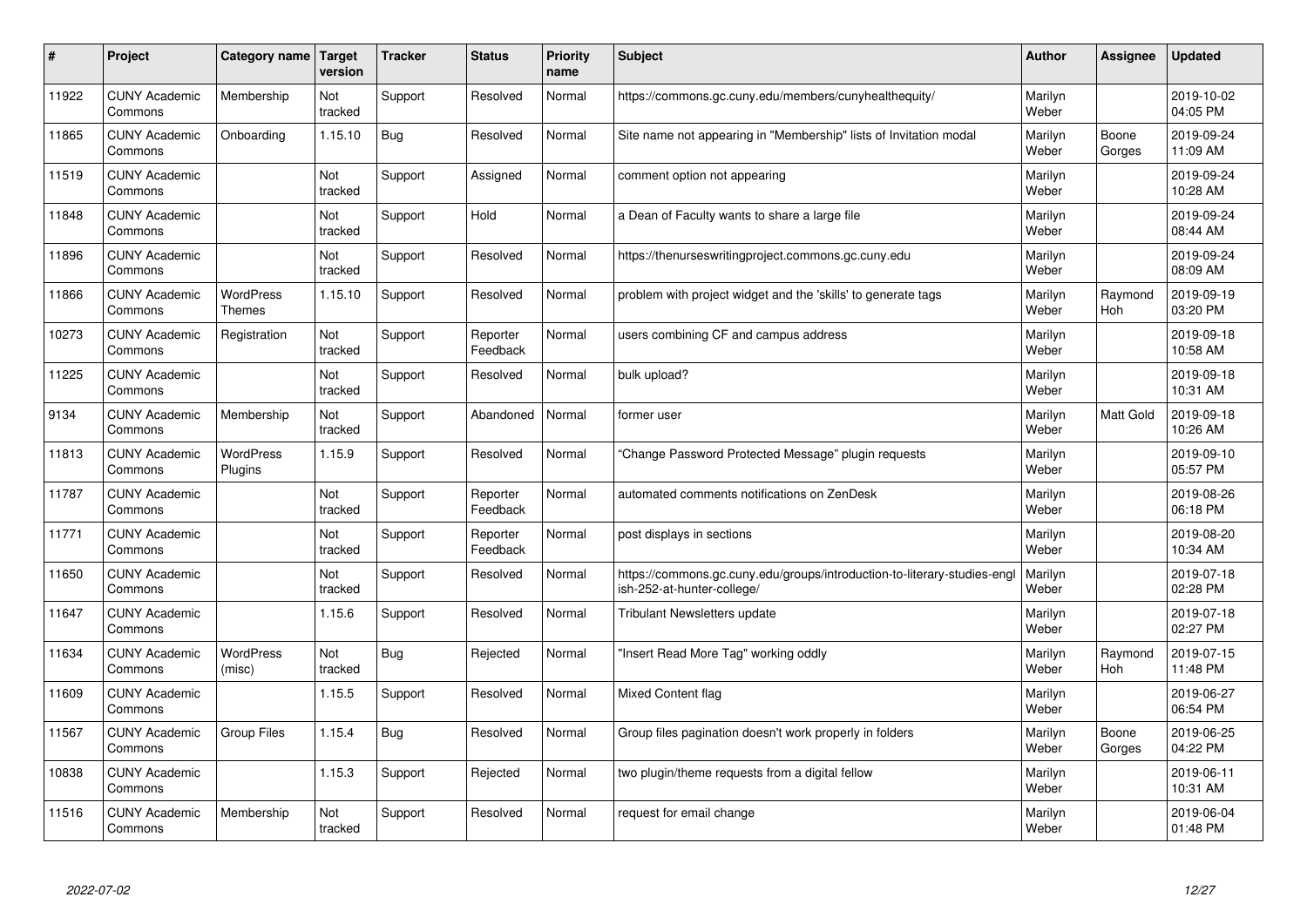| #     | Project                         | Category name                     | Target<br>version | <b>Tracker</b> | <b>Status</b>        | <b>Priority</b><br>name | <b>Subject</b>                                                                                        | <b>Author</b>    | <b>Assignee</b>  | <b>Updated</b>         |
|-------|---------------------------------|-----------------------------------|-------------------|----------------|----------------------|-------------------------|-------------------------------------------------------------------------------------------------------|------------------|------------------|------------------------|
| 11922 | <b>CUNY Academic</b><br>Commons | Membership                        | Not<br>tracked    | Support        | Resolved             | Normal                  | https://commons.gc.cuny.edu/members/cunyhealthequity/                                                 | Marilyn<br>Weber |                  | 2019-10-02<br>04:05 PM |
| 11865 | <b>CUNY Academic</b><br>Commons | Onboarding                        | 1.15.10           | <b>Bug</b>     | Resolved             | Normal                  | Site name not appearing in "Membership" lists of Invitation modal                                     | Marilyn<br>Weber | Boone<br>Gorges  | 2019-09-24<br>11:09 AM |
| 11519 | <b>CUNY Academic</b><br>Commons |                                   | Not<br>tracked    | Support        | Assigned             | Normal                  | comment option not appearing                                                                          | Marilyn<br>Weber |                  | 2019-09-24<br>10:28 AM |
| 11848 | <b>CUNY Academic</b><br>Commons |                                   | Not<br>tracked    | Support        | Hold                 | Normal                  | a Dean of Faculty wants to share a large file                                                         | Marilyn<br>Weber |                  | 2019-09-24<br>08:44 AM |
| 11896 | <b>CUNY Academic</b><br>Commons |                                   | Not<br>tracked    | Support        | Resolved             | Normal                  | https://thenurseswritingproject.commons.gc.cuny.edu                                                   | Marilyn<br>Weber |                  | 2019-09-24<br>08:09 AM |
| 11866 | <b>CUNY Academic</b><br>Commons | <b>WordPress</b><br><b>Themes</b> | 1.15.10           | Support        | Resolved             | Normal                  | problem with project widget and the 'skills' to generate tags                                         | Marilyn<br>Weber | Raymond<br>Hoh   | 2019-09-19<br>03:20 PM |
| 10273 | <b>CUNY Academic</b><br>Commons | Registration                      | Not<br>tracked    | Support        | Reporter<br>Feedback | Normal                  | users combining CF and campus address                                                                 | Marilyn<br>Weber |                  | 2019-09-18<br>10:58 AM |
| 11225 | <b>CUNY Academic</b><br>Commons |                                   | Not<br>tracked    | Support        | Resolved             | Normal                  | bulk upload?                                                                                          | Marilyn<br>Weber |                  | 2019-09-18<br>10:31 AM |
| 9134  | <b>CUNY Academic</b><br>Commons | Membership                        | Not<br>tracked    | Support        | Abandoned            | Normal                  | former user                                                                                           | Marilyn<br>Weber | <b>Matt Gold</b> | 2019-09-18<br>10:26 AM |
| 11813 | <b>CUNY Academic</b><br>Commons | <b>WordPress</b><br>Plugins       | 1.15.9            | Support        | Resolved             | Normal                  | Change Password Protected Message" plugin requests                                                    | Marilyn<br>Weber |                  | 2019-09-10<br>05:57 PM |
| 11787 | <b>CUNY Academic</b><br>Commons |                                   | Not<br>tracked    | Support        | Reporter<br>Feedback | Normal                  | automated comments notifications on ZenDesk                                                           | Marilyn<br>Weber |                  | 2019-08-26<br>06:18 PM |
| 11771 | <b>CUNY Academic</b><br>Commons |                                   | Not<br>tracked    | Support        | Reporter<br>Feedback | Normal                  | post displays in sections                                                                             | Marilyn<br>Weber |                  | 2019-08-20<br>10:34 AM |
| 11650 | <b>CUNY Academic</b><br>Commons |                                   | Not<br>tracked    | Support        | Resolved             | Normal                  | https://commons.gc.cuny.edu/groups/introduction-to-literary-studies-eng<br>ish-252-at-hunter-college/ | Marilyn<br>Weber |                  | 2019-07-18<br>02:28 PM |
| 11647 | <b>CUNY Academic</b><br>Commons |                                   | 1.15.6            | Support        | Resolved             | Normal                  | <b>Tribulant Newsletters update</b>                                                                   | Marilyn<br>Weber |                  | 2019-07-18<br>02:27 PM |
| 11634 | <b>CUNY Academic</b><br>Commons | <b>WordPress</b><br>(misc)        | Not<br>tracked    | Bug            | Rejected             | Normal                  | 'Insert Read More Tag" working oddly                                                                  | Marilyn<br>Weber | Raymond<br>Hoh   | 2019-07-15<br>11:48 PM |
| 11609 | <b>CUNY Academic</b><br>Commons |                                   | 1.15.5            | Support        | Resolved             | Normal                  | <b>Mixed Content flag</b>                                                                             | Marilyn<br>Weber |                  | 2019-06-27<br>06:54 PM |
| 11567 | <b>CUNY Academic</b><br>Commons | <b>Group Files</b>                | 1.15.4            | Bug            | Resolved             | Normal                  | Group files pagination doesn't work properly in folders                                               | Marilyn<br>Weber | Boone<br>Gorges  | 2019-06-25<br>04:22 PM |
| 10838 | <b>CUNY Academic</b><br>Commons |                                   | 1.15.3            | Support        | Rejected             | Normal                  | two plugin/theme requests from a digital fellow                                                       | Marilyn<br>Weber |                  | 2019-06-11<br>10:31 AM |
| 11516 | <b>CUNY Academic</b><br>Commons | Membership                        | Not<br>tracked    | Support        | Resolved             | Normal                  | request for email change                                                                              | Marilyn<br>Weber |                  | 2019-06-04<br>01:48 PM |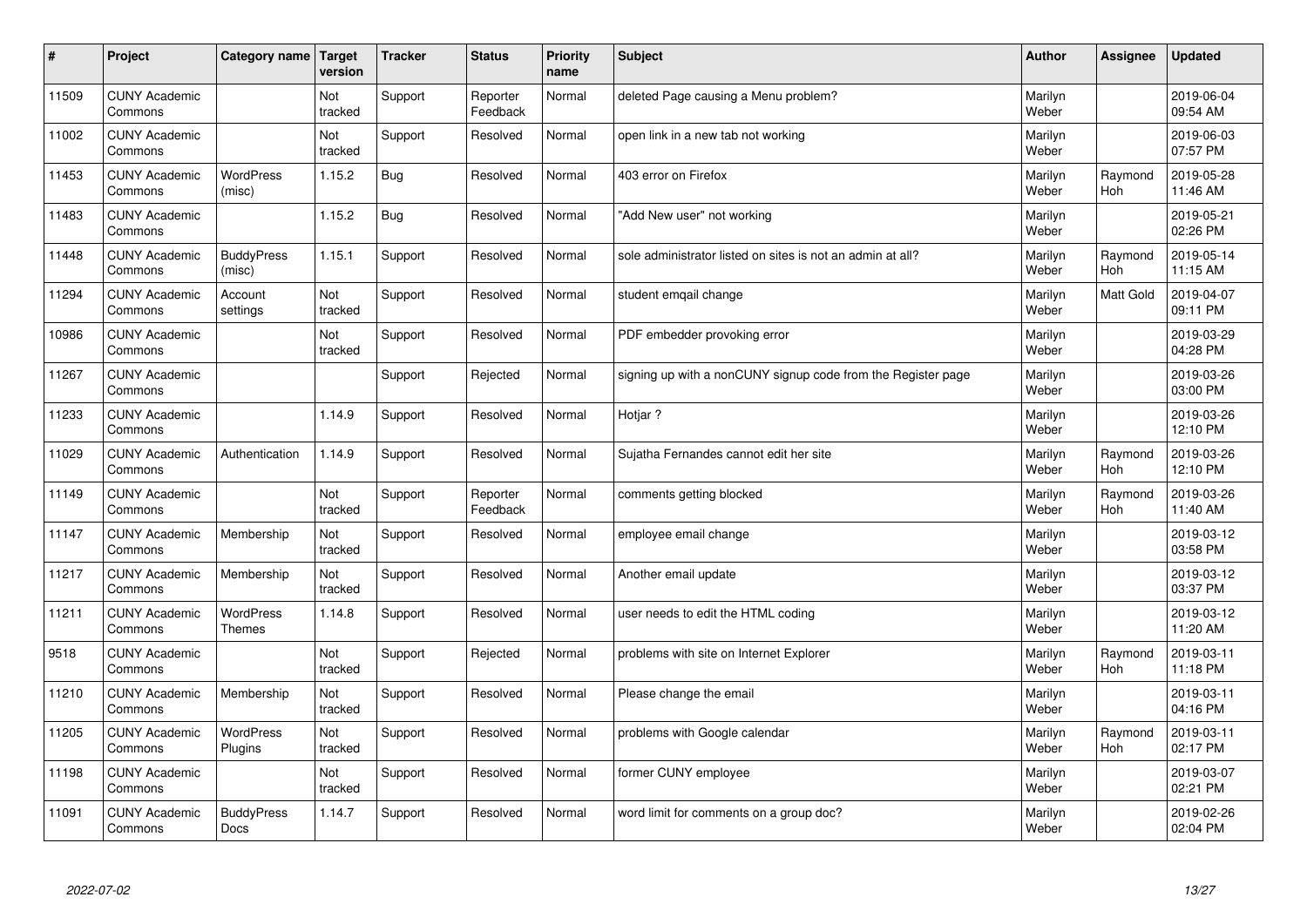| $\sharp$ | Project                         | Category name                     | Target<br>version | <b>Tracker</b> | <b>Status</b>        | <b>Priority</b><br>name | <b>Subject</b>                                               | <b>Author</b>    | Assignee              | <b>Updated</b>         |
|----------|---------------------------------|-----------------------------------|-------------------|----------------|----------------------|-------------------------|--------------------------------------------------------------|------------------|-----------------------|------------------------|
| 11509    | <b>CUNY Academic</b><br>Commons |                                   | Not<br>tracked    | Support        | Reporter<br>Feedback | Normal                  | deleted Page causing a Menu problem?                         | Marilyn<br>Weber |                       | 2019-06-04<br>09:54 AM |
| 11002    | <b>CUNY Academic</b><br>Commons |                                   | Not<br>tracked    | Support        | Resolved             | Normal                  | open link in a new tab not working                           | Marilyn<br>Weber |                       | 2019-06-03<br>07:57 PM |
| 11453    | <b>CUNY Academic</b><br>Commons | <b>WordPress</b><br>(misc)        | 1.15.2            | Bug            | Resolved             | Normal                  | 403 error on Firefox                                         | Marilyn<br>Weber | Raymond<br><b>Hoh</b> | 2019-05-28<br>11:46 AM |
| 11483    | <b>CUNY Academic</b><br>Commons |                                   | 1.15.2            | <b>Bug</b>     | Resolved             | Normal                  | 'Add New user" not working                                   | Marilyn<br>Weber |                       | 2019-05-21<br>02:26 PM |
| 11448    | <b>CUNY Academic</b><br>Commons | <b>BuddyPress</b><br>(misc)       | 1.15.1            | Support        | Resolved             | Normal                  | sole administrator listed on sites is not an admin at all?   | Marilyn<br>Weber | Raymond<br>Hoh        | 2019-05-14<br>11:15 AM |
| 11294    | <b>CUNY Academic</b><br>Commons | Account<br>settings               | Not<br>tracked    | Support        | Resolved             | Normal                  | student emgail change                                        | Marilyn<br>Weber | Matt Gold             | 2019-04-07<br>09:11 PM |
| 10986    | <b>CUNY Academic</b><br>Commons |                                   | Not<br>tracked    | Support        | Resolved             | Normal                  | PDF embedder provoking error                                 | Marilyn<br>Weber |                       | 2019-03-29<br>04:28 PM |
| 11267    | <b>CUNY Academic</b><br>Commons |                                   |                   | Support        | Rejected             | Normal                  | signing up with a nonCUNY signup code from the Register page | Marilyn<br>Weber |                       | 2019-03-26<br>03:00 PM |
| 11233    | <b>CUNY Academic</b><br>Commons |                                   | 1.14.9            | Support        | Resolved             | Normal                  | Hotjar?                                                      | Marilyn<br>Weber |                       | 2019-03-26<br>12:10 PM |
| 11029    | <b>CUNY Academic</b><br>Commons | Authentication                    | 1.14.9            | Support        | Resolved             | Normal                  | Sujatha Fernandes cannot edit her site                       | Marilyn<br>Weber | Raymond<br>Hoh        | 2019-03-26<br>12:10 PM |
| 11149    | <b>CUNY Academic</b><br>Commons |                                   | Not<br>tracked    | Support        | Reporter<br>Feedback | Normal                  | comments getting blocked                                     | Marilyn<br>Weber | Raymond<br>Hoh        | 2019-03-26<br>11:40 AM |
| 11147    | <b>CUNY Academic</b><br>Commons | Membership                        | Not<br>tracked    | Support        | Resolved             | Normal                  | employee email change                                        | Marilyn<br>Weber |                       | 2019-03-12<br>03:58 PM |
| 11217    | <b>CUNY Academic</b><br>Commons | Membership                        | Not<br>tracked    | Support        | Resolved             | Normal                  | Another email update                                         | Marilyn<br>Weber |                       | 2019-03-12<br>03:37 PM |
| 11211    | <b>CUNY Academic</b><br>Commons | <b>WordPress</b><br><b>Themes</b> | 1.14.8            | Support        | Resolved             | Normal                  | user needs to edit the HTML coding                           | Marilyn<br>Weber |                       | 2019-03-12<br>11:20 AM |
| 9518     | <b>CUNY Academic</b><br>Commons |                                   | Not<br>tracked    | Support        | Rejected             | Normal                  | problems with site on Internet Explorer                      | Marilyn<br>Weber | Raymond<br>Hoh        | 2019-03-11<br>11:18 PM |
| 11210    | <b>CUNY Academic</b><br>Commons | Membership                        | Not<br>tracked    | Support        | Resolved             | Normal                  | Please change the email                                      | Marilyn<br>Weber |                       | 2019-03-11<br>04:16 PM |
| 11205    | <b>CUNY Academic</b><br>Commons | WordPress<br>Plugins              | Not<br>tracked    | Support        | Resolved             | Normal                  | problems with Google calendar                                | Marilyn<br>Weber | Raymond<br>Hoh        | 2019-03-11<br>02:17 PM |
| 11198    | <b>CUNY Academic</b><br>Commons |                                   | Not<br>tracked    | Support        | Resolved             | Normal                  | former CUNY employee                                         | Marilyn<br>Weber |                       | 2019-03-07<br>02:21 PM |
| 11091    | <b>CUNY Academic</b><br>Commons | <b>BuddyPress</b><br>Docs         | 1.14.7            | Support        | Resolved             | Normal                  | word limit for comments on a group doc?                      | Marilyn<br>Weber |                       | 2019-02-26<br>02:04 PM |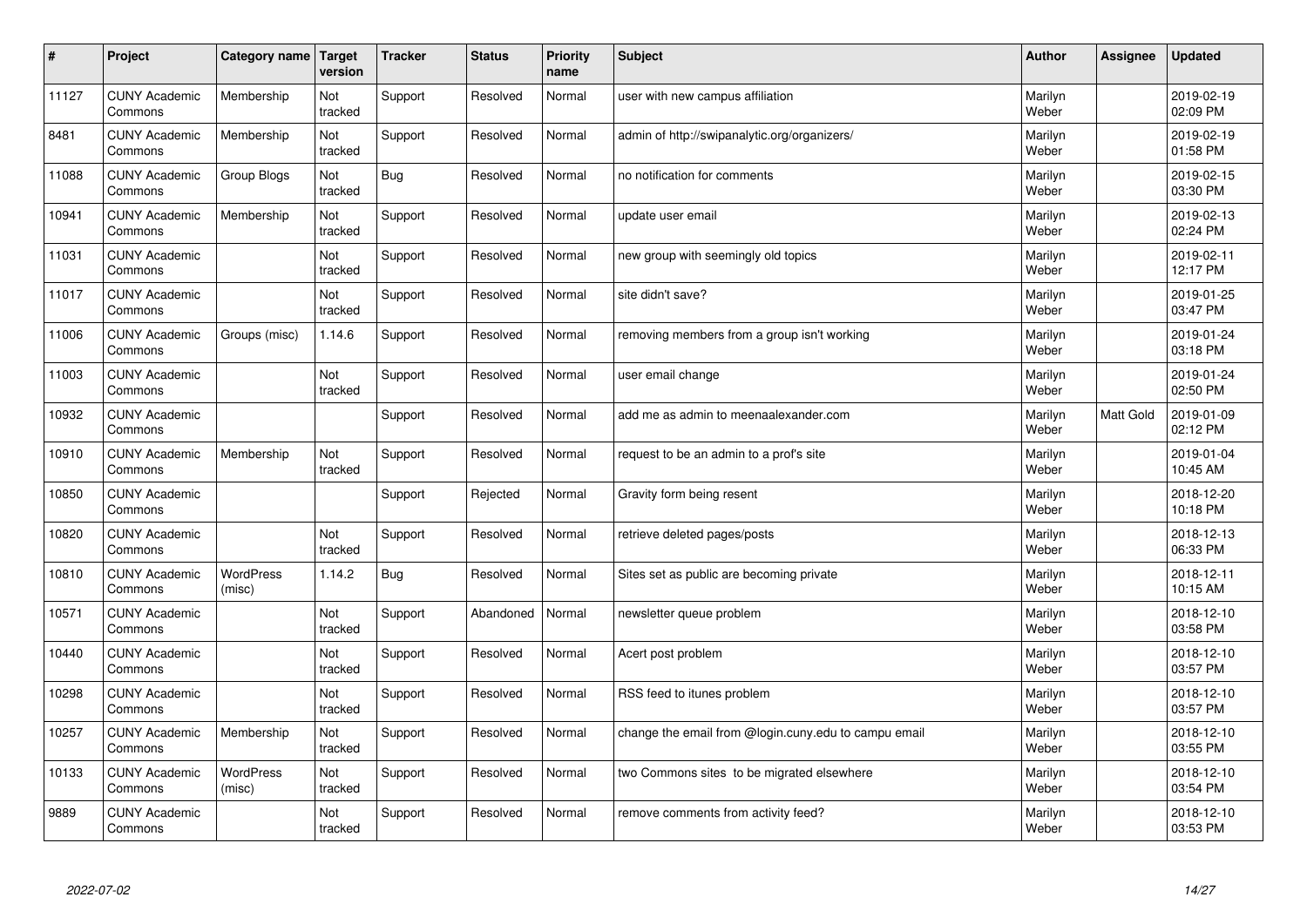| $\sharp$ | Project                         | Category name              | Target<br>version | <b>Tracker</b> | <b>Status</b> | <b>Priority</b><br>name | <b>Subject</b>                                       | <b>Author</b>    | Assignee  | <b>Updated</b>         |
|----------|---------------------------------|----------------------------|-------------------|----------------|---------------|-------------------------|------------------------------------------------------|------------------|-----------|------------------------|
| 11127    | <b>CUNY Academic</b><br>Commons | Membership                 | Not<br>tracked    | Support        | Resolved      | Normal                  | user with new campus affiliation                     | Marilyn<br>Weber |           | 2019-02-19<br>02:09 PM |
| 8481     | <b>CUNY Academic</b><br>Commons | Membership                 | Not<br>tracked    | Support        | Resolved      | Normal                  | admin of http://swipanalytic.org/organizers/         | Marilyn<br>Weber |           | 2019-02-19<br>01:58 PM |
| 11088    | <b>CUNY Academic</b><br>Commons | Group Blogs                | Not<br>tracked    | <b>Bug</b>     | Resolved      | Normal                  | no notification for comments                         | Marilyn<br>Weber |           | 2019-02-15<br>03:30 PM |
| 10941    | <b>CUNY Academic</b><br>Commons | Membership                 | Not<br>tracked    | Support        | Resolved      | Normal                  | update user email                                    | Marilyn<br>Weber |           | 2019-02-13<br>02:24 PM |
| 11031    | <b>CUNY Academic</b><br>Commons |                            | Not<br>tracked    | Support        | Resolved      | Normal                  | new group with seemingly old topics                  | Marilyn<br>Weber |           | 2019-02-11<br>12:17 PM |
| 11017    | <b>CUNY Academic</b><br>Commons |                            | Not<br>tracked    | Support        | Resolved      | Normal                  | site didn't save?                                    | Marilyn<br>Weber |           | 2019-01-25<br>03:47 PM |
| 11006    | <b>CUNY Academic</b><br>Commons | Groups (misc)              | 1.14.6            | Support        | Resolved      | Normal                  | removing members from a group isn't working          | Marilyn<br>Weber |           | 2019-01-24<br>03:18 PM |
| 11003    | <b>CUNY Academic</b><br>Commons |                            | Not<br>tracked    | Support        | Resolved      | Normal                  | user email change                                    | Marilyn<br>Weber |           | 2019-01-24<br>02:50 PM |
| 10932    | <b>CUNY Academic</b><br>Commons |                            |                   | Support        | Resolved      | Normal                  | add me as admin to meenaalexander.com                | Marilyn<br>Weber | Matt Gold | 2019-01-09<br>02:12 PM |
| 10910    | <b>CUNY Academic</b><br>Commons | Membership                 | Not<br>tracked    | Support        | Resolved      | Normal                  | request to be an admin to a prof's site              | Marilyn<br>Weber |           | 2019-01-04<br>10:45 AM |
| 10850    | <b>CUNY Academic</b><br>Commons |                            |                   | Support        | Rejected      | Normal                  | Gravity form being resent                            | Marilyn<br>Weber |           | 2018-12-20<br>10:18 PM |
| 10820    | <b>CUNY Academic</b><br>Commons |                            | Not<br>tracked    | Support        | Resolved      | Normal                  | retrieve deleted pages/posts                         | Marilyn<br>Weber |           | 2018-12-13<br>06:33 PM |
| 10810    | <b>CUNY Academic</b><br>Commons | <b>WordPress</b><br>(misc) | 1.14.2            | Bug            | Resolved      | Normal                  | Sites set as public are becoming private             | Marilyn<br>Weber |           | 2018-12-11<br>10:15 AM |
| 10571    | <b>CUNY Academic</b><br>Commons |                            | Not<br>tracked    | Support        | Abandoned     | Normal                  | newsletter queue problem                             | Marilyn<br>Weber |           | 2018-12-10<br>03:58 PM |
| 10440    | <b>CUNY Academic</b><br>Commons |                            | Not<br>tracked    | Support        | Resolved      | Normal                  | Acert post problem                                   | Marilyn<br>Weber |           | 2018-12-10<br>03:57 PM |
| 10298    | <b>CUNY Academic</b><br>Commons |                            | Not<br>tracked    | Support        | Resolved      | Normal                  | RSS feed to itunes problem                           | Marilyn<br>Weber |           | 2018-12-10<br>03:57 PM |
| 10257    | <b>CUNY Academic</b><br>Commons | Membership                 | Not<br>tracked    | Support        | Resolved      | Normal                  | change the email from @login.cuny.edu to campu email | Marilyn<br>Weber |           | 2018-12-10<br>03:55 PM |
| 10133    | <b>CUNY Academic</b><br>Commons | WordPress<br>(misc)        | Not<br>tracked    | Support        | Resolved      | Normal                  | two Commons sites to be migrated elsewhere           | Marilyn<br>Weber |           | 2018-12-10<br>03:54 PM |
| 9889     | <b>CUNY Academic</b><br>Commons |                            | Not<br>tracked    | Support        | Resolved      | Normal                  | remove comments from activity feed?                  | Marilyn<br>Weber |           | 2018-12-10<br>03:53 PM |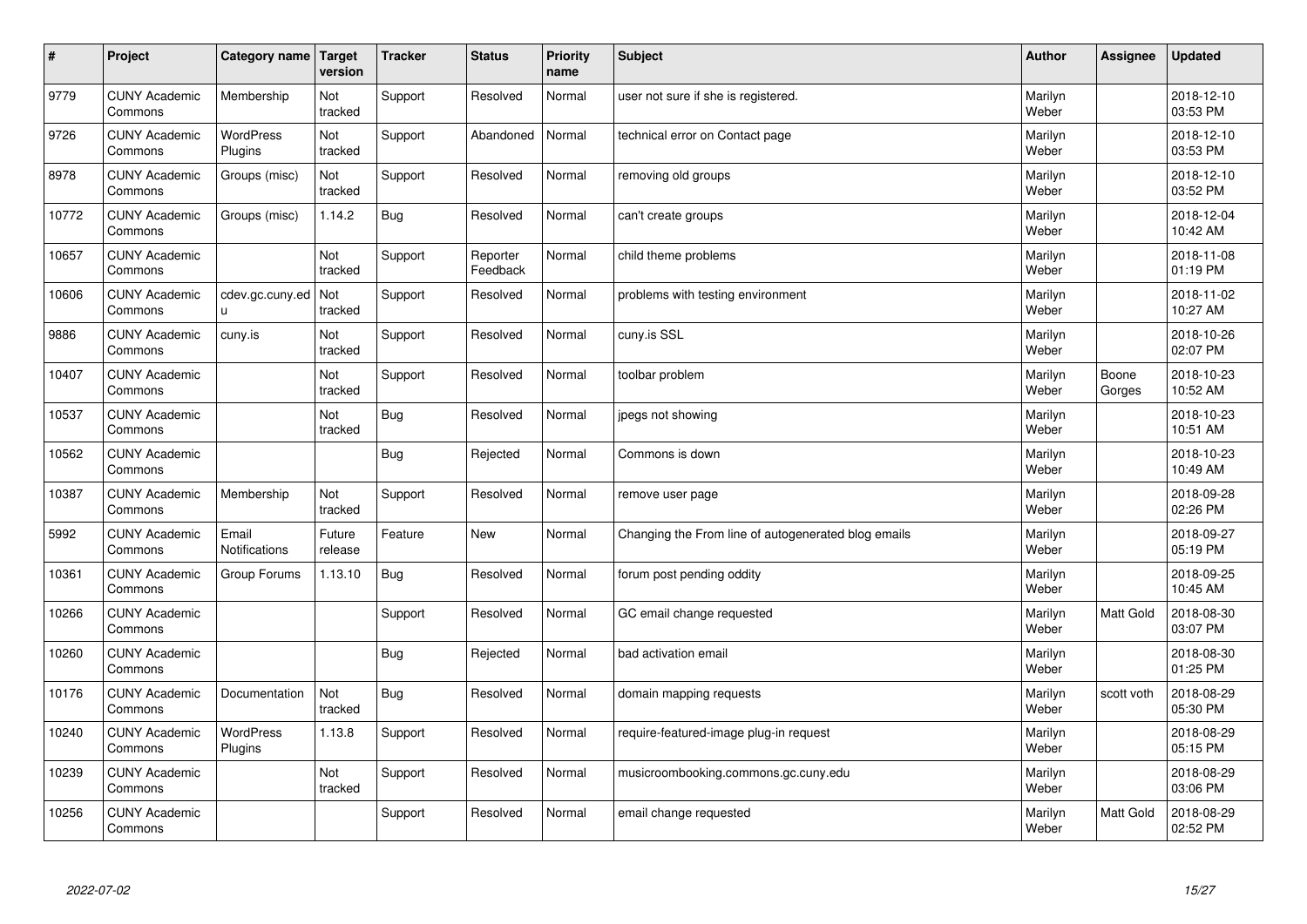| $\vert$ # | Project                         | <b>Category name</b>        | Target<br>version | <b>Tracker</b> | <b>Status</b>        | <b>Priority</b><br>name | <b>Subject</b>                                      | <b>Author</b>    | Assignee         | <b>Updated</b>         |
|-----------|---------------------------------|-----------------------------|-------------------|----------------|----------------------|-------------------------|-----------------------------------------------------|------------------|------------------|------------------------|
| 9779      | <b>CUNY Academic</b><br>Commons | Membership                  | Not<br>tracked    | Support        | Resolved             | Normal                  | user not sure if she is registered.                 | Marilyn<br>Weber |                  | 2018-12-10<br>03:53 PM |
| 9726      | <b>CUNY Academic</b><br>Commons | <b>WordPress</b><br>Plugins | Not<br>tracked    | Support        | Abandoned            | Normal                  | technical error on Contact page                     | Marilyn<br>Weber |                  | 2018-12-10<br>03:53 PM |
| 8978      | <b>CUNY Academic</b><br>Commons | Groups (misc)               | Not<br>tracked    | Support        | Resolved             | Normal                  | removing old groups                                 | Marilyn<br>Weber |                  | 2018-12-10<br>03:52 PM |
| 10772     | <b>CUNY Academic</b><br>Commons | Groups (misc)               | 1.14.2            | Bug            | Resolved             | Normal                  | can't create groups                                 | Marilyn<br>Weber |                  | 2018-12-04<br>10:42 AM |
| 10657     | <b>CUNY Academic</b><br>Commons |                             | Not<br>tracked    | Support        | Reporter<br>Feedback | Normal                  | child theme problems                                | Marilyn<br>Weber |                  | 2018-11-08<br>01:19 PM |
| 10606     | <b>CUNY Academic</b><br>Commons | cdev.gc.cuny.ed<br>u.       | Not<br>tracked    | Support        | Resolved             | Normal                  | problems with testing environment                   | Marilyn<br>Weber |                  | 2018-11-02<br>10:27 AM |
| 9886      | <b>CUNY Academic</b><br>Commons | cuny.is                     | Not<br>tracked    | Support        | Resolved             | Normal                  | cuny.is SSL                                         | Marilyn<br>Weber |                  | 2018-10-26<br>02:07 PM |
| 10407     | <b>CUNY Academic</b><br>Commons |                             | Not<br>tracked    | Support        | Resolved             | Normal                  | toolbar problem                                     | Marilyn<br>Weber | Boone<br>Gorges  | 2018-10-23<br>10:52 AM |
| 10537     | <b>CUNY Academic</b><br>Commons |                             | Not<br>tracked    | Bug            | Resolved             | Normal                  | jpegs not showing                                   | Marilyn<br>Weber |                  | 2018-10-23<br>10:51 AM |
| 10562     | <b>CUNY Academic</b><br>Commons |                             |                   | Bug            | Rejected             | Normal                  | Commons is down                                     | Marilyn<br>Weber |                  | 2018-10-23<br>10:49 AM |
| 10387     | <b>CUNY Academic</b><br>Commons | Membership                  | Not<br>tracked    | Support        | Resolved             | Normal                  | remove user page                                    | Marilyn<br>Weber |                  | 2018-09-28<br>02:26 PM |
| 5992      | <b>CUNY Academic</b><br>Commons | Email<br>Notifications      | Future<br>release | Feature        | <b>New</b>           | Normal                  | Changing the From line of autogenerated blog emails | Marilyn<br>Weber |                  | 2018-09-27<br>05:19 PM |
| 10361     | <b>CUNY Academic</b><br>Commons | Group Forums                | 1.13.10           | Bug            | Resolved             | Normal                  | forum post pending oddity                           | Marilyn<br>Weber |                  | 2018-09-25<br>10:45 AM |
| 10266     | <b>CUNY Academic</b><br>Commons |                             |                   | Support        | Resolved             | Normal                  | GC email change requested                           | Marilyn<br>Weber | Matt Gold        | 2018-08-30<br>03:07 PM |
| 10260     | <b>CUNY Academic</b><br>Commons |                             |                   | <b>Bug</b>     | Rejected             | Normal                  | bad activation email                                | Marilyn<br>Weber |                  | 2018-08-30<br>01:25 PM |
| 10176     | <b>CUNY Academic</b><br>Commons | Documentation               | Not<br>tracked    | Bug            | Resolved             | Normal                  | domain mapping requests                             | Marilyn<br>Weber | scott voth       | 2018-08-29<br>05:30 PM |
| 10240     | <b>CUNY Academic</b><br>Commons | WordPress<br>Plugins        | 1.13.8            | Support        | Resolved             | Normal                  | require-featured-image plug-in request              | Marilyn<br>Weber |                  | 2018-08-29<br>05:15 PM |
| 10239     | <b>CUNY Academic</b><br>Commons |                             | Not<br>tracked    | Support        | Resolved             | Normal                  | musicroombooking.commons.gc.cuny.edu                | Marilyn<br>Weber |                  | 2018-08-29<br>03:06 PM |
| 10256     | <b>CUNY Academic</b><br>Commons |                             |                   | Support        | Resolved             | Normal                  | email change requested                              | Marilyn<br>Weber | <b>Matt Gold</b> | 2018-08-29<br>02:52 PM |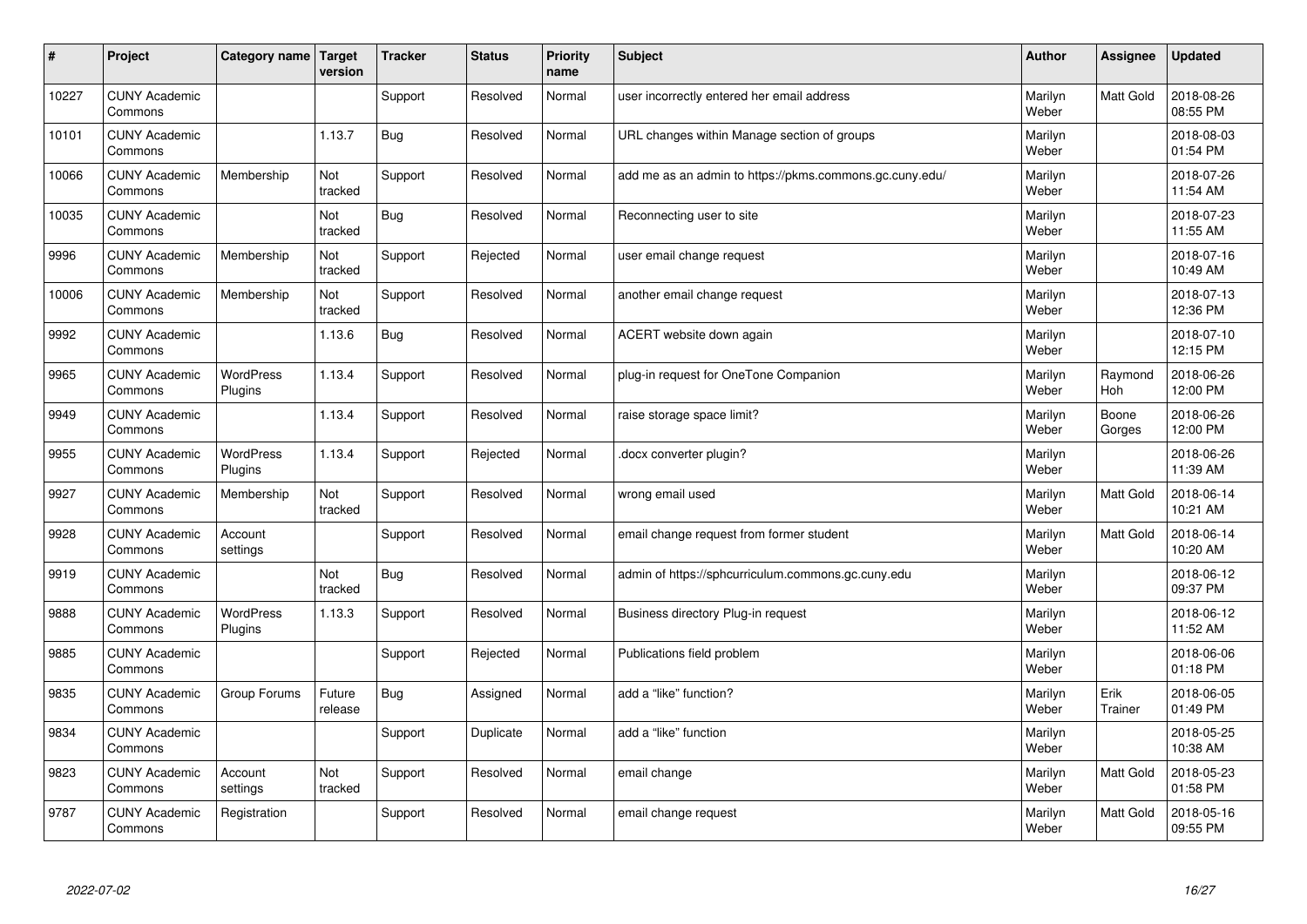| #     | Project                         | Category name   Target      | version           | <b>Tracker</b> | <b>Status</b> | <b>Priority</b><br>name | <b>Subject</b>                                          | <b>Author</b>    | Assignee         | <b>Updated</b>         |
|-------|---------------------------------|-----------------------------|-------------------|----------------|---------------|-------------------------|---------------------------------------------------------|------------------|------------------|------------------------|
| 10227 | <b>CUNY Academic</b><br>Commons |                             |                   | Support        | Resolved      | Normal                  | user incorrectly entered her email address              | Marilyn<br>Weber | Matt Gold        | 2018-08-26<br>08:55 PM |
| 10101 | <b>CUNY Academic</b><br>Commons |                             | 1.13.7            | Bug            | Resolved      | Normal                  | URL changes within Manage section of groups             | Marilyn<br>Weber |                  | 2018-08-03<br>01:54 PM |
| 10066 | <b>CUNY Academic</b><br>Commons | Membership                  | Not<br>tracked    | Support        | Resolved      | Normal                  | add me as an admin to https://pkms.commons.gc.cuny.edu/ | Marilyn<br>Weber |                  | 2018-07-26<br>11:54 AM |
| 10035 | <b>CUNY Academic</b><br>Commons |                             | Not<br>tracked    | Bug            | Resolved      | Normal                  | Reconnecting user to site                               | Marilyn<br>Weber |                  | 2018-07-23<br>11:55 AM |
| 9996  | <b>CUNY Academic</b><br>Commons | Membership                  | Not<br>tracked    | Support        | Rejected      | Normal                  | user email change request                               | Marilyn<br>Weber |                  | 2018-07-16<br>10:49 AM |
| 10006 | <b>CUNY Academic</b><br>Commons | Membership                  | Not<br>tracked    | Support        | Resolved      | Normal                  | another email change request                            | Marilyn<br>Weber |                  | 2018-07-13<br>12:36 PM |
| 9992  | <b>CUNY Academic</b><br>Commons |                             | 1.13.6            | <b>Bug</b>     | Resolved      | Normal                  | ACERT website down again                                | Marilyn<br>Weber |                  | 2018-07-10<br>12:15 PM |
| 9965  | <b>CUNY Academic</b><br>Commons | <b>WordPress</b><br>Plugins | 1.13.4            | Support        | Resolved      | Normal                  | plug-in request for OneTone Companion                   | Marilyn<br>Weber | Raymond<br>Hoh   | 2018-06-26<br>12:00 PM |
| 9949  | <b>CUNY Academic</b><br>Commons |                             | 1.13.4            | Support        | Resolved      | Normal                  | raise storage space limit?                              | Marilyn<br>Weber | Boone<br>Gorges  | 2018-06-26<br>12:00 PM |
| 9955  | <b>CUNY Academic</b><br>Commons | <b>WordPress</b><br>Plugins | 1.13.4            | Support        | Rejected      | Normal                  | docx converter plugin?                                  | Marilyn<br>Weber |                  | 2018-06-26<br>11:39 AM |
| 9927  | <b>CUNY Academic</b><br>Commons | Membership                  | Not<br>tracked    | Support        | Resolved      | Normal                  | wrong email used                                        | Marilyn<br>Weber | <b>Matt Gold</b> | 2018-06-14<br>10:21 AM |
| 9928  | <b>CUNY Academic</b><br>Commons | Account<br>settings         |                   | Support        | Resolved      | Normal                  | email change request from former student                | Marilyn<br>Weber | <b>Matt Gold</b> | 2018-06-14<br>10:20 AM |
| 9919  | <b>CUNY Academic</b><br>Commons |                             | Not<br>tracked    | Bug            | Resolved      | Normal                  | admin of https://sphcurriculum.commons.gc.cuny.edu      | Marilyn<br>Weber |                  | 2018-06-12<br>09:37 PM |
| 9888  | <b>CUNY Academic</b><br>Commons | <b>WordPress</b><br>Plugins | 1.13.3            | Support        | Resolved      | Normal                  | Business directory Plug-in request                      | Marilyn<br>Weber |                  | 2018-06-12<br>11:52 AM |
| 9885  | <b>CUNY Academic</b><br>Commons |                             |                   | Support        | Rejected      | Normal                  | Publications field problem                              | Marilyn<br>Weber |                  | 2018-06-06<br>01:18 PM |
| 9835  | <b>CUNY Academic</b><br>Commons | Group Forums                | Future<br>release | Bug            | Assigned      | Normal                  | add a "like" function?                                  | Marilyn<br>Weber | Erik<br>Trainer  | 2018-06-05<br>01:49 PM |
| 9834  | <b>CUNY Academic</b><br>Commons |                             |                   | Support        | Duplicate     | Normal                  | add a "like" function                                   | Marilyn<br>Weber |                  | 2018-05-25<br>10:38 AM |
| 9823  | <b>CUNY Academic</b><br>Commons | Account<br>settings         | Not<br>tracked    | Support        | Resolved      | Normal                  | email change                                            | Marilyn<br>Weber | Matt Gold        | 2018-05-23<br>01:58 PM |
| 9787  | <b>CUNY Academic</b><br>Commons | Registration                |                   | Support        | Resolved      | Normal                  | email change request                                    | Marilyn<br>Weber | <b>Matt Gold</b> | 2018-05-16<br>09:55 PM |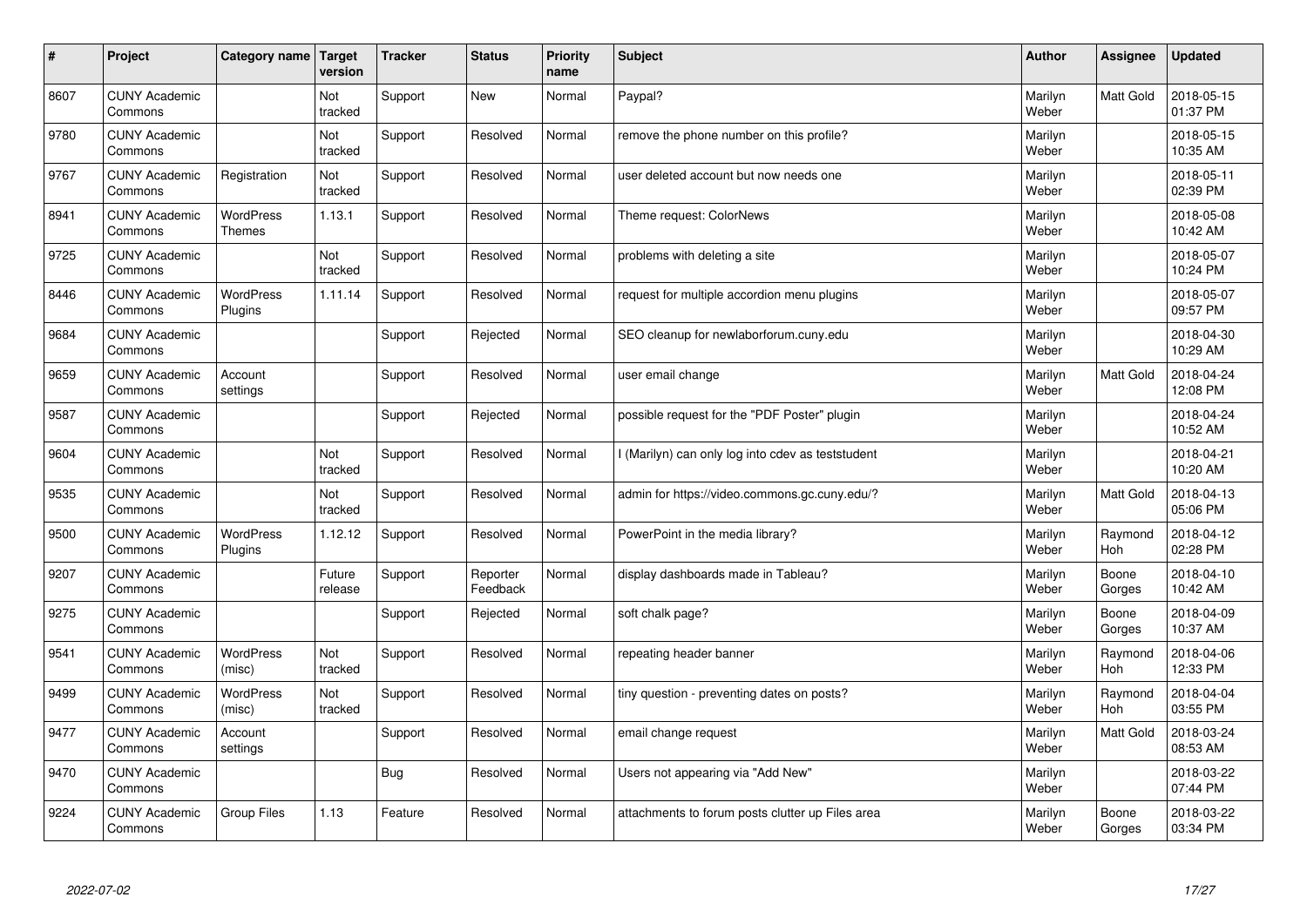| $\vert$ # | Project                         | Category name                     | Target<br>version | <b>Tracker</b> | <b>Status</b>        | <b>Priority</b><br>name | <b>Subject</b>                                    | <b>Author</b>    | Assignee        | <b>Updated</b>         |
|-----------|---------------------------------|-----------------------------------|-------------------|----------------|----------------------|-------------------------|---------------------------------------------------|------------------|-----------------|------------------------|
| 8607      | <b>CUNY Academic</b><br>Commons |                                   | Not<br>tracked    | Support        | <b>New</b>           | Normal                  | Paypal?                                           | Marilyn<br>Weber | Matt Gold       | 2018-05-15<br>01:37 PM |
| 9780      | <b>CUNY Academic</b><br>Commons |                                   | Not<br>tracked    | Support        | Resolved             | Normal                  | remove the phone number on this profile?          | Marilyn<br>Weber |                 | 2018-05-15<br>10:35 AM |
| 9767      | <b>CUNY Academic</b><br>Commons | Registration                      | Not<br>tracked    | Support        | Resolved             | Normal                  | user deleted account but now needs one            | Marilyn<br>Weber |                 | 2018-05-11<br>02:39 PM |
| 8941      | <b>CUNY Academic</b><br>Commons | <b>WordPress</b><br><b>Themes</b> | 1.13.1            | Support        | Resolved             | Normal                  | Theme request: ColorNews                          | Marilyn<br>Weber |                 | 2018-05-08<br>10:42 AM |
| 9725      | <b>CUNY Academic</b><br>Commons |                                   | Not<br>tracked    | Support        | Resolved             | Normal                  | problems with deleting a site                     | Marilyn<br>Weber |                 | 2018-05-07<br>10:24 PM |
| 8446      | <b>CUNY Academic</b><br>Commons | <b>WordPress</b><br>Plugins       | 1.11.14           | Support        | Resolved             | Normal                  | request for multiple accordion menu plugins       | Marilyn<br>Weber |                 | 2018-05-07<br>09:57 PM |
| 9684      | <b>CUNY Academic</b><br>Commons |                                   |                   | Support        | Rejected             | Normal                  | SEO cleanup for newlaborforum.cuny.edu            | Marilyn<br>Weber |                 | 2018-04-30<br>10:29 AM |
| 9659      | <b>CUNY Academic</b><br>Commons | Account<br>settings               |                   | Support        | Resolved             | Normal                  | user email change                                 | Marilyn<br>Weber | Matt Gold       | 2018-04-24<br>12:08 PM |
| 9587      | <b>CUNY Academic</b><br>Commons |                                   |                   | Support        | Rejected             | Normal                  | possible request for the "PDF Poster" plugin      | Marilyn<br>Weber |                 | 2018-04-24<br>10:52 AM |
| 9604      | <b>CUNY Academic</b><br>Commons |                                   | Not<br>tracked    | Support        | Resolved             | Normal                  | I (Marilyn) can only log into cdev as teststudent | Marilyn<br>Weber |                 | 2018-04-21<br>10:20 AM |
| 9535      | <b>CUNY Academic</b><br>Commons |                                   | Not<br>tracked    | Support        | Resolved             | Normal                  | admin for https://video.commons.gc.cuny.edu/?     | Marilyn<br>Weber | Matt Gold       | 2018-04-13<br>05:06 PM |
| 9500      | <b>CUNY Academic</b><br>Commons | <b>WordPress</b><br>Plugins       | 1.12.12           | Support        | Resolved             | Normal                  | PowerPoint in the media library?                  | Marilyn<br>Weber | Raymond<br>Hoh  | 2018-04-12<br>02:28 PM |
| 9207      | <b>CUNY Academic</b><br>Commons |                                   | Future<br>release | Support        | Reporter<br>Feedback | Normal                  | display dashboards made in Tableau?               | Marilyn<br>Weber | Boone<br>Gorges | 2018-04-10<br>10:42 AM |
| 9275      | <b>CUNY Academic</b><br>Commons |                                   |                   | Support        | Rejected             | Normal                  | soft chalk page?                                  | Marilyn<br>Weber | Boone<br>Gorges | 2018-04-09<br>10:37 AM |
| 9541      | <b>CUNY Academic</b><br>Commons | <b>WordPress</b><br>(misc)        | Not<br>tracked    | Support        | Resolved             | Normal                  | repeating header banner                           | Marilyn<br>Weber | Raymond<br>Hoh  | 2018-04-06<br>12:33 PM |
| 9499      | <b>CUNY Academic</b><br>Commons | <b>WordPress</b><br>(misc)        | Not<br>tracked    | Support        | Resolved             | Normal                  | tiny question - preventing dates on posts?        | Marilyn<br>Weber | Raymond<br>Hoh  | 2018-04-04<br>03:55 PM |
| 9477      | <b>CUNY Academic</b><br>Commons | Account<br>settings               |                   | Support        | Resolved             | Normal                  | email change request                              | Marilyn<br>Weber | Matt Gold       | 2018-03-24<br>08:53 AM |
| 9470      | <b>CUNY Academic</b><br>Commons |                                   |                   | <b>Bug</b>     | Resolved             | Normal                  | Users not appearing via "Add New"                 | Marilyn<br>Weber |                 | 2018-03-22<br>07:44 PM |
| 9224      | <b>CUNY Academic</b><br>Commons | <b>Group Files</b>                | 1.13              | Feature        | Resolved             | Normal                  | attachments to forum posts clutter up Files area  | Marilyn<br>Weber | Boone<br>Gorges | 2018-03-22<br>03:34 PM |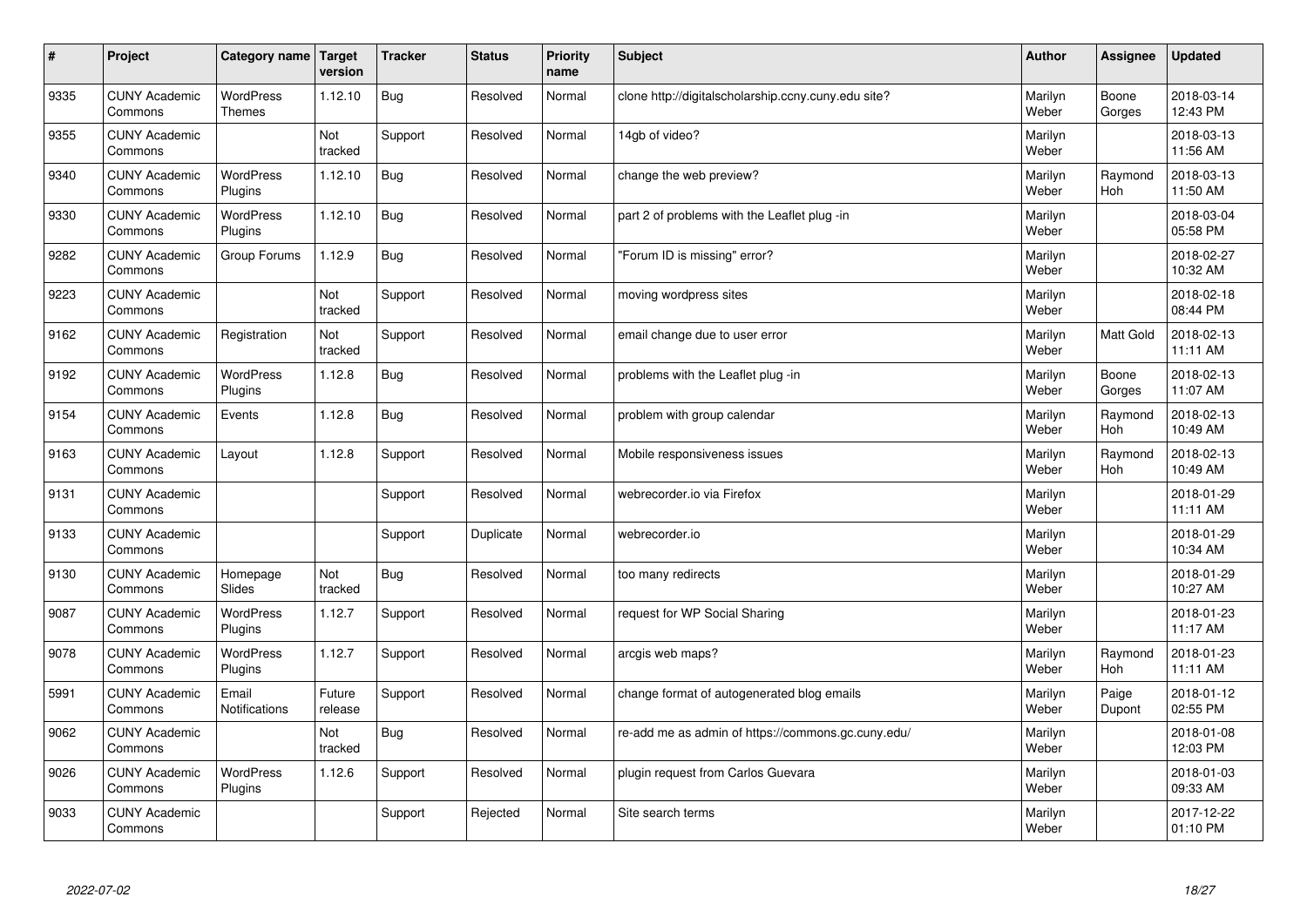| $\sharp$ | Project                         | Category name   Target            | version           | <b>Tracker</b> | <b>Status</b> | <b>Priority</b><br>name | <b>Subject</b>                                      | <b>Author</b>    | Assignee              | <b>Updated</b>         |
|----------|---------------------------------|-----------------------------------|-------------------|----------------|---------------|-------------------------|-----------------------------------------------------|------------------|-----------------------|------------------------|
| 9335     | <b>CUNY Academic</b><br>Commons | <b>WordPress</b><br><b>Themes</b> | 1.12.10           | Bug            | Resolved      | Normal                  | clone http://digitalscholarship.ccny.cuny.edu site? | Marilyn<br>Weber | Boone<br>Gorges       | 2018-03-14<br>12:43 PM |
| 9355     | <b>CUNY Academic</b><br>Commons |                                   | Not<br>tracked    | Support        | Resolved      | Normal                  | 14gb of video?                                      | Marilyn<br>Weber |                       | 2018-03-13<br>11:56 AM |
| 9340     | <b>CUNY Academic</b><br>Commons | <b>WordPress</b><br>Plugins       | 1.12.10           | Bug            | Resolved      | Normal                  | change the web preview?                             | Marilyn<br>Weber | Raymond<br>Hoh        | 2018-03-13<br>11:50 AM |
| 9330     | <b>CUNY Academic</b><br>Commons | <b>WordPress</b><br>Plugins       | 1.12.10           | <b>Bug</b>     | Resolved      | Normal                  | part 2 of problems with the Leaflet plug -in        | Marilyn<br>Weber |                       | 2018-03-04<br>05:58 PM |
| 9282     | <b>CUNY Academic</b><br>Commons | Group Forums                      | 1.12.9            | <b>Bug</b>     | Resolved      | Normal                  | 'Forum ID is missing" error?                        | Marilyn<br>Weber |                       | 2018-02-27<br>10:32 AM |
| 9223     | <b>CUNY Academic</b><br>Commons |                                   | Not<br>tracked    | Support        | Resolved      | Normal                  | moving wordpress sites                              | Marilyn<br>Weber |                       | 2018-02-18<br>08:44 PM |
| 9162     | <b>CUNY Academic</b><br>Commons | Registration                      | Not<br>tracked    | Support        | Resolved      | Normal                  | email change due to user error                      | Marilyn<br>Weber | <b>Matt Gold</b>      | 2018-02-13<br>11:11 AM |
| 9192     | <b>CUNY Academic</b><br>Commons | WordPress<br>Plugins              | 1.12.8            | Bug            | Resolved      | Normal                  | problems with the Leaflet plug -in                  | Marilyn<br>Weber | Boone<br>Gorges       | 2018-02-13<br>11:07 AM |
| 9154     | <b>CUNY Academic</b><br>Commons | Events                            | 1.12.8            | <b>Bug</b>     | Resolved      | Normal                  | problem with group calendar                         | Marilyn<br>Weber | Raymond<br>Hoh        | 2018-02-13<br>10:49 AM |
| 9163     | <b>CUNY Academic</b><br>Commons | Layout                            | 1.12.8            | Support        | Resolved      | Normal                  | Mobile responsiveness issues                        | Marilyn<br>Weber | Raymond<br><b>Hoh</b> | 2018-02-13<br>10:49 AM |
| 9131     | <b>CUNY Academic</b><br>Commons |                                   |                   | Support        | Resolved      | Normal                  | webrecorder.io via Firefox                          | Marilyn<br>Weber |                       | 2018-01-29<br>11:11 AM |
| 9133     | <b>CUNY Academic</b><br>Commons |                                   |                   | Support        | Duplicate     | Normal                  | webrecorder.io                                      | Marilyn<br>Weber |                       | 2018-01-29<br>10:34 AM |
| 9130     | <b>CUNY Academic</b><br>Commons | Homepage<br>Slides                | Not<br>tracked    | Bug            | Resolved      | Normal                  | too many redirects                                  | Marilyn<br>Weber |                       | 2018-01-29<br>10:27 AM |
| 9087     | <b>CUNY Academic</b><br>Commons | WordPress<br>Plugins              | 1.12.7            | Support        | Resolved      | Normal                  | request for WP Social Sharing                       | Marilyn<br>Weber |                       | 2018-01-23<br>11:17 AM |
| 9078     | <b>CUNY Academic</b><br>Commons | WordPress<br>Plugins              | 1.12.7            | Support        | Resolved      | Normal                  | arcgis web maps?                                    | Marilyn<br>Weber | Raymond<br>Hoh        | 2018-01-23<br>11:11 AM |
| 5991     | <b>CUNY Academic</b><br>Commons | Email<br>Notifications            | Future<br>release | Support        | Resolved      | Normal                  | change format of autogenerated blog emails          | Marilyn<br>Weber | Paige<br>Dupont       | 2018-01-12<br>02:55 PM |
| 9062     | <b>CUNY Academic</b><br>Commons |                                   | Not<br>tracked    | Bug            | Resolved      | Normal                  | re-add me as admin of https://commons.gc.cuny.edu/  | Marilyn<br>Weber |                       | 2018-01-08<br>12:03 PM |
| 9026     | <b>CUNY Academic</b><br>Commons | <b>WordPress</b><br>Plugins       | 1.12.6            | Support        | Resolved      | Normal                  | plugin request from Carlos Guevara                  | Marilyn<br>Weber |                       | 2018-01-03<br>09:33 AM |
| 9033     | <b>CUNY Academic</b><br>Commons |                                   |                   | Support        | Rejected      | Normal                  | Site search terms                                   | Marilyn<br>Weber |                       | 2017-12-22<br>01:10 PM |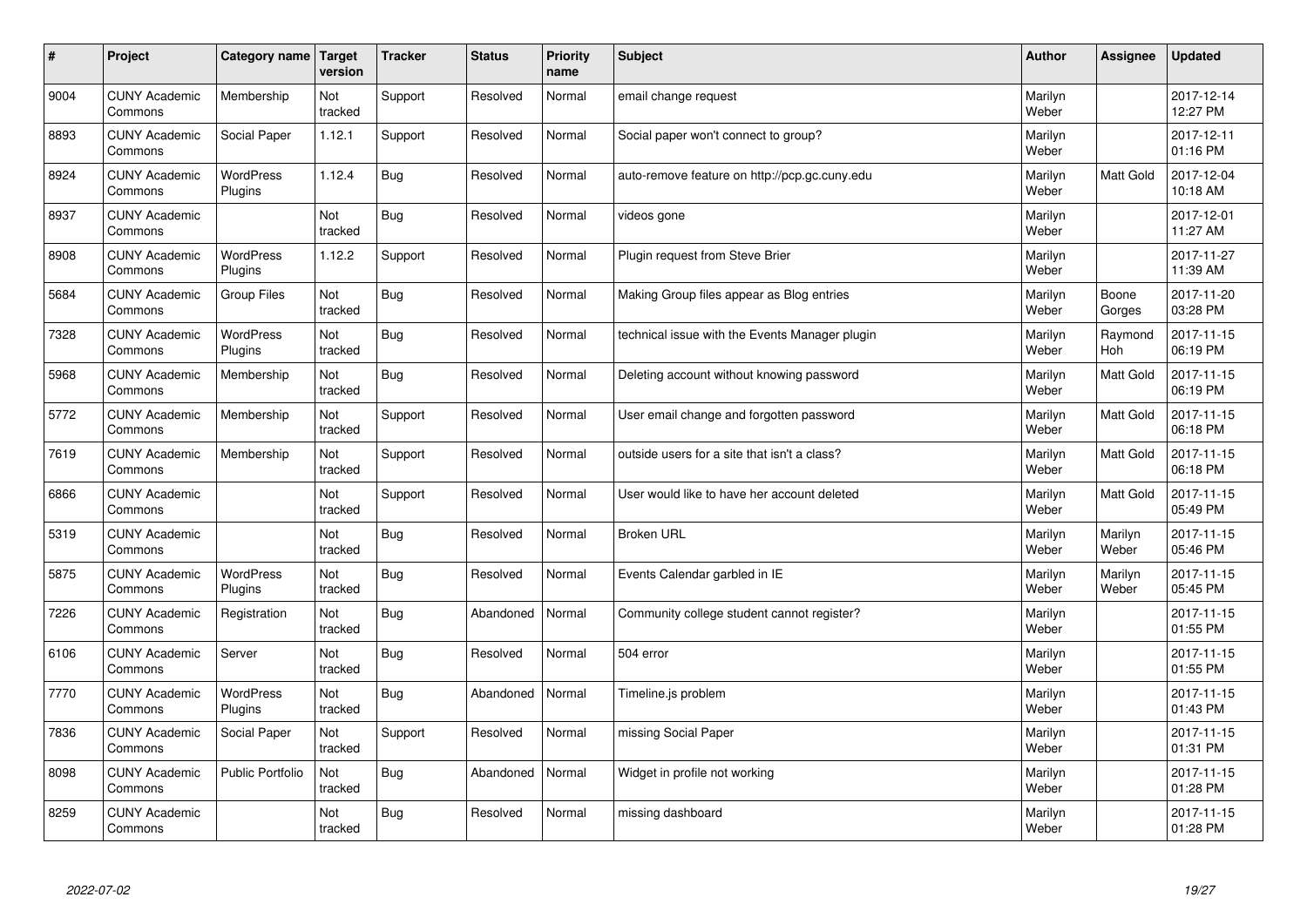| $\pmb{\sharp}$ | Project                         | <b>Category name</b>        | Target<br>version | <b>Tracker</b> | <b>Status</b> | <b>Priority</b><br>name | <b>Subject</b>                                 | <b>Author</b>    | Assignee         | <b>Updated</b>         |
|----------------|---------------------------------|-----------------------------|-------------------|----------------|---------------|-------------------------|------------------------------------------------|------------------|------------------|------------------------|
| 9004           | <b>CUNY Academic</b><br>Commons | Membership                  | Not<br>tracked    | Support        | Resolved      | Normal                  | email change request                           | Marilyn<br>Weber |                  | 2017-12-14<br>12:27 PM |
| 8893           | <b>CUNY Academic</b><br>Commons | <b>Social Paper</b>         | 1.12.1            | Support        | Resolved      | Normal                  | Social paper won't connect to group?           | Marilyn<br>Weber |                  | 2017-12-11<br>01:16 PM |
| 8924           | <b>CUNY Academic</b><br>Commons | <b>WordPress</b><br>Plugins | 1.12.4            | <b>Bug</b>     | Resolved      | Normal                  | auto-remove feature on http://pcp.gc.cuny.edu  | Marilyn<br>Weber | <b>Matt Gold</b> | 2017-12-04<br>10:18 AM |
| 8937           | <b>CUNY Academic</b><br>Commons |                             | Not<br>tracked    | <b>Bug</b>     | Resolved      | Normal                  | videos gone                                    | Marilyn<br>Weber |                  | 2017-12-01<br>11:27 AM |
| 8908           | <b>CUNY Academic</b><br>Commons | <b>WordPress</b><br>Plugins | 1.12.2            | Support        | Resolved      | Normal                  | Plugin request from Steve Brier                | Marilyn<br>Weber |                  | 2017-11-27<br>11:39 AM |
| 5684           | <b>CUNY Academic</b><br>Commons | <b>Group Files</b>          | Not<br>tracked    | <b>Bug</b>     | Resolved      | Normal                  | Making Group files appear as Blog entries      | Marilyn<br>Weber | Boone<br>Gorges  | 2017-11-20<br>03:28 PM |
| 7328           | <b>CUNY Academic</b><br>Commons | WordPress<br>Plugins        | Not<br>tracked    | <b>Bug</b>     | Resolved      | Normal                  | technical issue with the Events Manager plugin | Marilyn<br>Weber | Raymond<br>Hoh   | 2017-11-15<br>06:19 PM |
| 5968           | <b>CUNY Academic</b><br>Commons | Membership                  | Not<br>tracked    | <b>Bug</b>     | Resolved      | Normal                  | Deleting account without knowing password      | Marilyn<br>Weber | Matt Gold        | 2017-11-15<br>06:19 PM |
| 5772           | <b>CUNY Academic</b><br>Commons | Membership                  | Not<br>tracked    | Support        | Resolved      | Normal                  | User email change and forgotten password       | Marilyn<br>Weber | Matt Gold        | 2017-11-15<br>06:18 PM |
| 7619           | <b>CUNY Academic</b><br>Commons | Membership                  | Not<br>tracked    | Support        | Resolved      | Normal                  | outside users for a site that isn't a class?   | Marilyn<br>Weber | Matt Gold        | 2017-11-15<br>06:18 PM |
| 6866           | <b>CUNY Academic</b><br>Commons |                             | Not<br>tracked    | Support        | Resolved      | Normal                  | User would like to have her account deleted    | Marilyn<br>Weber | Matt Gold        | 2017-11-15<br>05:49 PM |
| 5319           | <b>CUNY Academic</b><br>Commons |                             | Not<br>tracked    | <b>Bug</b>     | Resolved      | Normal                  | <b>Broken URL</b>                              | Marilyn<br>Weber | Marilyn<br>Weber | 2017-11-15<br>05:46 PM |
| 5875           | <b>CUNY Academic</b><br>Commons | <b>WordPress</b><br>Plugins | Not<br>tracked    | <b>Bug</b>     | Resolved      | Normal                  | Events Calendar garbled in IE                  | Marilyn<br>Weber | Marilyn<br>Weber | 2017-11-15<br>05:45 PM |
| 7226           | <b>CUNY Academic</b><br>Commons | Registration                | Not<br>tracked    | <b>Bug</b>     | Abandoned     | Normal                  | Community college student cannot register?     | Marilyn<br>Weber |                  | 2017-11-15<br>01:55 PM |
| 6106           | <b>CUNY Academic</b><br>Commons | Server                      | Not<br>tracked    | <b>Bug</b>     | Resolved      | Normal                  | 504 error                                      | Marilyn<br>Weber |                  | 2017-11-15<br>01:55 PM |
| 7770           | <b>CUNY Academic</b><br>Commons | WordPress<br>Plugins        | Not<br>tracked    | <b>Bug</b>     | Abandoned     | Normal                  | Timeline.js problem                            | Marilyn<br>Weber |                  | 2017-11-15<br>01:43 PM |
| 7836           | <b>CUNY Academic</b><br>Commons | Social Paper                | Not<br>tracked    | Support        | Resolved      | Normal                  | missing Social Paper                           | Marilyn<br>Weber |                  | 2017-11-15<br>01:31 PM |
| 8098           | <b>CUNY Academic</b><br>Commons | <b>Public Portfolio</b>     | Not<br>tracked    | <b>Bug</b>     | Abandoned     | Normal                  | Widget in profile not working                  | Marilyn<br>Weber |                  | 2017-11-15<br>01:28 PM |
| 8259           | <b>CUNY Academic</b><br>Commons |                             | Not<br>tracked    | <b>Bug</b>     | Resolved      | Normal                  | missing dashboard                              | Marilyn<br>Weber |                  | 2017-11-15<br>01:28 PM |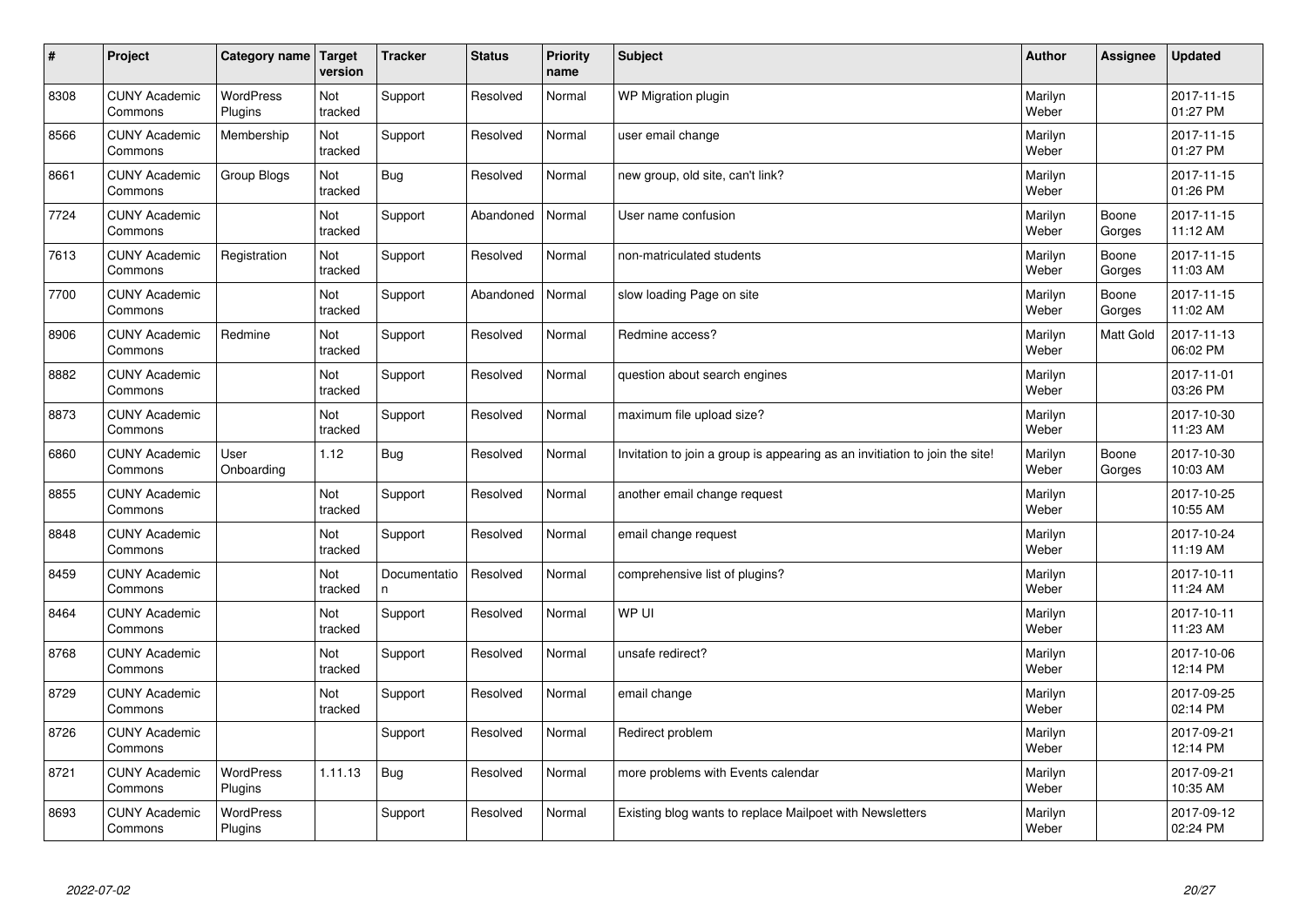| $\sharp$ | Project                         | Category name   Target      | version        | <b>Tracker</b>     | <b>Status</b> | <b>Priority</b><br>name | <b>Subject</b>                                                              | <b>Author</b>    | Assignee        | <b>Updated</b>         |
|----------|---------------------------------|-----------------------------|----------------|--------------------|---------------|-------------------------|-----------------------------------------------------------------------------|------------------|-----------------|------------------------|
| 8308     | <b>CUNY Academic</b><br>Commons | <b>WordPress</b><br>Plugins | Not<br>tracked | Support            | Resolved      | Normal                  | <b>WP Migration plugin</b>                                                  | Marilyn<br>Weber |                 | 2017-11-15<br>01:27 PM |
| 8566     | <b>CUNY Academic</b><br>Commons | Membership                  | Not<br>tracked | Support            | Resolved      | Normal                  | user email change                                                           | Marilyn<br>Weber |                 | 2017-11-15<br>01:27 PM |
| 8661     | <b>CUNY Academic</b><br>Commons | Group Blogs                 | Not<br>tracked | Bug                | Resolved      | Normal                  | new group, old site, can't link?                                            | Marilyn<br>Weber |                 | 2017-11-15<br>01:26 PM |
| 7724     | <b>CUNY Academic</b><br>Commons |                             | Not<br>tracked | Support            | Abandoned     | Normal                  | User name confusion                                                         | Marilyn<br>Weber | Boone<br>Gorges | 2017-11-15<br>11:12 AM |
| 7613     | <b>CUNY Academic</b><br>Commons | Registration                | Not<br>tracked | Support            | Resolved      | Normal                  | non-matriculated students                                                   | Marilyn<br>Weber | Boone<br>Gorges | 2017-11-15<br>11:03 AM |
| 7700     | <b>CUNY Academic</b><br>Commons |                             | Not<br>tracked | Support            | Abandoned     | Normal                  | slow loading Page on site                                                   | Marilyn<br>Weber | Boone<br>Gorges | 2017-11-15<br>11:02 AM |
| 8906     | <b>CUNY Academic</b><br>Commons | Redmine                     | Not<br>tracked | Support            | Resolved      | Normal                  | Redmine access?                                                             | Marilyn<br>Weber | Matt Gold       | 2017-11-13<br>06:02 PM |
| 8882     | <b>CUNY Academic</b><br>Commons |                             | Not<br>tracked | Support            | Resolved      | Normal                  | question about search engines                                               | Marilyn<br>Weber |                 | 2017-11-01<br>03:26 PM |
| 8873     | <b>CUNY Academic</b><br>Commons |                             | Not<br>tracked | Support            | Resolved      | Normal                  | maximum file upload size?                                                   | Marilyn<br>Weber |                 | 2017-10-30<br>11:23 AM |
| 6860     | <b>CUNY Academic</b><br>Commons | User<br>Onboarding          | 1.12           | Bug                | Resolved      | Normal                  | Invitation to join a group is appearing as an invitiation to join the site! | Marilyn<br>Weber | Boone<br>Gorges | 2017-10-30<br>10:03 AM |
| 8855     | <b>CUNY Academic</b><br>Commons |                             | Not<br>tracked | Support            | Resolved      | Normal                  | another email change request                                                | Marilyn<br>Weber |                 | 2017-10-25<br>10:55 AM |
| 8848     | <b>CUNY Academic</b><br>Commons |                             | Not<br>tracked | Support            | Resolved      | Normal                  | email change request                                                        | Marilyn<br>Weber |                 | 2017-10-24<br>11:19 AM |
| 8459     | <b>CUNY Academic</b><br>Commons |                             | Not<br>tracked | Documentatio<br>n. | Resolved      | Normal                  | comprehensive list of plugins?                                              | Marilyn<br>Weber |                 | 2017-10-11<br>11:24 AM |
| 8464     | <b>CUNY Academic</b><br>Commons |                             | Not<br>tracked | Support            | Resolved      | Normal                  | WP UI                                                                       | Marilyn<br>Weber |                 | 2017-10-11<br>11:23 AM |
| 8768     | <b>CUNY Academic</b><br>Commons |                             | Not<br>tracked | Support            | Resolved      | Normal                  | unsafe redirect?                                                            | Marilyn<br>Weber |                 | 2017-10-06<br>12:14 PM |
| 8729     | <b>CUNY Academic</b><br>Commons |                             | Not<br>tracked | Support            | Resolved      | Normal                  | email change                                                                | Marilyn<br>Weber |                 | 2017-09-25<br>02:14 PM |
| 8726     | <b>CUNY Academic</b><br>Commons |                             |                | Support            | Resolved      | Normal                  | Redirect problem                                                            | Marilyn<br>Weber |                 | 2017-09-21<br>12:14 PM |
| 8721     | <b>CUNY Academic</b><br>Commons | <b>WordPress</b><br>Plugins | 1.11.13        | <b>Bug</b>         | Resolved      | Normal                  | more problems with Events calendar                                          | Marilyn<br>Weber |                 | 2017-09-21<br>10:35 AM |
| 8693     | <b>CUNY Academic</b><br>Commons | <b>WordPress</b><br>Plugins |                | Support            | Resolved      | Normal                  | Existing blog wants to replace Mailpoet with Newsletters                    | Marilyn<br>Weber |                 | 2017-09-12<br>02:24 PM |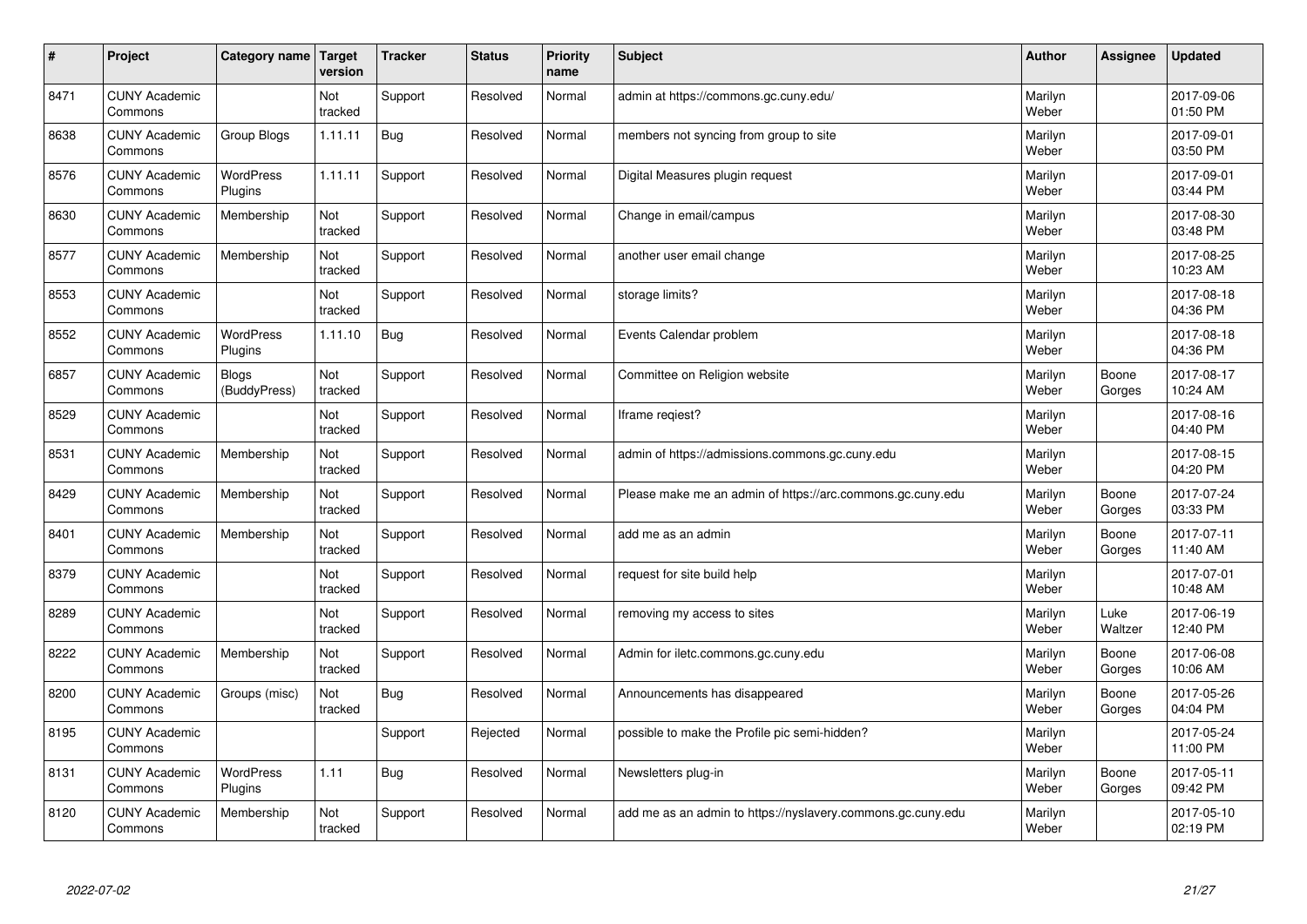| #    | Project                         | Category name   Target      | version        | <b>Tracker</b> | <b>Status</b> | <b>Priority</b><br>name | <b>Subject</b>                                              | <b>Author</b>    | Assignee        | <b>Updated</b>         |
|------|---------------------------------|-----------------------------|----------------|----------------|---------------|-------------------------|-------------------------------------------------------------|------------------|-----------------|------------------------|
| 8471 | <b>CUNY Academic</b><br>Commons |                             | Not<br>tracked | Support        | Resolved      | Normal                  | admin at https://commons.gc.cuny.edu/                       | Marilyn<br>Weber |                 | 2017-09-06<br>01:50 PM |
| 8638 | <b>CUNY Academic</b><br>Commons | Group Blogs                 | 1.11.11        | Bug            | Resolved      | Normal                  | members not syncing from group to site                      | Marilyn<br>Weber |                 | 2017-09-01<br>03:50 PM |
| 8576 | <b>CUNY Academic</b><br>Commons | <b>WordPress</b><br>Plugins | 1.11.11        | Support        | Resolved      | Normal                  | Digital Measures plugin request                             | Marilyn<br>Weber |                 | 2017-09-01<br>03:44 PM |
| 8630 | <b>CUNY Academic</b><br>Commons | Membership                  | Not<br>tracked | Support        | Resolved      | Normal                  | Change in email/campus                                      | Marilyn<br>Weber |                 | 2017-08-30<br>03:48 PM |
| 8577 | <b>CUNY Academic</b><br>Commons | Membership                  | Not<br>tracked | Support        | Resolved      | Normal                  | another user email change                                   | Marilyn<br>Weber |                 | 2017-08-25<br>10:23 AM |
| 8553 | <b>CUNY Academic</b><br>Commons |                             | Not<br>tracked | Support        | Resolved      | Normal                  | storage limits?                                             | Marilyn<br>Weber |                 | 2017-08-18<br>04:36 PM |
| 8552 | <b>CUNY Academic</b><br>Commons | <b>WordPress</b><br>Plugins | 1.11.10        | Bug            | Resolved      | Normal                  | Events Calendar problem                                     | Marilyn<br>Weber |                 | 2017-08-18<br>04:36 PM |
| 6857 | <b>CUNY Academic</b><br>Commons | Blogs<br>(BuddyPress)       | Not<br>tracked | Support        | Resolved      | Normal                  | Committee on Religion website                               | Marilyn<br>Weber | Boone<br>Gorges | 2017-08-17<br>10:24 AM |
| 8529 | <b>CUNY Academic</b><br>Commons |                             | Not<br>tracked | Support        | Resolved      | Normal                  | Iframe regiest?                                             | Marilyn<br>Weber |                 | 2017-08-16<br>04:40 PM |
| 8531 | <b>CUNY Academic</b><br>Commons | Membership                  | Not<br>tracked | Support        | Resolved      | Normal                  | admin of https://admissions.commons.gc.cuny.edu             | Marilyn<br>Weber |                 | 2017-08-15<br>04:20 PM |
| 8429 | <b>CUNY Academic</b><br>Commons | Membership                  | Not<br>tracked | Support        | Resolved      | Normal                  | Please make me an admin of https://arc.commons.gc.cuny.edu  | Marilyn<br>Weber | Boone<br>Gorges | 2017-07-24<br>03:33 PM |
| 8401 | <b>CUNY Academic</b><br>Commons | Membership                  | Not<br>tracked | Support        | Resolved      | Normal                  | add me as an admin                                          | Marilyn<br>Weber | Boone<br>Gorges | 2017-07-11<br>11:40 AM |
| 8379 | <b>CUNY Academic</b><br>Commons |                             | Not<br>tracked | Support        | Resolved      | Normal                  | request for site build help                                 | Marilyn<br>Weber |                 | 2017-07-01<br>10:48 AM |
| 8289 | <b>CUNY Academic</b><br>Commons |                             | Not<br>tracked | Support        | Resolved      | Normal                  | removing my access to sites                                 | Marilyn<br>Weber | Luke<br>Waltzer | 2017-06-19<br>12:40 PM |
| 8222 | <b>CUNY Academic</b><br>Commons | Membership                  | Not<br>tracked | Support        | Resolved      | Normal                  | Admin for iletc.commons.gc.cuny.edu                         | Marilyn<br>Weber | Boone<br>Gorges | 2017-06-08<br>10:06 AM |
| 8200 | <b>CUNY Academic</b><br>Commons | Groups (misc)               | Not<br>tracked | Bug            | Resolved      | Normal                  | Announcements has disappeared                               | Marilyn<br>Weber | Boone<br>Gorges | 2017-05-26<br>04:04 PM |
| 8195 | <b>CUNY Academic</b><br>Commons |                             |                | Support        | Rejected      | Normal                  | possible to make the Profile pic semi-hidden?               | Marilyn<br>Weber |                 | 2017-05-24<br>11:00 PM |
| 8131 | <b>CUNY Academic</b><br>Commons | <b>WordPress</b><br>Plugins | 1.11           | <b>Bug</b>     | Resolved      | Normal                  | Newsletters plug-in                                         | Marilyn<br>Weber | Boone<br>Gorges | 2017-05-11<br>09:42 PM |
| 8120 | <b>CUNY Academic</b><br>Commons | Membership                  | Not<br>tracked | Support        | Resolved      | Normal                  | add me as an admin to https://nyslavery.commons.gc.cuny.edu | Marilyn<br>Weber |                 | 2017-05-10<br>02:19 PM |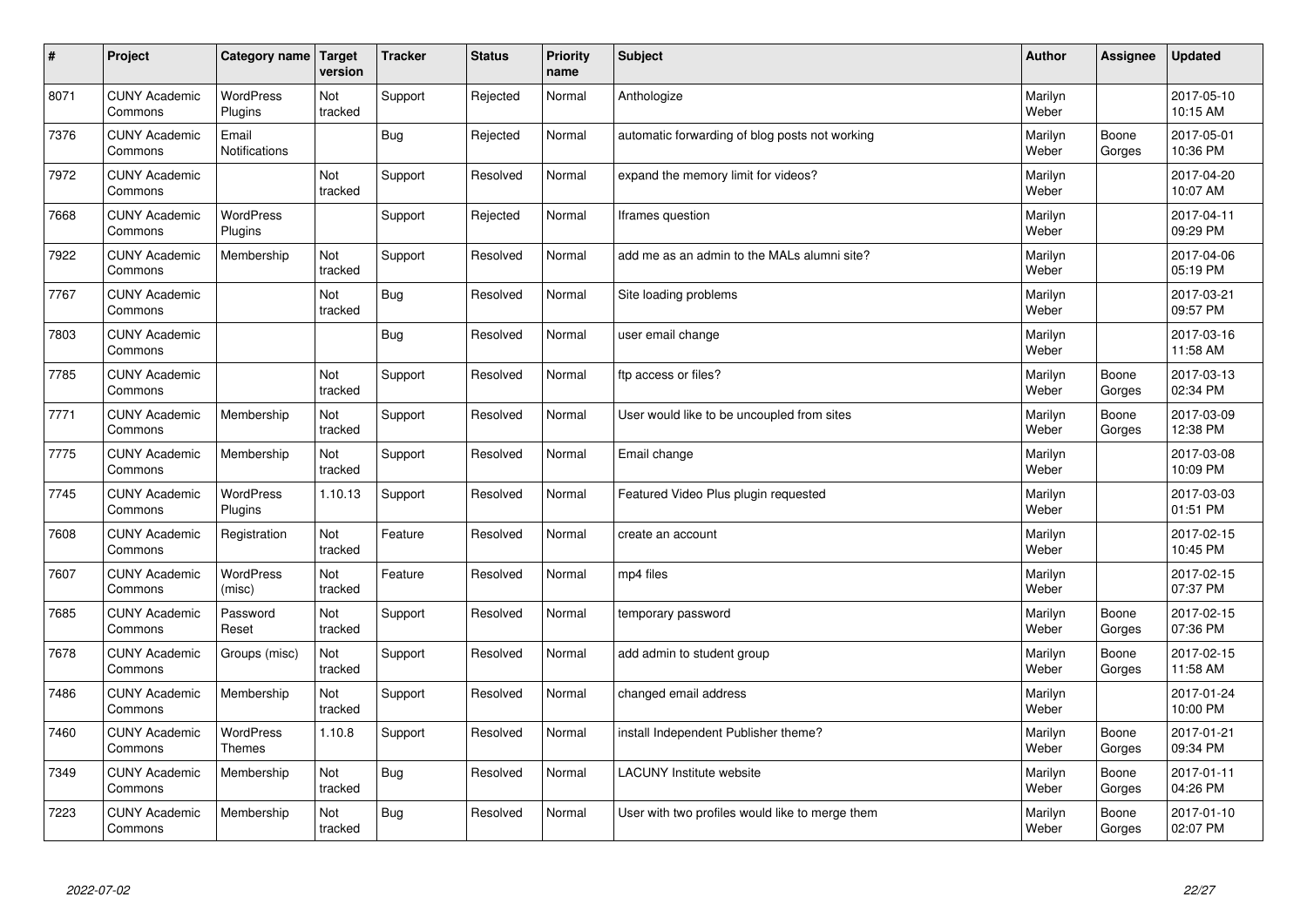| $\sharp$ | Project                         | Category name   Target        | version        | <b>Tracker</b> | <b>Status</b> | <b>Priority</b><br>name | <b>Subject</b>                                  | <b>Author</b>    | Assignee        | <b>Updated</b>         |
|----------|---------------------------------|-------------------------------|----------------|----------------|---------------|-------------------------|-------------------------------------------------|------------------|-----------------|------------------------|
| 8071     | <b>CUNY Academic</b><br>Commons | <b>WordPress</b><br>Plugins   | Not<br>tracked | Support        | Rejected      | Normal                  | Anthologize                                     | Marilyn<br>Weber |                 | 2017-05-10<br>10:15 AM |
| 7376     | <b>CUNY Academic</b><br>Commons | Email<br><b>Notifications</b> |                | Bug            | Rejected      | Normal                  | automatic forwarding of blog posts not working  | Marilyn<br>Weber | Boone<br>Gorges | 2017-05-01<br>10:36 PM |
| 7972     | <b>CUNY Academic</b><br>Commons |                               | Not<br>tracked | Support        | Resolved      | Normal                  | expand the memory limit for videos?             | Marilyn<br>Weber |                 | 2017-04-20<br>10:07 AM |
| 7668     | <b>CUNY Academic</b><br>Commons | <b>WordPress</b><br>Plugins   |                | Support        | Rejected      | Normal                  | Iframes question                                | Marilyn<br>Weber |                 | 2017-04-11<br>09:29 PM |
| 7922     | <b>CUNY Academic</b><br>Commons | Membership                    | Not<br>tracked | Support        | Resolved      | Normal                  | add me as an admin to the MALs alumni site?     | Marilyn<br>Weber |                 | 2017-04-06<br>05:19 PM |
| 7767     | <b>CUNY Academic</b><br>Commons |                               | Not<br>tracked | Bug            | Resolved      | Normal                  | Site loading problems                           | Marilyn<br>Weber |                 | 2017-03-21<br>09:57 PM |
| 7803     | <b>CUNY Academic</b><br>Commons |                               |                | Bug            | Resolved      | Normal                  | user email change                               | Marilyn<br>Weber |                 | 2017-03-16<br>11:58 AM |
| 7785     | <b>CUNY Academic</b><br>Commons |                               | Not<br>tracked | Support        | Resolved      | Normal                  | ftp access or files?                            | Marilyn<br>Weber | Boone<br>Gorges | 2017-03-13<br>02:34 PM |
| 7771     | <b>CUNY Academic</b><br>Commons | Membership                    | Not<br>tracked | Support        | Resolved      | Normal                  | User would like to be uncoupled from sites      | Marilyn<br>Weber | Boone<br>Gorges | 2017-03-09<br>12:38 PM |
| 7775     | <b>CUNY Academic</b><br>Commons | Membership                    | Not<br>tracked | Support        | Resolved      | Normal                  | Email change                                    | Marilyn<br>Weber |                 | 2017-03-08<br>10:09 PM |
| 7745     | <b>CUNY Academic</b><br>Commons | WordPress<br>Plugins          | 1.10.13        | Support        | Resolved      | Normal                  | Featured Video Plus plugin requested            | Marilyn<br>Weber |                 | 2017-03-03<br>01:51 PM |
| 7608     | <b>CUNY Academic</b><br>Commons | Registration                  | Not<br>tracked | Feature        | Resolved      | Normal                  | create an account                               | Marilyn<br>Weber |                 | 2017-02-15<br>10:45 PM |
| 7607     | <b>CUNY Academic</b><br>Commons | WordPress<br>(misc)           | Not<br>tracked | Feature        | Resolved      | Normal                  | mp4 files                                       | Marilyn<br>Weber |                 | 2017-02-15<br>07:37 PM |
| 7685     | <b>CUNY Academic</b><br>Commons | Password<br>Reset             | Not<br>tracked | Support        | Resolved      | Normal                  | temporary password                              | Marilyn<br>Weber | Boone<br>Gorges | 2017-02-15<br>07:36 PM |
| 7678     | <b>CUNY Academic</b><br>Commons | Groups (misc)                 | Not<br>tracked | Support        | Resolved      | Normal                  | add admin to student group                      | Marilyn<br>Weber | Boone<br>Gorges | 2017-02-15<br>11:58 AM |
| 7486     | <b>CUNY Academic</b><br>Commons | Membership                    | Not<br>tracked | Support        | Resolved      | Normal                  | changed email address                           | Marilyn<br>Weber |                 | 2017-01-24<br>10:00 PM |
| 7460     | <b>CUNY Academic</b><br>Commons | WordPress<br><b>Themes</b>    | 1.10.8         | Support        | Resolved      | Normal                  | install Independent Publisher theme?            | Marilyn<br>Weber | Boone<br>Gorges | 2017-01-21<br>09:34 PM |
| 7349     | <b>CUNY Academic</b><br>Commons | Membership                    | Not<br>tracked | Bug            | Resolved      | Normal                  | <b>LACUNY</b> Institute website                 | Marilyn<br>Weber | Boone<br>Gorges | 2017-01-11<br>04:26 PM |
| 7223     | <b>CUNY Academic</b><br>Commons | Membership                    | Not<br>tracked | Bug            | Resolved      | Normal                  | User with two profiles would like to merge them | Marilyn<br>Weber | Boone<br>Gorges | 2017-01-10<br>02:07 PM |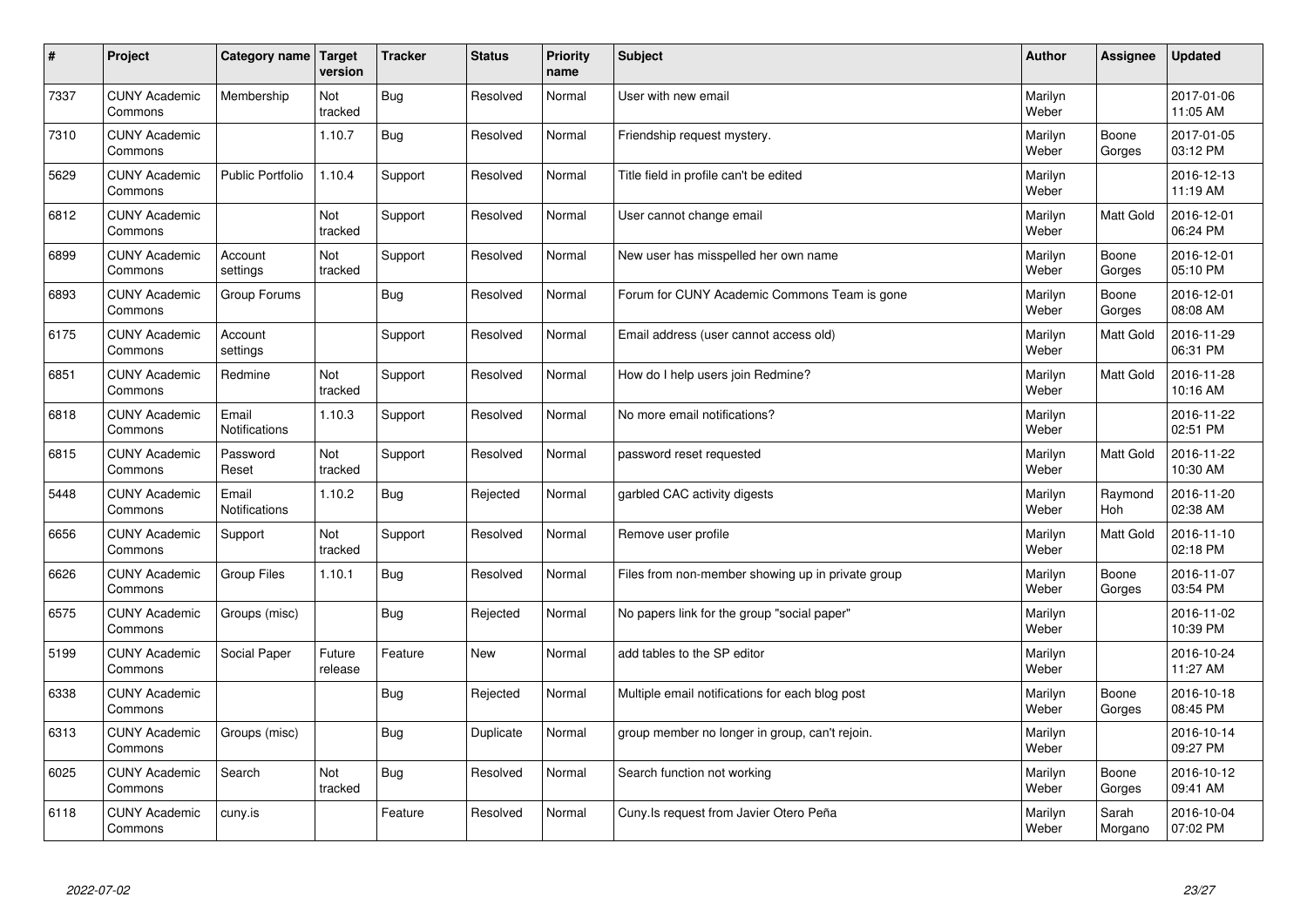| $\sharp$ | Project                         | <b>Category name</b>          | Target<br>version | <b>Tracker</b> | <b>Status</b> | <b>Priority</b><br>name | <b>Subject</b>                                    | <b>Author</b>    | Assignee         | <b>Updated</b>         |
|----------|---------------------------------|-------------------------------|-------------------|----------------|---------------|-------------------------|---------------------------------------------------|------------------|------------------|------------------------|
| 7337     | <b>CUNY Academic</b><br>Commons | Membership                    | Not<br>tracked    | Bug            | Resolved      | Normal                  | User with new email                               | Marilyn<br>Weber |                  | 2017-01-06<br>11:05 AM |
| 7310     | <b>CUNY Academic</b><br>Commons |                               | 1.10.7            | Bug            | Resolved      | Normal                  | Friendship request mystery.                       | Marilyn<br>Weber | Boone<br>Gorges  | 2017-01-05<br>03:12 PM |
| 5629     | <b>CUNY Academic</b><br>Commons | <b>Public Portfolio</b>       | 1.10.4            | Support        | Resolved      | Normal                  | Title field in profile can't be edited            | Marilyn<br>Weber |                  | 2016-12-13<br>11:19 AM |
| 6812     | <b>CUNY Academic</b><br>Commons |                               | Not<br>tracked    | Support        | Resolved      | Normal                  | User cannot change email                          | Marilyn<br>Weber | <b>Matt Gold</b> | 2016-12-01<br>06:24 PM |
| 6899     | <b>CUNY Academic</b><br>Commons | Account<br>settings           | Not<br>tracked    | Support        | Resolved      | Normal                  | New user has misspelled her own name              | Marilyn<br>Weber | Boone<br>Gorges  | 2016-12-01<br>05:10 PM |
| 6893     | <b>CUNY Academic</b><br>Commons | Group Forums                  |                   | <b>Bug</b>     | Resolved      | Normal                  | Forum for CUNY Academic Commons Team is gone      | Marilyn<br>Weber | Boone<br>Gorges  | 2016-12-01<br>08:08 AM |
| 6175     | <b>CUNY Academic</b><br>Commons | Account<br>settings           |                   | Support        | Resolved      | Normal                  | Email address (user cannot access old)            | Marilyn<br>Weber | <b>Matt Gold</b> | 2016-11-29<br>06:31 PM |
| 6851     | <b>CUNY Academic</b><br>Commons | Redmine                       | Not<br>tracked    | Support        | Resolved      | Normal                  | How do I help users join Redmine?                 | Marilyn<br>Weber | Matt Gold        | 2016-11-28<br>10:16 AM |
| 6818     | <b>CUNY Academic</b><br>Commons | Email<br><b>Notifications</b> | 1.10.3            | Support        | Resolved      | Normal                  | No more email notifications?                      | Marilyn<br>Weber |                  | 2016-11-22<br>02:51 PM |
| 6815     | <b>CUNY Academic</b><br>Commons | Password<br>Reset             | Not<br>tracked    | Support        | Resolved      | Normal                  | password reset requested                          | Marilyn<br>Weber | Matt Gold        | 2016-11-22<br>10:30 AM |
| 5448     | <b>CUNY Academic</b><br>Commons | Email<br>Notifications        | 1.10.2            | <b>Bug</b>     | Rejected      | Normal                  | garbled CAC activity digests                      | Marilyn<br>Weber | Raymond<br>Hoh   | 2016-11-20<br>02:38 AM |
| 6656     | <b>CUNY Academic</b><br>Commons | Support                       | Not<br>tracked    | Support        | Resolved      | Normal                  | Remove user profile                               | Marilyn<br>Weber | <b>Matt Gold</b> | 2016-11-10<br>02:18 PM |
| 6626     | <b>CUNY Academic</b><br>Commons | <b>Group Files</b>            | 1.10.1            | Bug            | Resolved      | Normal                  | Files from non-member showing up in private group | Marilyn<br>Weber | Boone<br>Gorges  | 2016-11-07<br>03:54 PM |
| 6575     | <b>CUNY Academic</b><br>Commons | Groups (misc)                 |                   | Bug            | Rejected      | Normal                  | No papers link for the group "social paper"       | Marilyn<br>Weber |                  | 2016-11-02<br>10:39 PM |
| 5199     | <b>CUNY Academic</b><br>Commons | Social Paper                  | Future<br>release | Feature        | <b>New</b>    | Normal                  | add tables to the SP editor                       | Marilyn<br>Weber |                  | 2016-10-24<br>11:27 AM |
| 6338     | <b>CUNY Academic</b><br>Commons |                               |                   | <b>Bug</b>     | Rejected      | Normal                  | Multiple email notifications for each blog post   | Marilyn<br>Weber | Boone<br>Gorges  | 2016-10-18<br>08:45 PM |
| 6313     | <b>CUNY Academic</b><br>Commons | Groups (misc)                 |                   | Bug            | Duplicate     | Normal                  | group member no longer in group, can't rejoin.    | Marilyn<br>Weber |                  | 2016-10-14<br>09:27 PM |
| 6025     | <b>CUNY Academic</b><br>Commons | Search                        | Not<br>tracked    | <b>Bug</b>     | Resolved      | Normal                  | Search function not working                       | Marilyn<br>Weber | Boone<br>Gorges  | 2016-10-12<br>09:41 AM |
| 6118     | <b>CUNY Academic</b><br>Commons | cuny.is                       |                   | Feature        | Resolved      | Normal                  | Cuny. Is request from Javier Otero Peña           | Marilyn<br>Weber | Sarah<br>Morgano | 2016-10-04<br>07:02 PM |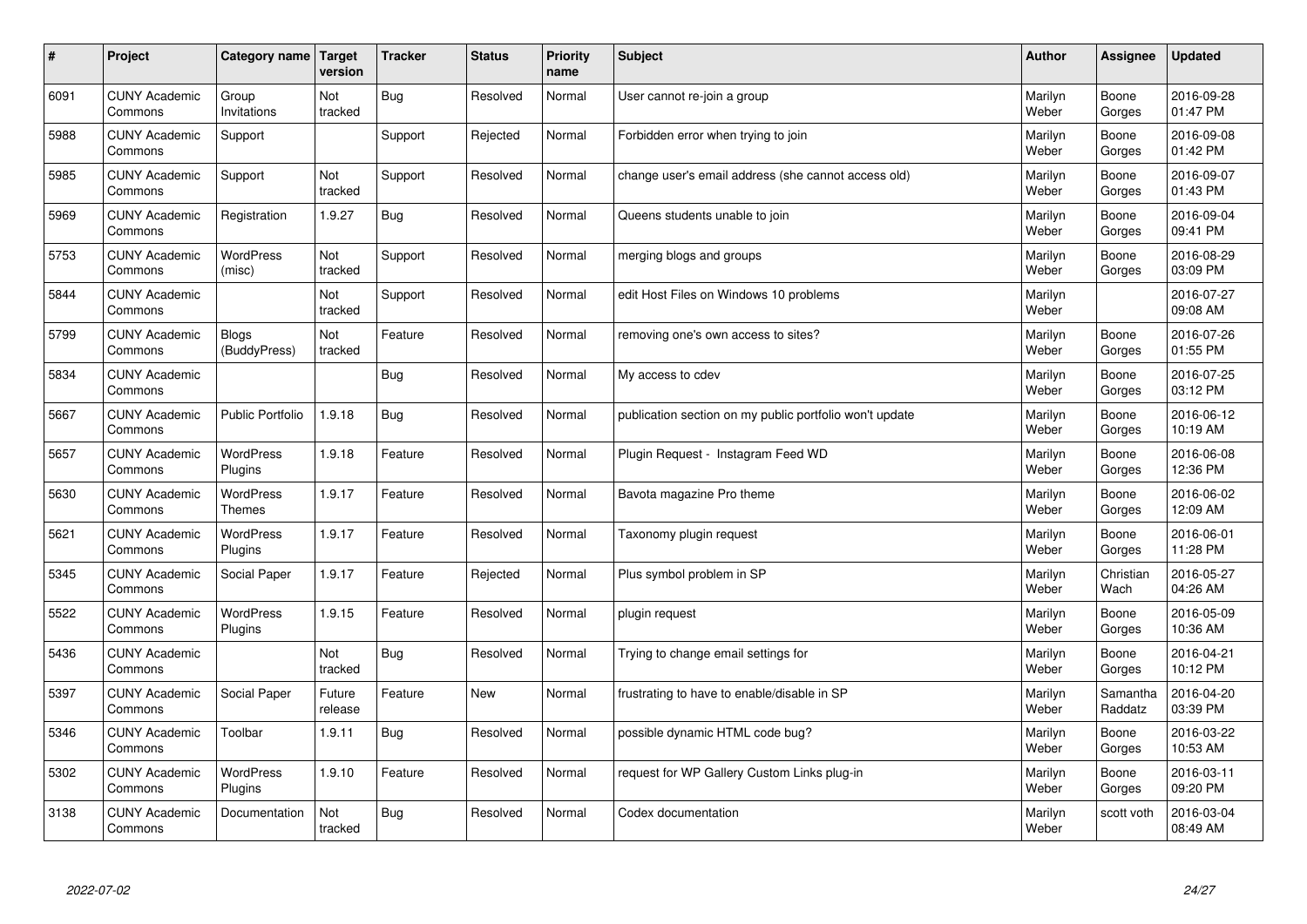| $\sharp$ | Project                         | Category name   Target            | version           | <b>Tracker</b> | <b>Status</b> | <b>Priority</b><br>name | <b>Subject</b>                                          | <b>Author</b>    | Assignee            | <b>Updated</b>         |
|----------|---------------------------------|-----------------------------------|-------------------|----------------|---------------|-------------------------|---------------------------------------------------------|------------------|---------------------|------------------------|
| 6091     | <b>CUNY Academic</b><br>Commons | Group<br>Invitations              | Not<br>tracked    | <b>Bug</b>     | Resolved      | Normal                  | User cannot re-join a group                             | Marilyn<br>Weber | Boone<br>Gorges     | 2016-09-28<br>01:47 PM |
| 5988     | <b>CUNY Academic</b><br>Commons | Support                           |                   | Support        | Rejected      | Normal                  | Forbidden error when trying to join                     | Marilyn<br>Weber | Boone<br>Gorges     | 2016-09-08<br>01:42 PM |
| 5985     | <b>CUNY Academic</b><br>Commons | Support                           | Not<br>tracked    | Support        | Resolved      | Normal                  | change user's email address (she cannot access old)     | Marilyn<br>Weber | Boone<br>Gorges     | 2016-09-07<br>01:43 PM |
| 5969     | <b>CUNY Academic</b><br>Commons | Registration                      | 1.9.27            | <b>Bug</b>     | Resolved      | Normal                  | Queens students unable to join                          | Marilyn<br>Weber | Boone<br>Gorges     | 2016-09-04<br>09:41 PM |
| 5753     | <b>CUNY Academic</b><br>Commons | <b>WordPress</b><br>(misc)        | Not<br>tracked    | Support        | Resolved      | Normal                  | merging blogs and groups                                | Marilyn<br>Weber | Boone<br>Gorges     | 2016-08-29<br>03:09 PM |
| 5844     | <b>CUNY Academic</b><br>Commons |                                   | Not<br>tracked    | Support        | Resolved      | Normal                  | edit Host Files on Windows 10 problems                  | Marilyn<br>Weber |                     | 2016-07-27<br>09:08 AM |
| 5799     | <b>CUNY Academic</b><br>Commons | Blogs<br>(BuddyPress)             | Not<br>tracked    | Feature        | Resolved      | Normal                  | removing one's own access to sites?                     | Marilyn<br>Weber | Boone<br>Gorges     | 2016-07-26<br>01:55 PM |
| 5834     | <b>CUNY Academic</b><br>Commons |                                   |                   | Bug            | Resolved      | Normal                  | My access to cdev                                       | Marilyn<br>Weber | Boone<br>Gorges     | 2016-07-25<br>03:12 PM |
| 5667     | <b>CUNY Academic</b><br>Commons | <b>Public Portfolio</b>           | 1.9.18            | Bug            | Resolved      | Normal                  | publication section on my public portfolio won't update | Marilyn<br>Weber | Boone<br>Gorges     | 2016-06-12<br>10:19 AM |
| 5657     | <b>CUNY Academic</b><br>Commons | WordPress<br>Plugins              | 1.9.18            | Feature        | Resolved      | Normal                  | Plugin Request - Instagram Feed WD                      | Marilyn<br>Weber | Boone<br>Gorges     | 2016-06-08<br>12:36 PM |
| 5630     | <b>CUNY Academic</b><br>Commons | <b>WordPress</b><br><b>Themes</b> | 1.9.17            | Feature        | Resolved      | Normal                  | Bavota magazine Pro theme                               | Marilyn<br>Weber | Boone<br>Gorges     | 2016-06-02<br>12:09 AM |
| 5621     | <b>CUNY Academic</b><br>Commons | <b>WordPress</b><br>Plugins       | 1.9.17            | Feature        | Resolved      | Normal                  | Taxonomy plugin request                                 | Marilyn<br>Weber | Boone<br>Gorges     | 2016-06-01<br>11:28 PM |
| 5345     | <b>CUNY Academic</b><br>Commons | Social Paper                      | 1.9.17            | Feature        | Rejected      | Normal                  | Plus symbol problem in SP                               | Marilyn<br>Weber | Christian<br>Wach   | 2016-05-27<br>04:26 AM |
| 5522     | <b>CUNY Academic</b><br>Commons | WordPress<br>Plugins              | 1.9.15            | Feature        | Resolved      | Normal                  | plugin request                                          | Marilyn<br>Weber | Boone<br>Gorges     | 2016-05-09<br>10:36 AM |
| 5436     | <b>CUNY Academic</b><br>Commons |                                   | Not<br>tracked    | <b>Bug</b>     | Resolved      | Normal                  | Trying to change email settings for                     | Marilyn<br>Weber | Boone<br>Gorges     | 2016-04-21<br>10:12 PM |
| 5397     | <b>CUNY Academic</b><br>Commons | Social Paper                      | Future<br>release | Feature        | <b>New</b>    | Normal                  | frustrating to have to enable/disable in SP             | Marilyn<br>Weber | Samantha<br>Raddatz | 2016-04-20<br>03:39 PM |
| 5346     | <b>CUNY Academic</b><br>Commons | Toolbar                           | 1.9.11            | Bug            | Resolved      | Normal                  | possible dynamic HTML code bug?                         | Marilyn<br>Weber | Boone<br>Gorges     | 2016-03-22<br>10:53 AM |
| 5302     | <b>CUNY Academic</b><br>Commons | WordPress<br>Plugins              | 1.9.10            | Feature        | Resolved      | Normal                  | request for WP Gallery Custom Links plug-in             | Marilyn<br>Weber | Boone<br>Gorges     | 2016-03-11<br>09:20 PM |
| 3138     | <b>CUNY Academic</b><br>Commons | Documentation                     | Not<br>tracked    | Bug            | Resolved      | Normal                  | Codex documentation                                     | Marilyn<br>Weber | scott voth          | 2016-03-04<br>08:49 AM |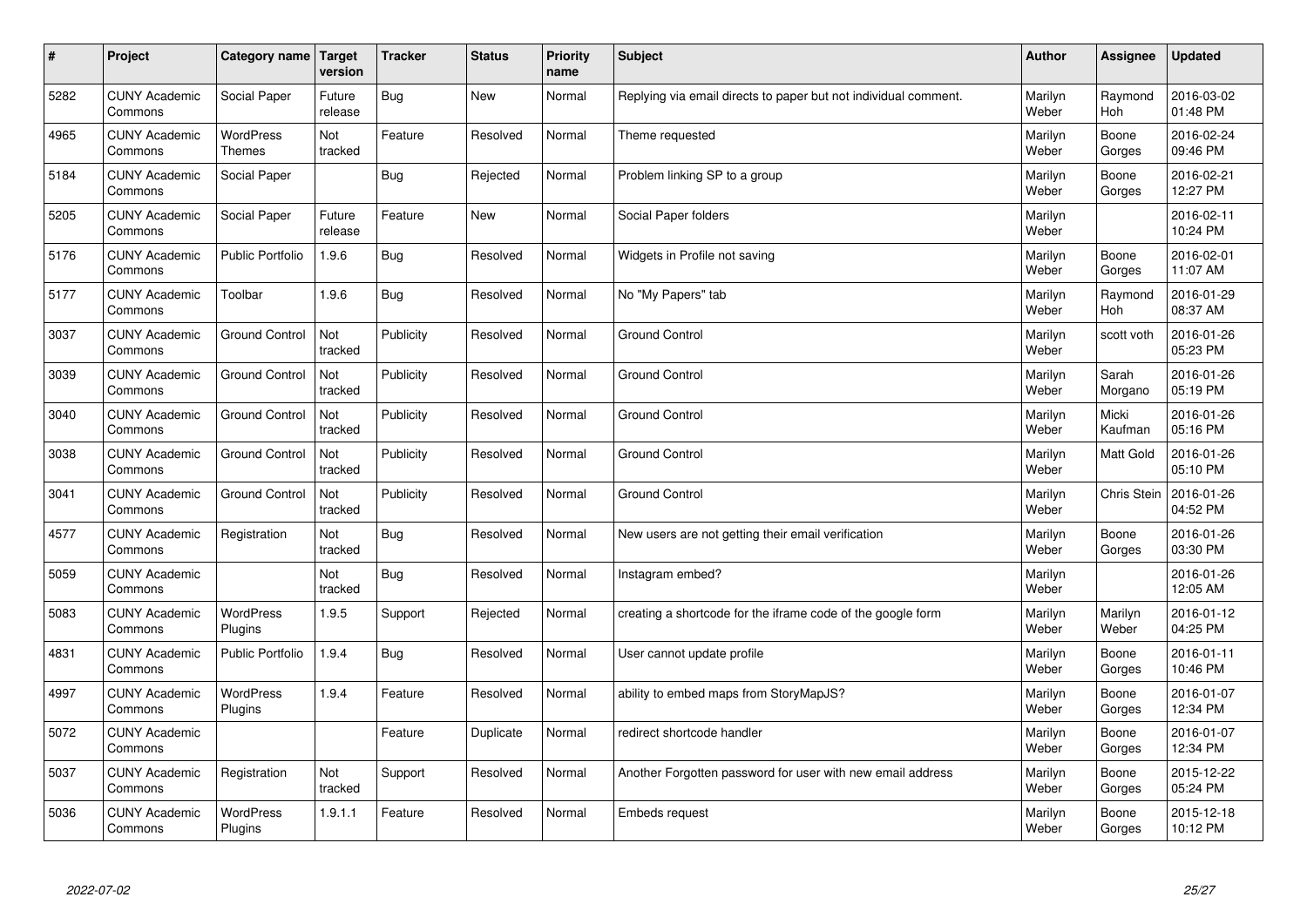| $\sharp$ | Project                         | Category name   Target            | version           | <b>Tracker</b> | <b>Status</b> | <b>Priority</b><br>name | <b>Subject</b>                                                  | <b>Author</b>    | <b>Assignee</b>       | <b>Updated</b>         |
|----------|---------------------------------|-----------------------------------|-------------------|----------------|---------------|-------------------------|-----------------------------------------------------------------|------------------|-----------------------|------------------------|
| 5282     | <b>CUNY Academic</b><br>Commons | Social Paper                      | Future<br>release | <b>Bug</b>     | <b>New</b>    | Normal                  | Replying via email directs to paper but not individual comment. | Marilyn<br>Weber | Raymond<br><b>Hoh</b> | 2016-03-02<br>01:48 PM |
| 4965     | <b>CUNY Academic</b><br>Commons | <b>WordPress</b><br><b>Themes</b> | Not<br>tracked    | Feature        | Resolved      | Normal                  | Theme requested                                                 | Marilyn<br>Weber | Boone<br>Gorges       | 2016-02-24<br>09:46 PM |
| 5184     | <b>CUNY Academic</b><br>Commons | Social Paper                      |                   | <b>Bug</b>     | Rejected      | Normal                  | Problem linking SP to a group                                   | Marilyn<br>Weber | Boone<br>Gorges       | 2016-02-21<br>12:27 PM |
| 5205     | <b>CUNY Academic</b><br>Commons | Social Paper                      | Future<br>release | Feature        | <b>New</b>    | Normal                  | Social Paper folders                                            | Marilyn<br>Weber |                       | 2016-02-11<br>10:24 PM |
| 5176     | <b>CUNY Academic</b><br>Commons | <b>Public Portfolio</b>           | 1.9.6             | Bug            | Resolved      | Normal                  | Widgets in Profile not saving                                   | Marilyn<br>Weber | Boone<br>Gorges       | 2016-02-01<br>11:07 AM |
| 5177     | <b>CUNY Academic</b><br>Commons | Toolbar                           | 1.9.6             | Bug            | Resolved      | Normal                  | No "My Papers" tab                                              | Marilyn<br>Weber | Raymond<br>Hoh        | 2016-01-29<br>08:37 AM |
| 3037     | <b>CUNY Academic</b><br>Commons | <b>Ground Control</b>             | Not<br>tracked    | Publicity      | Resolved      | Normal                  | <b>Ground Control</b>                                           | Marilyn<br>Weber | scott voth            | 2016-01-26<br>05:23 PM |
| 3039     | <b>CUNY Academic</b><br>Commons | <b>Ground Control</b>             | Not<br>tracked    | Publicity      | Resolved      | Normal                  | <b>Ground Control</b>                                           | Marilyn<br>Weber | Sarah<br>Morgano      | 2016-01-26<br>05:19 PM |
| 3040     | <b>CUNY Academic</b><br>Commons | <b>Ground Control</b>             | Not<br>tracked    | Publicity      | Resolved      | Normal                  | <b>Ground Control</b>                                           | Marilyn<br>Weber | Micki<br>Kaufman      | 2016-01-26<br>05:16 PM |
| 3038     | <b>CUNY Academic</b><br>Commons | <b>Ground Control</b>             | Not<br>tracked    | Publicity      | Resolved      | Normal                  | <b>Ground Control</b>                                           | Marilyn<br>Weber | <b>Matt Gold</b>      | 2016-01-26<br>05:10 PM |
| 3041     | <b>CUNY Academic</b><br>Commons | <b>Ground Control</b>             | Not<br>tracked    | Publicity      | Resolved      | Normal                  | <b>Ground Control</b>                                           | Marilyn<br>Weber | Chris Stein           | 2016-01-26<br>04:52 PM |
| 4577     | <b>CUNY Academic</b><br>Commons | Registration                      | Not<br>tracked    | <b>Bug</b>     | Resolved      | Normal                  | New users are not getting their email verification              | Marilyn<br>Weber | Boone<br>Gorges       | 2016-01-26<br>03:30 PM |
| 5059     | <b>CUNY Academic</b><br>Commons |                                   | Not<br>tracked    | Bug            | Resolved      | Normal                  | Instagram embed?                                                | Marilyn<br>Weber |                       | 2016-01-26<br>12:05 AM |
| 5083     | <b>CUNY Academic</b><br>Commons | <b>WordPress</b><br>Plugins       | 1.9.5             | Support        | Rejected      | Normal                  | creating a shortcode for the iframe code of the google form     | Marilyn<br>Weber | Marilyn<br>Weber      | 2016-01-12<br>04:25 PM |
| 4831     | <b>CUNY Academic</b><br>Commons | <b>Public Portfolio</b>           | 1.9.4             | <b>Bug</b>     | Resolved      | Normal                  | User cannot update profile                                      | Marilyn<br>Weber | Boone<br>Gorges       | 2016-01-11<br>10:46 PM |
| 4997     | <b>CUNY Academic</b><br>Commons | WordPress<br>Plugins              | 1.9.4             | Feature        | Resolved      | Normal                  | ability to embed maps from StoryMapJS?                          | Marilyn<br>Weber | Boone<br>Gorges       | 2016-01-07<br>12:34 PM |
| 5072     | <b>CUNY Academic</b><br>Commons |                                   |                   | Feature        | Duplicate     | Normal                  | redirect shortcode handler                                      | Marilyn<br>Weber | Boone<br>Gorges       | 2016-01-07<br>12:34 PM |
| 5037     | <b>CUNY Academic</b><br>Commons | Registration                      | Not<br>tracked    | Support        | Resolved      | Normal                  | Another Forgotten password for user with new email address      | Marilyn<br>Weber | Boone<br>Gorges       | 2015-12-22<br>05:24 PM |
| 5036     | <b>CUNY Academic</b><br>Commons | <b>WordPress</b><br>Plugins       | 1.9.1.1           | Feature        | Resolved      | Normal                  | <b>Embeds request</b>                                           | Marilyn<br>Weber | Boone<br>Gorges       | 2015-12-18<br>10:12 PM |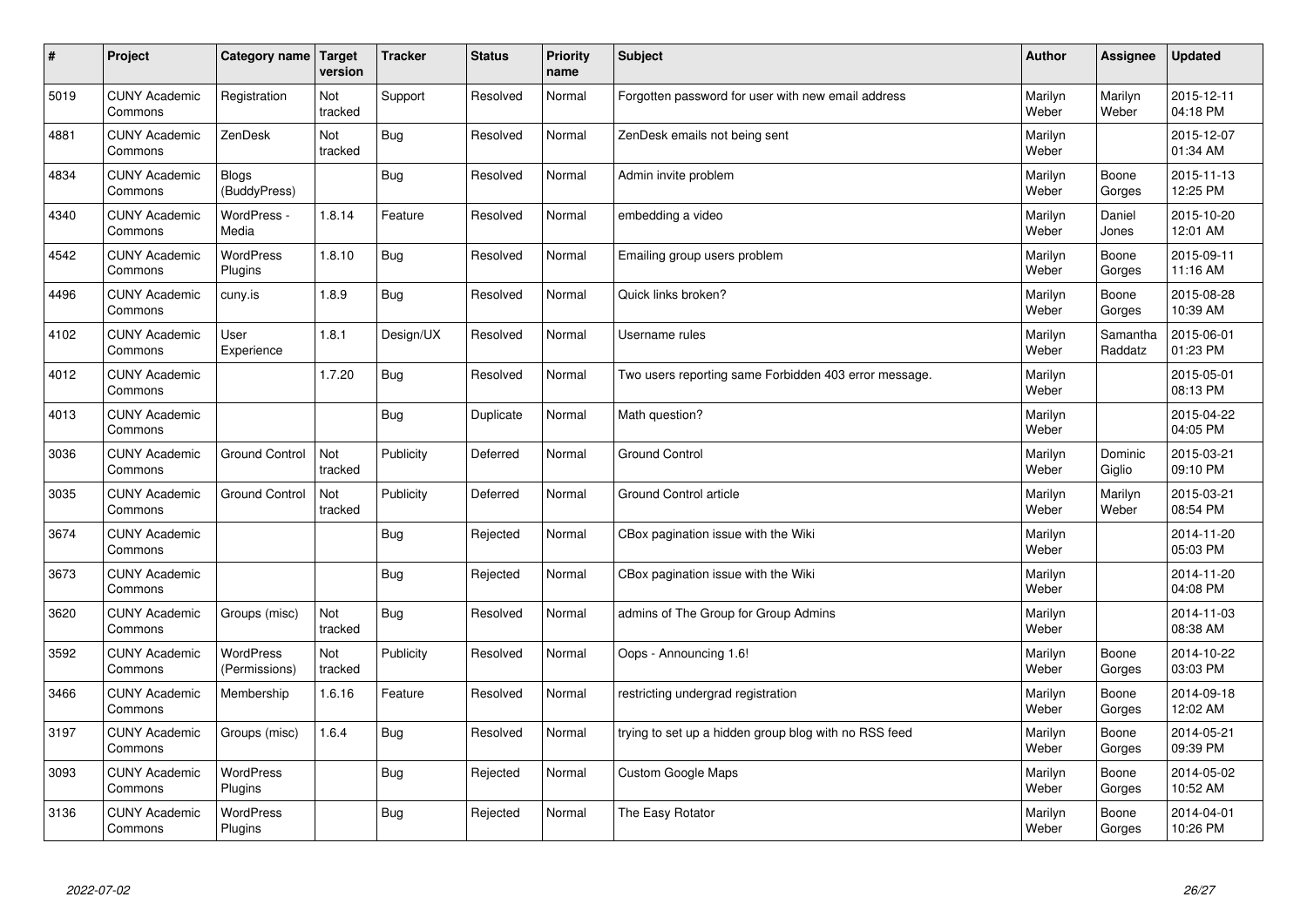| $\sharp$ | Project                         | Category name   Target            | version        | <b>Tracker</b> | <b>Status</b> | <b>Priority</b><br>name | <b>Subject</b>                                        | <b>Author</b>    | Assignee            | <b>Updated</b>         |
|----------|---------------------------------|-----------------------------------|----------------|----------------|---------------|-------------------------|-------------------------------------------------------|------------------|---------------------|------------------------|
| 5019     | <b>CUNY Academic</b><br>Commons | Registration                      | Not<br>tracked | Support        | Resolved      | Normal                  | Forgotten password for user with new email address    | Marilyn<br>Weber | Marilyn<br>Weber    | 2015-12-11<br>04:18 PM |
| 4881     | <b>CUNY Academic</b><br>Commons | ZenDesk                           | Not<br>tracked | Bug            | Resolved      | Normal                  | ZenDesk emails not being sent                         | Marilyn<br>Weber |                     | 2015-12-07<br>01:34 AM |
| 4834     | <b>CUNY Academic</b><br>Commons | <b>Blogs</b><br>(BuddyPress)      |                | Bug            | Resolved      | Normal                  | Admin invite problem                                  | Marilyn<br>Weber | Boone<br>Gorges     | 2015-11-13<br>12:25 PM |
| 4340     | <b>CUNY Academic</b><br>Commons | WordPress -<br>Media              | 1.8.14         | Feature        | Resolved      | Normal                  | embedding a video                                     | Marilyn<br>Weber | Daniel<br>Jones     | 2015-10-20<br>12:01 AM |
| 4542     | <b>CUNY Academic</b><br>Commons | <b>WordPress</b><br>Plugins       | 1.8.10         | Bug            | Resolved      | Normal                  | Emailing group users problem                          | Marilyn<br>Weber | Boone<br>Gorges     | 2015-09-11<br>11:16 AM |
| 4496     | <b>CUNY Academic</b><br>Commons | cuny.is                           | 1.8.9          | Bug            | Resolved      | Normal                  | Quick links broken?                                   | Marilyn<br>Weber | Boone<br>Gorges     | 2015-08-28<br>10:39 AM |
| 4102     | <b>CUNY Academic</b><br>Commons | User<br>Experience                | 1.8.1          | Design/UX      | Resolved      | Normal                  | Username rules                                        | Marilyn<br>Weber | Samantha<br>Raddatz | 2015-06-01<br>01:23 PM |
| 4012     | <b>CUNY Academic</b><br>Commons |                                   | 1.7.20         | Bug            | Resolved      | Normal                  | Two users reporting same Forbidden 403 error message. | Marilyn<br>Weber |                     | 2015-05-01<br>08:13 PM |
| 4013     | <b>CUNY Academic</b><br>Commons |                                   |                | Bug            | Duplicate     | Normal                  | Math question?                                        | Marilyn<br>Weber |                     | 2015-04-22<br>04:05 PM |
| 3036     | <b>CUNY Academic</b><br>Commons | <b>Ground Control</b>             | Not<br>tracked | Publicity      | Deferred      | Normal                  | <b>Ground Control</b>                                 | Marilyn<br>Weber | Dominic<br>Giglio   | 2015-03-21<br>09:10 PM |
| 3035     | <b>CUNY Academic</b><br>Commons | <b>Ground Control</b>             | Not<br>tracked | Publicity      | Deferred      | Normal                  | Ground Control article                                | Marilyn<br>Weber | Marilyn<br>Weber    | 2015-03-21<br>08:54 PM |
| 3674     | <b>CUNY Academic</b><br>Commons |                                   |                | Bug            | Rejected      | Normal                  | CBox pagination issue with the Wiki                   | Marilyn<br>Weber |                     | 2014-11-20<br>05:03 PM |
| 3673     | <b>CUNY Academic</b><br>Commons |                                   |                | <b>Bug</b>     | Rejected      | Normal                  | CBox pagination issue with the Wiki                   | Marilyn<br>Weber |                     | 2014-11-20<br>04:08 PM |
| 3620     | <b>CUNY Academic</b><br>Commons | Groups (misc)                     | Not<br>tracked | Bug            | Resolved      | Normal                  | admins of The Group for Group Admins                  | Marilyn<br>Weber |                     | 2014-11-03<br>08:38 AM |
| 3592     | <b>CUNY Academic</b><br>Commons | <b>WordPress</b><br>(Permissions) | Not<br>tracked | Publicity      | Resolved      | Normal                  | Oops - Announcing 1.6!                                | Marilyn<br>Weber | Boone<br>Gorges     | 2014-10-22<br>03:03 PM |
| 3466     | <b>CUNY Academic</b><br>Commons | Membership                        | 1.6.16         | Feature        | Resolved      | Normal                  | restricting undergrad registration                    | Marilyn<br>Weber | Boone<br>Gorges     | 2014-09-18<br>12:02 AM |
| 3197     | <b>CUNY Academic</b><br>Commons | Groups (misc)                     | 1.6.4          | Bug            | Resolved      | Normal                  | trying to set up a hidden group blog with no RSS feed | Marilyn<br>Weber | Boone<br>Gorges     | 2014-05-21<br>09:39 PM |
| 3093     | <b>CUNY Academic</b><br>Commons | WordPress<br>Plugins              |                | Bug            | Rejected      | Normal                  | Custom Google Maps                                    | Marilyn<br>Weber | Boone<br>Gorges     | 2014-05-02<br>10:52 AM |
| 3136     | <b>CUNY Academic</b><br>Commons | <b>WordPress</b><br>Plugins       |                | Bug            | Rejected      | Normal                  | The Easy Rotator                                      | Marilyn<br>Weber | Boone<br>Gorges     | 2014-04-01<br>10:26 PM |